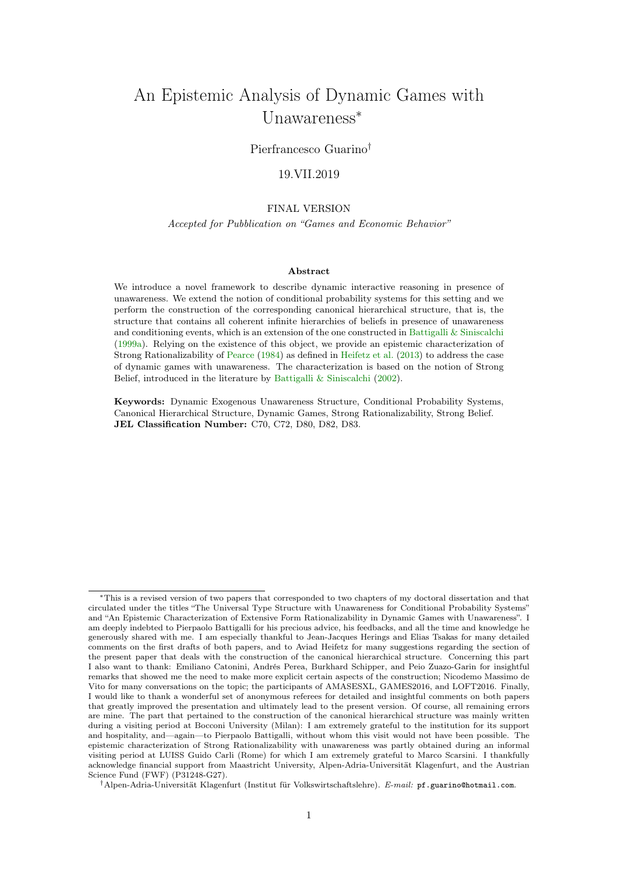# <span id="page-0-0"></span>An Epistemic Analysis of Dynamic Games with Unawareness<sup>∗</sup>

# Pierfrancesco Guarino†

# 19.VII.2019

# FINAL VERSION

## Accepted for Pubblication on "Games and Economic Behavior"

## Abstract

We introduce a novel framework to describe dynamic interactive reasoning in presence of unawareness. We extend the notion of conditional probability systems for this setting and we perform the construction of the corresponding canonical hierarchical structure, that is, the structure that contains all coherent infinite hierarchies of beliefs in presence of unawareness and conditioning events, which is an extension of the one constructed in Battigalli  $&$  Siniscalchi [\(1999a\)](#page-37-0). Relying on the existence of this object, we provide an epistemic characterization of Strong Rationalizability of [Pearce](#page-39-0) [\(1984\)](#page-39-0) as defined in [Heifetz et al.](#page-38-0) [\(2013\)](#page-38-0) to address the case of dynamic games with unawareness. The characterization is based on the notion of Strong Belief, introduced in the literature by [Battigalli & Siniscalchi](#page-37-1) [\(2002\)](#page-37-1).

Keywords: Dynamic Exogenous Unawareness Structure, Conditional Probability Systems, Canonical Hierarchical Structure, Dynamic Games, Strong Rationalizability, Strong Belief. JEL Classification Number: C70, C72, D80, D82, D83.

†Alpen-Adria-Universität Klagenfurt (Institut für Volkswirtschaftslehre). E-mail: pf.guarino@hotmail.com.

<sup>∗</sup>This is a revised version of two papers that corresponded to two chapters of my doctoral dissertation and that circulated under the titles "The Universal Type Structure with Unawareness for Conditional Probability Systems" and "An Epistemic Characterization of Extensive Form Rationalizability in Dynamic Games with Unawareness". I am deeply indebted to Pierpaolo Battigalli for his precious advice, his feedbacks, and all the time and knowledge he generously shared with me. I am especially thankful to Jean-Jacques Herings and Elias Tsakas for many detailed comments on the first drafts of both papers, and to Aviad Heifetz for many suggestions regarding the section of the present paper that deals with the construction of the canonical hierarchical structure. Concerning this part I also want to thank: Emiliano Catonini, Andrés Perea, Burkhard Schipper, and Peio Zuazo-Garin for insightful remarks that showed me the need to make more explicit certain aspects of the construction; Nicodemo Massimo de Vito for many conversations on the topic; the participants of AMASESXL, GAMES2016, and LOFT2016. Finally, I would like to thank a wonderful set of anonymous referees for detailed and insightful comments on both papers that greatly improved the presentation and ultimately lead to the present version. Of course, all remaining errors are mine. The part that pertained to the construction of the canonical hierarchical structure was mainly written during a visiting period at Bocconi University (Milan): I am extremely grateful to the institution for its support and hospitality, and—again—to Pierpaolo Battigalli, without whom this visit would not have been possible. The epistemic characterization of Strong Rationalizability with unawareness was partly obtained during an informal visiting period at LUISS Guido Carli (Rome) for which I am extremely grateful to Marco Scarsini. I thankfully acknowledge financial support from Maastricht University, Alpen-Adria-Universität Klagenfurt, and the Austrian Science Fund (FWF) (P31248-G27).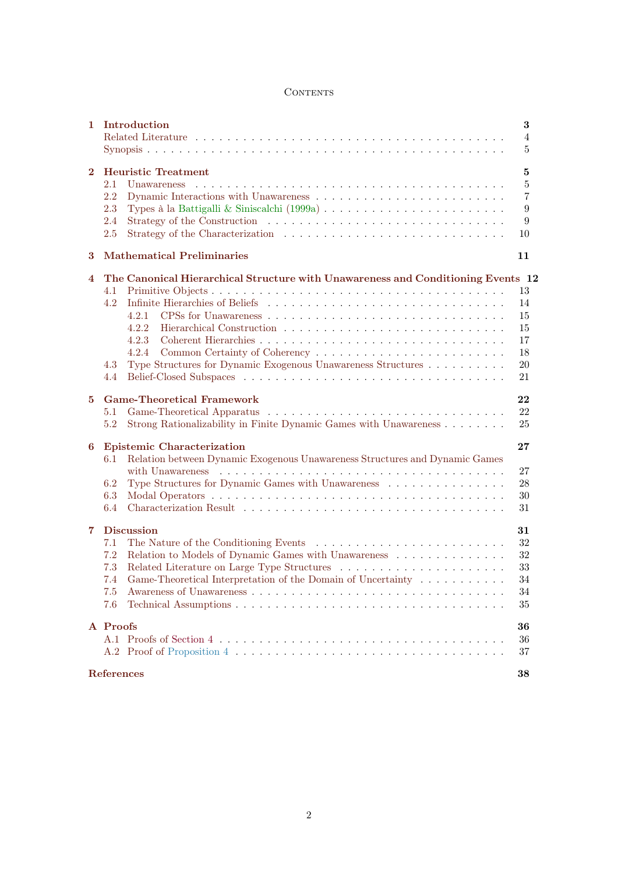# **CONTENTS**

<span id="page-1-0"></span>

| $\mathbf{1}$     | Introduction<br>3<br>4<br>5                                                                                             |                                   |  |  |  |
|------------------|-------------------------------------------------------------------------------------------------------------------------|-----------------------------------|--|--|--|
| $\bf{2}$         | <b>Heuristic Treatment</b><br>Unawareness<br>2.1<br>$2.2\,$<br>2.3<br>2.4<br>2.5                                        | 5<br>$\bf 5$<br>7<br>9<br>9<br>10 |  |  |  |
| 3                | <b>Mathematical Preliminaries</b>                                                                                       | 11                                |  |  |  |
| 4                | The Canonical Hierarchical Structure with Unawareness and Conditioning Events 12                                        |                                   |  |  |  |
|                  | 4.1                                                                                                                     | 13                                |  |  |  |
|                  | 4.2                                                                                                                     | 14                                |  |  |  |
|                  | 4.2.1                                                                                                                   | 15                                |  |  |  |
|                  | 4.2.2                                                                                                                   | 15                                |  |  |  |
|                  | 4.2.3                                                                                                                   | 17                                |  |  |  |
|                  | 4.2.4                                                                                                                   | 18                                |  |  |  |
|                  | Type Structures for Dynamic Exogenous Unawareness Structures<br>4.3                                                     | 20                                |  |  |  |
|                  | 4.4                                                                                                                     | 21                                |  |  |  |
|                  |                                                                                                                         |                                   |  |  |  |
| 5                | <b>Game-Theoretical Framework</b>                                                                                       | 22                                |  |  |  |
|                  | $5.1\,$                                                                                                                 | 22                                |  |  |  |
|                  | Strong Rationalizability in Finite Dynamic Games with Unawareness<br>5.2                                                | 25                                |  |  |  |
|                  |                                                                                                                         |                                   |  |  |  |
| 6                | <b>Epistemic Characterization</b><br>Relation between Dynamic Exogenous Unawareness Structures and Dynamic Games<br>6.1 | 27                                |  |  |  |
|                  |                                                                                                                         | 27                                |  |  |  |
|                  | Type Structures for Dynamic Games with Unawareness<br>6.2                                                               | 28                                |  |  |  |
|                  | 6.3                                                                                                                     | 30                                |  |  |  |
|                  | 6.4                                                                                                                     | 31                                |  |  |  |
| 7                | <b>Discussion</b><br>31                                                                                                 |                                   |  |  |  |
|                  | 7.1                                                                                                                     | 32                                |  |  |  |
|                  | Relation to Models of Dynamic Games with Unawareness<br>7.2                                                             | $32\,$                            |  |  |  |
|                  | 7.3                                                                                                                     | 33                                |  |  |  |
|                  | 7.4 Game-Theoretical Interpretation of the Domain of Uncertainty                                                        | 34                                |  |  |  |
|                  |                                                                                                                         |                                   |  |  |  |
|                  | 7.5                                                                                                                     | 34                                |  |  |  |
|                  | 7.6                                                                                                                     | 35                                |  |  |  |
|                  | A Proofs                                                                                                                |                                   |  |  |  |
|                  |                                                                                                                         | 36                                |  |  |  |
|                  |                                                                                                                         | 37                                |  |  |  |
|                  |                                                                                                                         |                                   |  |  |  |
| References<br>38 |                                                                                                                         |                                   |  |  |  |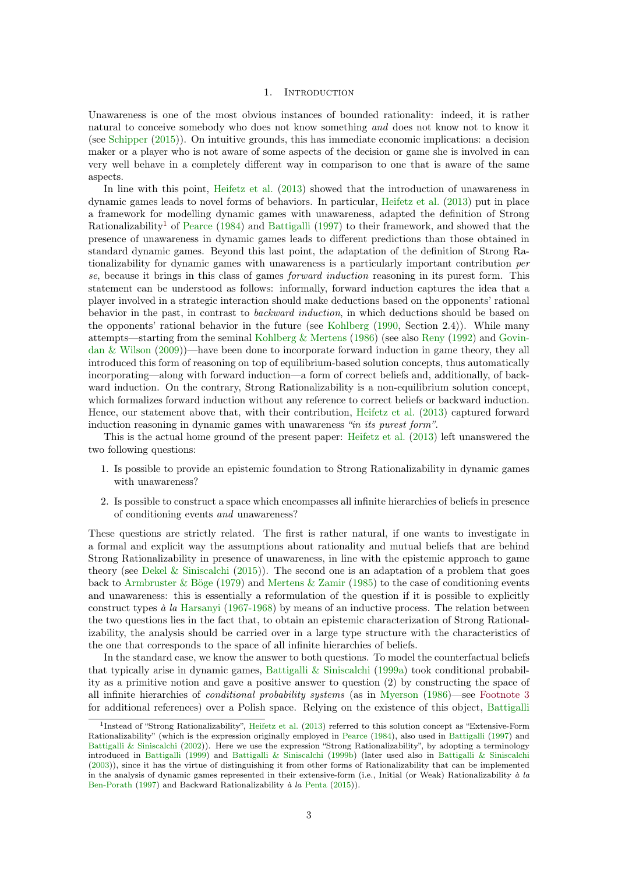#### 1. INTRODUCTION

<span id="page-2-2"></span><span id="page-2-0"></span>Unawareness is one of the most obvious instances of bounded rationality: indeed, it is rather natural to conceive somebody who does not know something and does not know not to know it (see [Schipper](#page-39-1) [\(2015\)](#page-39-1)). On intuitive grounds, this has immediate economic implications: a decision maker or a player who is not aware of some aspects of the decision or game she is involved in can very well behave in a completely different way in comparison to one that is aware of the same aspects.

In line with this point, [Heifetz et al.](#page-38-0) [\(2013\)](#page-38-0) showed that the introduction of unawareness in dynamic games leads to novel forms of behaviors. In particular, [Heifetz et al.](#page-38-0) [\(2013\)](#page-38-0) put in place a framework for modelling dynamic games with unawareness, adapted the definition of Strong Rationalizability<sup>[1](#page-2-1)</sup> of [Pearce](#page-39-0) [\(1984\)](#page-39-0) and [Battigalli](#page-37-3) [\(1997\)](#page-37-3) to their framework, and showed that the presence of unawareness in dynamic games leads to different predictions than those obtained in standard dynamic games. Beyond this last point, the adaptation of the definition of Strong Rationalizability for dynamic games with unawareness is a particularly important contribution per se, because it brings in this class of games *forward induction* reasoning in its purest form. This statement can be understood as follows: informally, forward induction captures the idea that a player involved in a strategic interaction should make deductions based on the opponents' rational behavior in the past, in contrast to *backward induction*, in which deductions should be based on the opponents' rational behavior in the future (see [Kohlberg](#page-38-1) [\(1990,](#page-38-1) Section 2.4)). While many attempts—starting from the seminal Kohlberg  $\&$  Mertens [\(1986\)](#page-39-2) (see also [Reny](#page-39-3) [\(1992\)](#page-39-3) and [Govin](#page-38-2)[dan & Wilson](#page-38-2) [\(2009\)](#page-38-2))—have been done to incorporate forward induction in game theory, they all introduced this form of reasoning on top of equilibrium-based solution concepts, thus automatically incorporating—along with forward induction—a form of correct beliefs and, additionally, of backward induction. On the contrary, Strong Rationalizability is a non-equilibrium solution concept, which formalizes forward induction without any reference to correct beliefs or backward induction. Hence, our statement above that, with their contribution, [Heifetz et al.](#page-38-0) [\(2013\)](#page-38-0) captured forward induction reasoning in dynamic games with unawareness "in its purest form".

This is the actual home ground of the present paper: [Heifetz et al.](#page-38-0) [\(2013\)](#page-38-0) left unanswered the two following questions:

- 1. Is possible to provide an epistemic foundation to Strong Rationalizability in dynamic games with unawareness?
- 2. Is possible to construct a space which encompasses all infinite hierarchies of beliefs in presence of conditioning events and unawareness?

These questions are strictly related. The first is rather natural, if one wants to investigate in a formal and explicit way the assumptions about rationality and mutual beliefs that are behind Strong Rationalizability in presence of unawareness, in line with the epistemic approach to game theory (see Dekel  $\&$  Siniscalchi [\(2015\)](#page-38-3)). The second one is an adaptation of a problem that goes back to Armbruster  $\&$  Böge [\(1979\)](#page-37-4) and Mertens  $\&$  Zamir [\(1985\)](#page-39-4) to the case of conditioning events and unawareness: this is essentially a reformulation of the question if it is possible to explicitly construct types à la [Harsanyi](#page-38-4) [\(1967-1968\)](#page-38-4) by means of an inductive process. The relation between the two questions lies in the fact that, to obtain an epistemic characterization of Strong Rationalizability, the analysis should be carried over in a large type structure with the characteristics of the one that corresponds to the space of all infinite hierarchies of beliefs.

In the standard case, we know the answer to both questions. To model the counterfactual beliefs that typically arise in dynamic games, [Battigalli & Siniscalchi](#page-37-0) [\(1999a\)](#page-37-0) took conditional probability as a primitive notion and gave a positive answer to question (2) by constructing the space of all infinite hierarchies of conditional probability systems (as in [Myerson](#page-39-5) [\(1986\)](#page-39-5)—see [Footnote 3](#page-10-1) for additional references) over a Polish space. Relying on the existence of this object, [Battigalli](#page-37-1)

<span id="page-2-1"></span><sup>&</sup>lt;sup>1</sup>Instead of "Strong Rationalizability", [Heifetz et al.](#page-38-0) [\(2013\) referred to this solution concept as "Extensive-Form](#page-37-1) [Rationalizability" \(which is the expression originally employed in](#page-37-1) [Pearce](#page-39-0) [\(1984\)](#page-39-0), also used in [Battigalli](#page-37-3) [\(1997\)](#page-37-3) and [Battigalli & Siniscalchi](#page-37-1) [\(2002\)\). Here we use the expression "Strong Rationalizability", by adopting a terminology](#page-37-1) introduced in [Battigalli](#page-37-5) [\(1999\)](#page-37-5) and [Battigalli & Siniscalchi](#page-37-6) [\(1999b\) \(later used also in](#page-37-1) [Battigalli & Siniscalchi](#page-37-7) [\(2003\)\), since it has the virtue of distinguishing it from other forms of Rationalizability that can be implemented](#page-37-1) [in the analysis of dynamic games represented in their extensive-form \(i.e., Initial \(or Weak\) Rationalizability](#page-37-1) à la [Ben-Porath](#page-37-8) [\(1997\) and Backward Rationalizability](#page-37-1) à la [Penta](#page-39-6) [\(2015\)](#page-39-6)).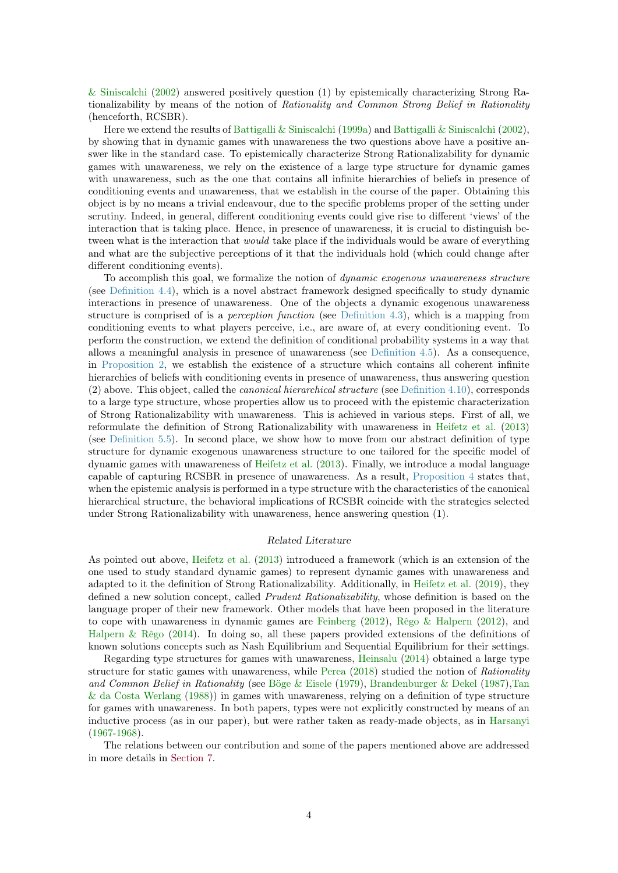<span id="page-3-1"></span>[& Siniscalchi](#page-37-1) [\(2002\)](#page-37-1) answered positively question (1) by epistemically characterizing Strong Rationalizability by means of the notion of Rationality and Common Strong Belief in Rationality (henceforth, RCSBR).

Here we extend the results of [Battigalli & Siniscalchi](#page-37-0) [\(1999a\)](#page-37-0) and [Battigalli & Siniscalchi](#page-37-1) [\(2002\)](#page-37-1), by showing that in dynamic games with unawareness the two questions above have a positive answer like in the standard case. To epistemically characterize Strong Rationalizability for dynamic games with unawareness, we rely on the existence of a large type structure for dynamic games with unawareness, such as the one that contains all infinite hierarchies of beliefs in presence of conditioning events and unawareness, that we establish in the course of the paper. Obtaining this object is by no means a trivial endeavour, due to the specific problems proper of the setting under scrutiny. Indeed, in general, different conditioning events could give rise to different 'views' of the interaction that is taking place. Hence, in presence of unawareness, it is crucial to distinguish between what is the interaction that *would* take place if the individuals would be aware of everything and what are the subjective perceptions of it that the individuals hold (which could change after different conditioning events).

To accomplish this goal, we formalize the notion of dynamic exogenous unawareness structure (see [Definition 4.4\)](#page-13-1), which is a novel abstract framework designed specifically to study dynamic interactions in presence of unawareness. One of the objects a dynamic exogenous unawareness structure is comprised of is a *perception function* (see [Definition 4.3\)](#page-12-1), which is a mapping from conditioning events to what players perceive, i.e., are aware of, at every conditioning event. To perform the construction, we extend the definition of conditional probability systems in a way that allows a meaningful analysis in presence of unawareness (see [Definition 4.5\)](#page-14-2). As a consequence, in [Proposition 2,](#page-18-0) we establish the existence of a structure which contains all coherent infinite hierarchies of beliefs with conditioning events in presence of unawareness, thus answering question  $(2)$  above. This object, called the *canonical hierarchical structure* (see [Definition 4.10\)](#page-18-1), corresponds to a large type structure, whose properties allow us to proceed with the epistemic characterization of Strong Rationalizability with unawareness. This is achieved in various steps. First of all, we reformulate the definition of Strong Rationalizability with unawareness in [Heifetz et al.](#page-38-0) [\(2013\)](#page-38-0) (see [Definition 5.5\)](#page-26-2). In second place, we show how to move from our abstract definition of type structure for dynamic exogenous unawareness structure to one tailored for the specific model of dynamic games with unawareness of [Heifetz et al.](#page-38-0) [\(2013\)](#page-38-0). Finally, we introduce a modal language capable of capturing RCSBR in presence of unawareness. As a result, [Proposition 4](#page-30-2) states that, when the epistemic analysis is performed in a type structure with the characteristics of the canonical hierarchical structure, the behavioral implications of RCSBR coincide with the strategies selected under Strong Rationalizability with unawareness, hence answering question (1).

## <span id="page-3-0"></span>Related Literature

As pointed out above, [Heifetz et al.](#page-38-0) [\(2013\)](#page-38-0) introduced a framework (which is an extension of the one used to study standard dynamic games) to represent dynamic games with unawareness and adapted to it the definition of Strong Rationalizability. Additionally, in [Heifetz et al.](#page-38-5) [\(2019\)](#page-38-5), they defined a new solution concept, called *Prudent Rationalizability*, whose definition is based on the language proper of their new framework. Other models that have been proposed in the literature to cope with unawareness in dynamic games are [Feinberg](#page-38-6) [\(2012\)](#page-38-6), [Rêgo & Halpern](#page-39-7) [\(2012\)](#page-39-7), and [Halpern & Rêgo](#page-38-7)  $(2014)$ . In doing so, all these papers provided extensions of the definitions of known solutions concepts such as Nash Equilibrium and Sequential Equilibrium for their settings.

Regarding type structures for games with unawareness, [Heinsalu](#page-38-8) [\(2014\)](#page-38-8) obtained a large type structure for static games with unawareness, while [Perea](#page-39-8) [\(2018\)](#page-39-8) studied the notion of Rationality and Common Belief in Rationality (see [Böge & Eisele](#page-37-9) [\(1979\)](#page-37-9), [Brandenburger & Dekel](#page-38-9) [\(1987\)](#page-38-9)[,Tan](#page-39-9) [& da Costa Werlang](#page-39-9) [\(1988\)](#page-39-9)) in games with unawareness, relying on a definition of type structure for games with unawareness. In both papers, types were not explicitly constructed by means of an inductive process (as in our paper), but were rather taken as ready-made objects, as in [Harsanyi](#page-38-4) [\(1967-1968\)](#page-38-4).

The relations between our contribution and some of the papers mentioned above are addressed in more details in [Section 7.](#page-30-1)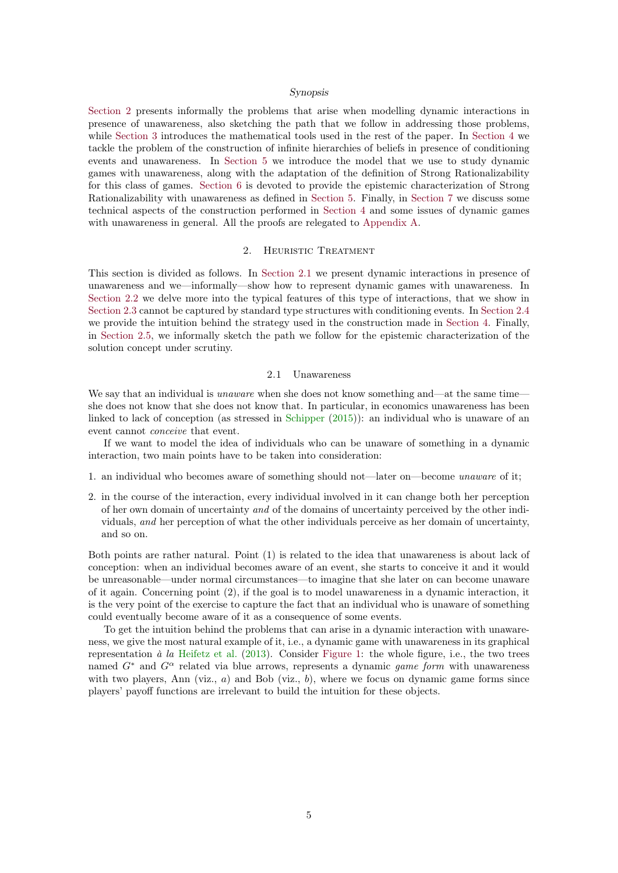#### <span id="page-4-0"></span>Synopsis

<span id="page-4-3"></span>[Section 2](#page-4-1) presents informally the problems that arise when modelling dynamic interactions in presence of unawareness, also sketching the path that we follow in addressing those problems, while [Section 3](#page-10-0) introduces the mathematical tools used in the rest of the paper. In [Section 4](#page-11-0) we tackle the problem of the construction of infinite hierarchies of beliefs in presence of conditioning events and unawareness. In [Section 5](#page-21-0) we introduce the model that we use to study dynamic games with unawareness, along with the adaptation of the definition of Strong Rationalizability for this class of games. [Section 6](#page-26-0) is devoted to provide the epistemic characterization of Strong Rationalizability with unawareness as defined in [Section 5.](#page-21-0) Finally, in [Section 7](#page-30-1) we discuss some technical aspects of the construction performed in [Section 4](#page-11-0) and some issues of dynamic games with unawareness in general. All the proofs are relegated to [Appendix A.](#page-35-0)

## 2. HEURISTIC TREATMENT

<span id="page-4-1"></span>This section is divided as follows. In [Section 2.1](#page-4-2) we present dynamic interactions in presence of unawareness and we—informally—show how to represent dynamic games with unawareness. In [Section 2.2](#page-6-0) we delve more into the typical features of this type of interactions, that we show in [Section 2.3](#page-8-0) cannot be captured by standard type structures with conditioning events. In [Section 2.4](#page-8-1) we provide the intuition behind the strategy used in the construction made in [Section 4.](#page-11-0) Finally, in [Section 2.5,](#page-9-0) we informally sketch the path we follow for the epistemic characterization of the solution concept under scrutiny.

## 2.1 Unawareness

<span id="page-4-2"></span>We say that an individual is *unaware* when she does not know something and—at the same time she does not know that she does not know that. In particular, in economics unawareness has been linked to lack of conception (as stressed in [Schipper](#page-39-1) [\(2015\)](#page-39-1)): an individual who is unaware of an event cannot conceive that event.

If we want to model the idea of individuals who can be unaware of something in a dynamic interaction, two main points have to be taken into consideration:

- 1. an individual who becomes aware of something should not—later on—become unaware of it;
- 2. in the course of the interaction, every individual involved in it can change both her perception of her own domain of uncertainty and of the domains of uncertainty perceived by the other individuals, and her perception of what the other individuals perceive as her domain of uncertainty, and so on.

Both points are rather natural. Point (1) is related to the idea that unawareness is about lack of conception: when an individual becomes aware of an event, she starts to conceive it and it would be unreasonable—under normal circumstances—to imagine that she later on can become unaware of it again. Concerning point (2), if the goal is to model unawareness in a dynamic interaction, it is the very point of the exercise to capture the fact that an individual who is unaware of something could eventually become aware of it as a consequence of some events.

To get the intuition behind the problems that can arise in a dynamic interaction with unawareness, we give the most natural example of it, i.e., a dynamic game with unawareness in its graphical representation  $\dot{a}$  la [Heifetz et al.](#page-38-0) [\(2013\)](#page-38-0). Consider [Figure 1:](#page-5-0) the whole figure, i.e., the two trees named  $G^*$  and  $G^{\alpha}$  related via blue arrows, represents a dynamic game form with unawareness with two players, Ann (viz.,  $a$ ) and Bob (viz.,  $b$ ), where we focus on dynamic game forms since players' payoff functions are irrelevant to build the intuition for these objects.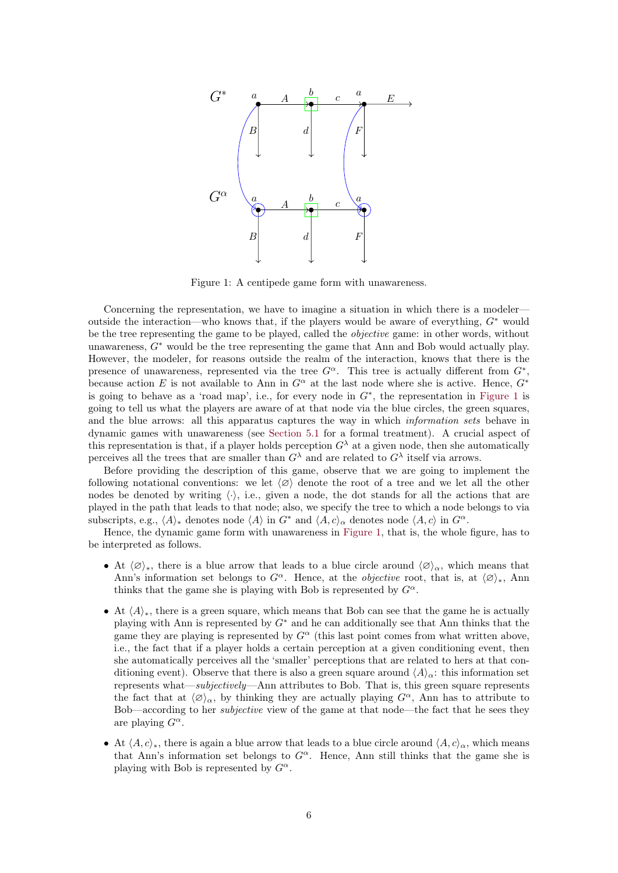

<span id="page-5-0"></span>Figure 1: A centipede game form with unawareness.

Concerning the representation, we have to imagine a situation in which there is a modeler outside the interaction—who knows that, if the players would be aware of everything,  $G^*$  would be the tree representing the game to be played, called the objective game: in other words, without unawareness,  $G^*$  would be the tree representing the game that Ann and Bob would actually play. However, the modeler, for reasons outside the realm of the interaction, knows that there is the presence of unawareness, represented via the tree  $G^{\alpha}$ . This tree is actually different from  $G^*$ , because action E is not available to Ann in  $G^{\alpha}$  at the last node where she is active. Hence,  $G^*$ is going to behave as a 'road map', i.e., for every node in  $G^*$ , the representation in [Figure 1](#page-5-0) is going to tell us what the players are aware of at that node via the blue circles, the green squares, and the blue arrows: all this apparatus captures the way in which *information sets* behave in dynamic games with unawareness (see [Section 5.1](#page-21-1) for a formal treatment). A crucial aspect of this representation is that, if a player holds perception  $G^{\lambda}$  at a given node, then she automatically perceives all the trees that are smaller than  $G^{\lambda}$  and are related to  $G^{\lambda}$  itself via arrows.

Before providing the description of this game, observe that we are going to implement the following notational conventions: we let  $\langle \varnothing \rangle$  denote the root of a tree and we let all the other nodes be denoted by writing  $\langle \cdot \rangle$ , i.e., given a node, the dot stands for all the actions that are played in the path that leads to that node; also, we specify the tree to which a node belongs to via subscripts, e.g.,  $\langle A \rangle_*$  denotes node  $\langle A \rangle$  in  $G^*$  and  $\langle A, c \rangle_{\alpha}$  denotes node  $\langle A, c \rangle$  in  $G^{\alpha}$ .

Hence, the dynamic game form with unawareness in [Figure 1,](#page-5-0) that is, the whole figure, has to be interpreted as follows.

- At  $\langle \varnothing \rangle_*$ , there is a blue arrow that leads to a blue circle around  $\langle \varnothing \rangle_\alpha$ , which means that Ann's information set belongs to  $G^{\alpha}$ . Hence, at the *objective* root, that is, at  $\langle \varnothing \rangle_*$ , Ann thinks that the game she is playing with Bob is represented by  $G^{\alpha}$ .
- At  $\langle A \rangle_{\ast}$ , there is a green square, which means that Bob can see that the game he is actually playing with Ann is represented by  $G^*$  and he can additionally see that Ann thinks that the game they are playing is represented by  $G^{\alpha}$  (this last point comes from what written above, i.e., the fact that if a player holds a certain perception at a given conditioning event, then she automatically perceives all the 'smaller' perceptions that are related to hers at that conditioning event). Observe that there is also a green square around  $\langle A \rangle_{\alpha}$ : this information set represents what—subjectively—Ann attributes to Bob. That is, this green square represents the fact that at  $\langle \varnothing \rangle_\alpha$ , by thinking they are actually playing  $G^\alpha$ , Ann has to attribute to Bob—according to her subjective view of the game at that node—the fact that he sees they are playing  $G^{\alpha}$ .
- At  $\langle A, c \rangle_*,$  there is again a blue arrow that leads to a blue circle around  $\langle A, c \rangle_\alpha$ , which means that Ann's information set belongs to  $G^{\alpha}$ . Hence, Ann still thinks that the game she is playing with Bob is represented by  $G^{\alpha}$ .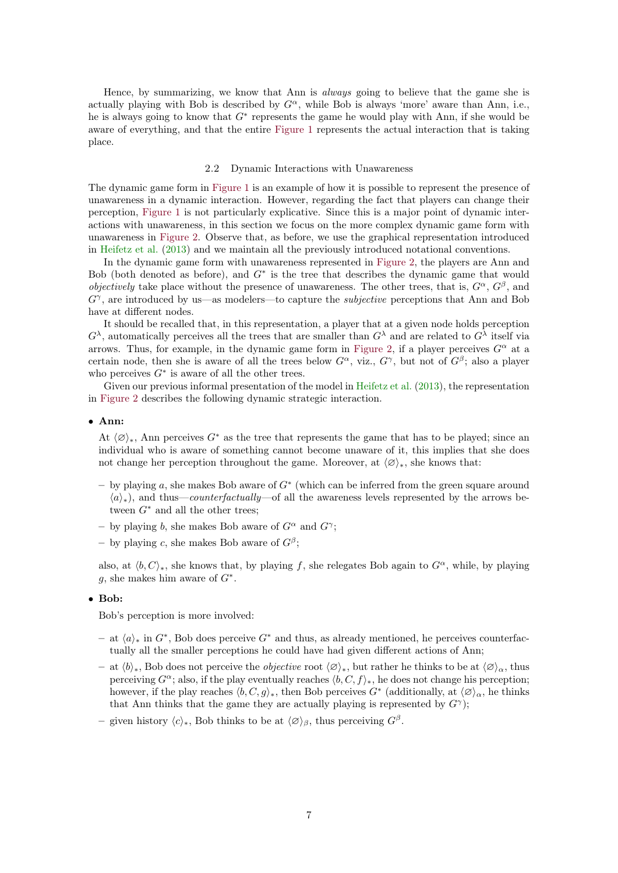<span id="page-6-1"></span>Hence, by summarizing, we know that Ann is *always* going to believe that the game she is actually playing with Bob is described by  $G^{\alpha}$ , while Bob is always 'more' aware than Ann, i.e., he is always going to know that  $G^*$  represents the game he would play with Ann, if she would be aware of everything, and that the entire [Figure 1](#page-5-0) represents the actual interaction that is taking place.

## 2.2 Dynamic Interactions with Unawareness

<span id="page-6-0"></span>The dynamic game form in [Figure 1](#page-5-0) is an example of how it is possible to represent the presence of unawareness in a dynamic interaction. However, regarding the fact that players can change their perception, [Figure 1](#page-5-0) is not particularly explicative. Since this is a major point of dynamic interactions with unawareness, in this section we focus on the more complex dynamic game form with unawareness in [Figure 2.](#page-7-0) Observe that, as before, we use the graphical representation introduced in [Heifetz et al.](#page-38-0) [\(2013\)](#page-38-0) and we maintain all the previously introduced notational conventions.

In the dynamic game form with unawareness represented in [Figure 2,](#page-7-0) the players are Ann and Bob (both denoted as before), and  $G^*$  is the tree that describes the dynamic game that would *objectively* take place without the presence of unawareness. The other trees, that is,  $G^{\alpha}$ ,  $G^{\beta}$ , and  $G^{\gamma}$ , are introduced by us—as modelers—to capture the *subjective* perceptions that Ann and Bob have at different nodes.

It should be recalled that, in this representation, a player that at a given node holds perception  $G^{\lambda}$ , automatically perceives all the trees that are smaller than  $G^{\lambda}$  and are related to  $G^{\lambda}$  itself via arrows. Thus, for example, in the dynamic game form in [Figure 2,](#page-7-0) if a player perceives  $G^{\alpha}$  at a certain node, then she is aware of all the trees below  $G^{\alpha}$ , viz.,  $G^{\gamma}$ , but not of  $G^{\beta}$ ; also a player who perceives  $G^*$  is aware of all the other trees.

Given our previous informal presentation of the model in [Heifetz et al.](#page-38-0) [\(2013\)](#page-38-0), the representation in [Figure 2](#page-7-0) describes the following dynamic strategic interaction.

## • Ann:

At  $\langle \emptyset \rangle_*$ , Ann perceives G<sup>∗</sup> as the tree that represents the game that has to be played; since an individual who is aware of something cannot become unaware of it, this implies that she does not change her perception throughout the game. Moreover, at  $\langle \emptyset \rangle_*$ , she knows that:

- $-$  by playing a, she makes Bob aware of  $G^*$  (which can be inferred from the green square around  $\langle a \rangle_{*}$ ), and thus—counterfactually—of all the awareness levels represented by the arrows between  $G^*$  and all the other trees:
- by playing b, she makes Bob aware of  $G^{\alpha}$  and  $G^{\gamma}$ ;
- by playing c, she makes Bob aware of  $G^{\beta}$ ;

also, at  $\langle b, C \rangle_*$ , she knows that, by playing f, she relegates Bob again to  $G^{\alpha}$ , while, by playing g, she makes him aware of  $G^*$ .

## • Bob:

Bob's perception is more involved:

- $-$  at  $\langle a \rangle_*$  in  $G^*$ , Bob does perceive  $G^*$  and thus, as already mentioned, he perceives counterfactually all the smaller perceptions he could have had given different actions of Ann;
- $-$  at  $\langle b \rangle_{*}$ , Bob does not perceive the *objective* root  $\langle \varnothing \rangle_{*}$ , but rather he thinks to be at  $\langle \varnothing \rangle_{\alpha}$ , thus perceiving  $G^{\alpha}$ ; also, if the play eventually reaches  $\langle b, C, f \rangle_{*}$ , he does not change his perception; however, if the play reaches  $\langle b, C, g \rangle_*,$  then Bob perceives  $G^*$  (additionally, at  $\langle \varnothing \rangle_\alpha$ , he thinks that Ann thinks that the game they are actually playing is represented by  $G^{\gamma}$ ;
- given history  $\langle c \rangle_*,$  Bob thinks to be at  $\langle \varnothing \rangle_\beta$ , thus perceiving  $G^\beta$ .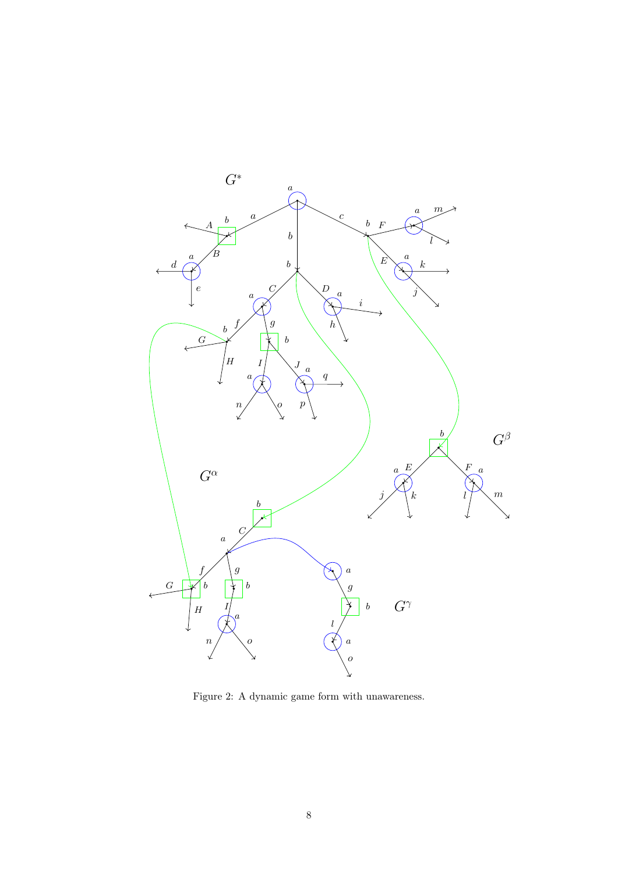

<span id="page-7-0"></span>Figure 2: A dynamic game form with unawareness.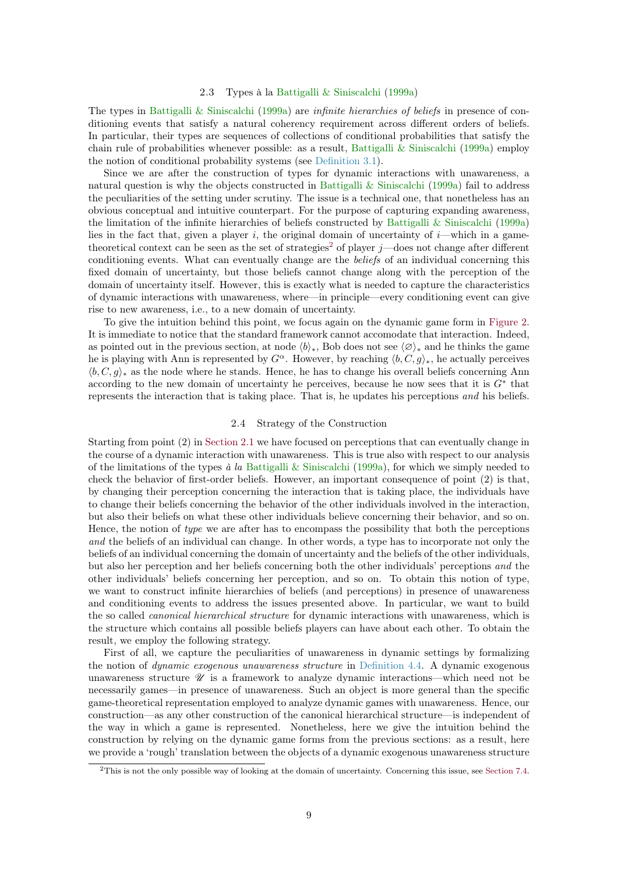#### 2.3 Types à la [Battigalli & Siniscalchi](#page-37-0) [\(1999a\)](#page-37-0)

<span id="page-8-3"></span><span id="page-8-0"></span>The types in [Battigalli & Siniscalchi](#page-37-0) [\(1999a\)](#page-37-0) are infinite hierarchies of beliefs in presence of conditioning events that satisfy a natural coherency requirement across different orders of beliefs. In particular, their types are sequences of collections of conditional probabilities that satisfy the chain rule of probabilities whenever possible: as a result, [Battigalli & Siniscalchi](#page-37-0) [\(1999a\)](#page-37-0) employ the notion of conditional probability systems (see [Definition 3.1\)](#page-10-2).

Since we are after the construction of types for dynamic interactions with unawareness, a natural question is why the objects constructed in [Battigalli & Siniscalchi](#page-37-0) [\(1999a\)](#page-37-0) fail to address the peculiarities of the setting under scrutiny. The issue is a technical one, that nonetheless has an obvious conceptual and intuitive counterpart. For the purpose of capturing expanding awareness, the limitation of the infinite hierarchies of beliefs constructed by [Battigalli & Siniscalchi](#page-37-0) [\(1999a\)](#page-37-0) lies in the fact that, given a player i, the original domain of uncertainty of  $i$ —which in a game-theoretical context can be seen as the set of strategies<sup>[2](#page-8-2)</sup> of player j—does not change after different conditioning events. What can eventually change are the beliefs of an individual concerning this fixed domain of uncertainty, but those beliefs cannot change along with the perception of the domain of uncertainty itself. However, this is exactly what is needed to capture the characteristics of dynamic interactions with unawareness, where—in principle—every conditioning event can give rise to new awareness, i.e., to a new domain of uncertainty.

To give the intuition behind this point, we focus again on the dynamic game form in [Figure 2.](#page-7-0) It is immediate to notice that the standard framework cannot accomodate that interaction. Indeed, as pointed out in the previous section, at node  $\langle b \rangle_*,$  Bob does not see  $\langle \varnothing \rangle_*$  and he thinks the game he is playing with Ann is represented by  $G^{\alpha}$ . However, by reaching  $\langle b, C, g \rangle_{*}$ , he actually perceives  $\langle b, C, q \rangle_*$  as the node where he stands. Hence, he has to change his overall beliefs concerning Ann according to the new domain of uncertainty he perceives, because he now sees that it is  $G^*$  that represents the interaction that is taking place. That is, he updates his perceptions and his beliefs.

## 2.4 Strategy of the Construction

<span id="page-8-1"></span>Starting from point (2) in [Section 2.1](#page-4-2) we have focused on perceptions that can eventually change in the course of a dynamic interaction with unawareness. This is true also with respect to our analysis of the limitations of the types à la [Battigalli & Siniscalchi](#page-37-0) [\(1999a\)](#page-37-0), for which we simply needed to check the behavior of first-order beliefs. However, an important consequence of point (2) is that, by changing their perception concerning the interaction that is taking place, the individuals have to change their beliefs concerning the behavior of the other individuals involved in the interaction, but also their beliefs on what these other individuals believe concerning their behavior, and so on. Hence, the notion of type we are after has to encompass the possibility that both the perceptions and the beliefs of an individual can change. In other words, a type has to incorporate not only the beliefs of an individual concerning the domain of uncertainty and the beliefs of the other individuals, but also her perception and her beliefs concerning both the other individuals' perceptions and the other individuals' beliefs concerning her perception, and so on. To obtain this notion of type, we want to construct infinite hierarchies of beliefs (and perceptions) in presence of unawareness and conditioning events to address the issues presented above. In particular, we want to build the so called canonical hierarchical structure for dynamic interactions with unawareness, which is the structure which contains all possible beliefs players can have about each other. To obtain the result, we employ the following strategy.

First of all, we capture the peculiarities of unawareness in dynamic settings by formalizing the notion of dynamic exogenous unawareness structure in [Definition 4.4.](#page-13-1) A dynamic exogenous unawareness structure  $\mathcal{U}$  is a framework to analyze dynamic interactions—which need not be necessarily games—in presence of unawareness. Such an object is more general than the specific game-theoretical representation employed to analyze dynamic games with unawareness. Hence, our construction—as any other construction of the canonical hierarchical structure—is independent of the way in which a game is represented. Nonetheless, here we give the intuition behind the construction by relying on the dynamic game forms from the previous sections: as a result, here we provide a 'rough' translation between the objects of a dynamic exogenous unawareness structure

<span id="page-8-2"></span><sup>2</sup>This is not the only possible way of looking at the domain of uncertainty. Concerning this issue, see [Section 7.4.](#page-33-0)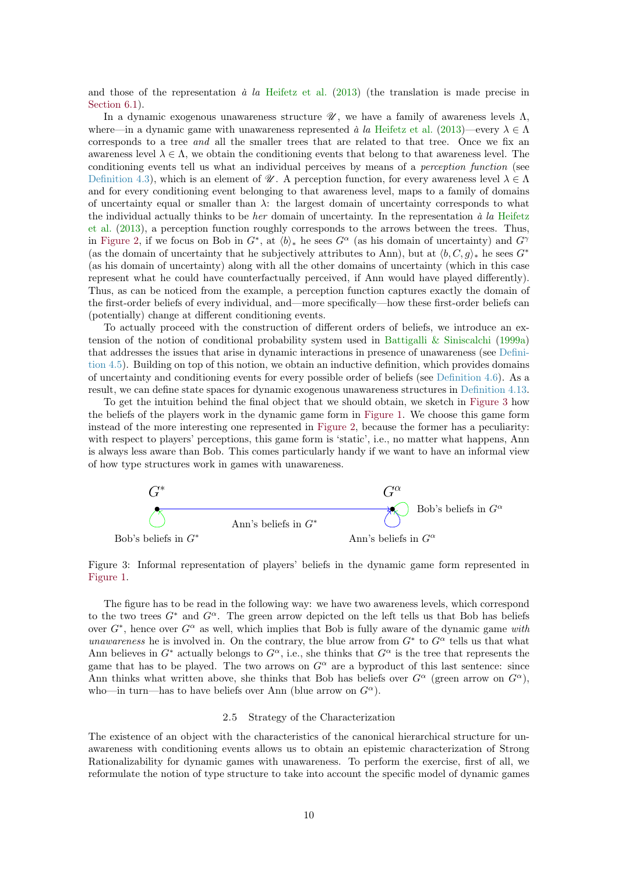<span id="page-9-2"></span>and those of the representation  $\dot{a}$  la [Heifetz et al.](#page-38-0) [\(2013\)](#page-38-0) (the translation is made precise in Section  $6.1$ ).

In a dynamic exogenous unawareness structure  $\mathcal{U}$ , we have a family of awareness levels  $\Lambda$ , where—in a dynamic game with unawareness represented à la [Heifetz et al.](#page-38-0) [\(2013\)](#page-38-0)—every  $\lambda \in \Lambda$ corresponds to a tree *and* all the smaller trees that are related to that tree. Once we fix an awareness level  $\lambda \in \Lambda$ , we obtain the conditioning events that belong to that awareness level. The conditioning events tell us what an individual perceives by means of a perception function (see [Definition 4.3\)](#page-12-1), which is an element of  $\mathcal{U}$ . A perception function, for every awareness level  $\lambda \in \Lambda$ and for every conditioning event belonging to that awareness level, maps to a family of domains of uncertainty equal or smaller than  $\lambda$ : the largest domain of uncertainty corresponds to what the individual actually thinks to be her domain of uncertainty. In the representation  $\dot{a}$  la [Heifetz](#page-38-0) [et al.](#page-38-0) [\(2013\)](#page-38-0), a perception function roughly corresponds to the arrows between the trees. Thus, in [Figure 2,](#page-7-0) if we focus on Bob in  $G^*$ , at  $\langle b \rangle_*$  he sees  $G^{\alpha}$  (as his domain of uncertainty) and  $G^{\gamma}$ (as the domain of uncertainty that he subjectively attributes to Ann), but at  $\langle b, C, g \rangle_*$  he sees  $G^*$ (as his domain of uncertainty) along with all the other domains of uncertainty (which in this case represent what he could have counterfactually perceived, if Ann would have played differently). Thus, as can be noticed from the example, a perception function captures exactly the domain of the first-order beliefs of every individual, and—more specifically—how these first-order beliefs can (potentially) change at different conditioning events.

To actually proceed with the construction of different orders of beliefs, we introduce an extension of the notion of conditional probability system used in Battigalli  $\&$  Siniscalchi [\(1999a\)](#page-37-0) that addresses the issues that arise in dynamic interactions in presence of unawareness (see [Defini](#page-14-2)[tion 4.5\)](#page-14-2). Building on top of this notion, we obtain an inductive definition, which provides domains of uncertainty and conditioning events for every possible order of beliefs (see [Definition 4.6\)](#page-16-1). As a result, we can define state spaces for dynamic exogenous unawareness structures in [Definition 4.13.](#page-20-1)

To get the intuition behind the final object that we should obtain, we sketch in [Figure 3](#page-9-1) how the beliefs of the players work in the dynamic game form in [Figure 1.](#page-5-0) We choose this game form instead of the more interesting one represented in [Figure 2,](#page-7-0) because the former has a peculiarity: with respect to players' perceptions, this game form is 'static', i.e., no matter what happens, Ann is always less aware than Bob. This comes particularly handy if we want to have an informal view of how type structures work in games with unawareness.



<span id="page-9-1"></span>Figure 3: Informal representation of players' beliefs in the dynamic game form represented in [Figure 1.](#page-5-0)

The figure has to be read in the following way: we have two awareness levels, which correspond to the two trees  $G^*$  and  $G^{\alpha}$ . The green arrow depicted on the left tells us that Bob has beliefs over  $G^*$ , hence over  $G^{\alpha}$  as well, which implies that Bob is fully aware of the dynamic game with unawareness he is involved in. On the contrary, the blue arrow from  $G^*$  to  $G^{\alpha}$  tells us that what Ann believes in  $G^*$  actually belongs to  $G^{\alpha}$ , i.e., she thinks that  $G^{\alpha}$  is the tree that represents the game that has to be played. The two arrows on  $G^{\alpha}$  are a byproduct of this last sentence: since Ann thinks what written above, she thinks that Bob has beliefs over  $G^{\alpha}$  (green arrow on  $G^{\alpha}$ ). who—in turn—has to have beliefs over Ann (blue arrow on  $G^{\alpha}$ ).

## 2.5 Strategy of the Characterization

<span id="page-9-0"></span>The existence of an object with the characteristics of the canonical hierarchical structure for unawareness with conditioning events allows us to obtain an epistemic characterization of Strong Rationalizability for dynamic games with unawareness. To perform the exercise, first of all, we reformulate the notion of type structure to take into account the specific model of dynamic games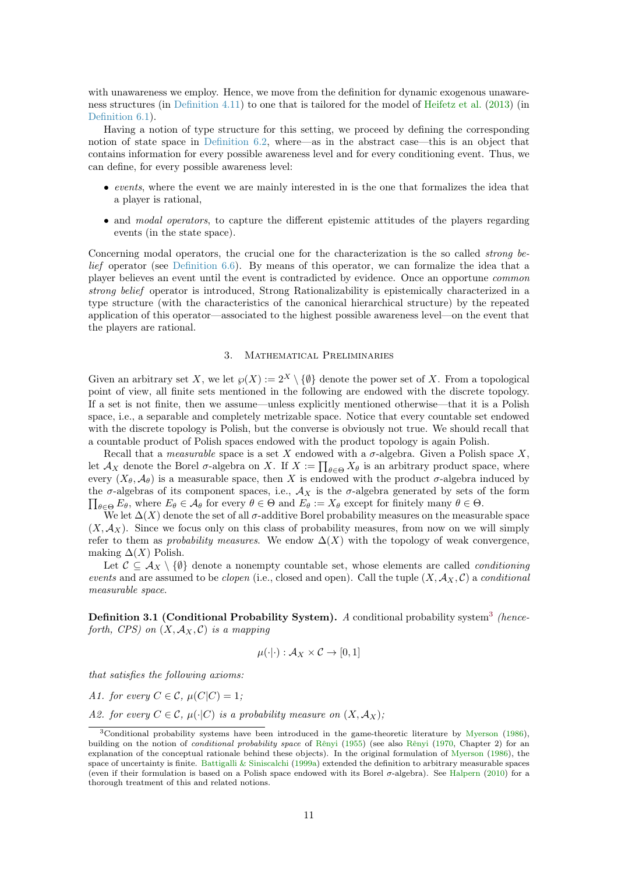<span id="page-10-3"></span>with unawareness we employ. Hence, we move from the definition for dynamic exogenous unawareness structures (in [Definition 4.11\)](#page-19-1) to one that is tailored for the model of [Heifetz et al.](#page-38-0) [\(2013\)](#page-38-0) (in [Definition 6.1\)](#page-28-0).

Having a notion of type structure for this setting, we proceed by defining the corresponding notion of state space in [Definition 6.2,](#page-28-1) where—as in the abstract case—this is an object that contains information for every possible awareness level and for every conditioning event. Thus, we can define, for every possible awareness level:

- events, where the event we are mainly interested in is the one that formalizes the idea that a player is rational,
- and *modal operators*, to capture the different epistemic attitudes of the players regarding events (in the state space).

Concerning modal operators, the crucial one for the characterization is the so called *strong be*lief operator (see [Definition 6.6\)](#page-29-1). By means of this operator, we can formalize the idea that a player believes an event until the event is contradicted by evidence. Once an opportune common strong belief operator is introduced, Strong Rationalizability is epistemically characterized in a type structure (with the characteristics of the canonical hierarchical structure) by the repeated application of this operator—associated to the highest possible awareness level—on the event that the players are rational.

## 3. Mathematical Preliminaries

<span id="page-10-0"></span>Given an arbitrary set X, we let  $\wp(X) := 2^X \setminus \{\emptyset\}$  denote the power set of X. From a topological point of view, all finite sets mentioned in the following are endowed with the discrete topology. If a set is not finite, then we assume—unless explicitly mentioned otherwise—that it is a Polish space, i.e., a separable and completely metrizable space. Notice that every countable set endowed with the discrete topology is Polish, but the converse is obviously not true. We should recall that a countable product of Polish spaces endowed with the product topology is again Polish.

Recall that a *measurable* space is a set X endowed with a  $\sigma$ -algebra. Given a Polish space X, let  $\mathcal{A}_X$  denote the Borel  $\sigma$ -algebra on X. If  $X := \prod_{\theta \in \Theta} X_{\theta}$  is an arbitrary product space, where every  $(X_{\theta}, \mathcal{A}_{\theta})$  is a measurable space, then X is endowed with the product  $\sigma$ -algebra induced by  $\prod_{\theta \in \Theta} E_{\theta}$ , where  $E_{\theta} \in \mathcal{A}_{\theta}$  for every  $\theta \in \Theta$  and  $E_{\theta} := X_{\theta}$  except for finitely many  $\theta \in \Theta$ . the  $\sigma$ -algebras of its component spaces, i.e.,  $\mathcal{A}_X$  is the  $\sigma$ -algebra generated by sets of the form

We let  $\Delta(X)$  denote the set of all  $\sigma$ -additive Borel probability measures on the measurable space  $(X, \mathcal{A}_X)$ . Since we focus only on this class of probability measures, from now on we will simply refer to them as probability measures. We endow  $\Delta(X)$  with the topology of weak convergence, making  $\Delta(X)$  Polish.

Let  $\mathcal{C} \subseteq \mathcal{A}_X \setminus \{\emptyset\}$  denote a nonempty countable set, whose elements are called *conditioning* events and are assumed to be *clopen* (i.e., closed and open). Call the tuple  $(X, \mathcal{A}_X, \mathcal{C})$  a *conditional* measurable space.

<span id="page-10-2"></span>**Definition [3](#page-10-1).1 (Conditional Probability System).** A conditional probability system<sup>3</sup> (henceforth, CPS) on  $(X, \mathcal{A}_X, \mathcal{C})$  is a mapping

$$
\mu(\cdot|\cdot): \mathcal{A}_X \times \mathcal{C} \to [0,1]
$$

that satisfies the following axioms:

A1. for every  $C \in \mathcal{C}$ ,  $\mu(C|C) = 1$ :

A2. for every  $C \in \mathcal{C}$ ,  $\mu(\cdot|C)$  is a probability measure on  $(X, \mathcal{A}_X)$ ;

<span id="page-10-1"></span><sup>3</sup>Conditional probability systems have been introduced in the game-theoretic literature by [Myerson](#page-39-5) [\(1986\)](#page-39-5), building on the notion of *conditional probability space* of [Rênyi](#page-39-11) [\(1955\)](#page-39-10) (see also Rênyi [\(1970,](#page-39-11) Chapter 2) for an explanation of the conceptual rationale behind these objects). In the original formulation of [Myerson](#page-39-5) [\(1986\)](#page-39-5), the space of uncertainty is finite. [Battigalli & Siniscalchi](#page-37-0) [\(1999a\)](#page-37-0) extended the definition to arbitrary measurable spaces (even if their formulation is based on a Polish space endowed with its Borel σ-algebra). See [Halpern](#page-38-10) [\(2010\)](#page-38-10) for a thorough treatment of this and related notions.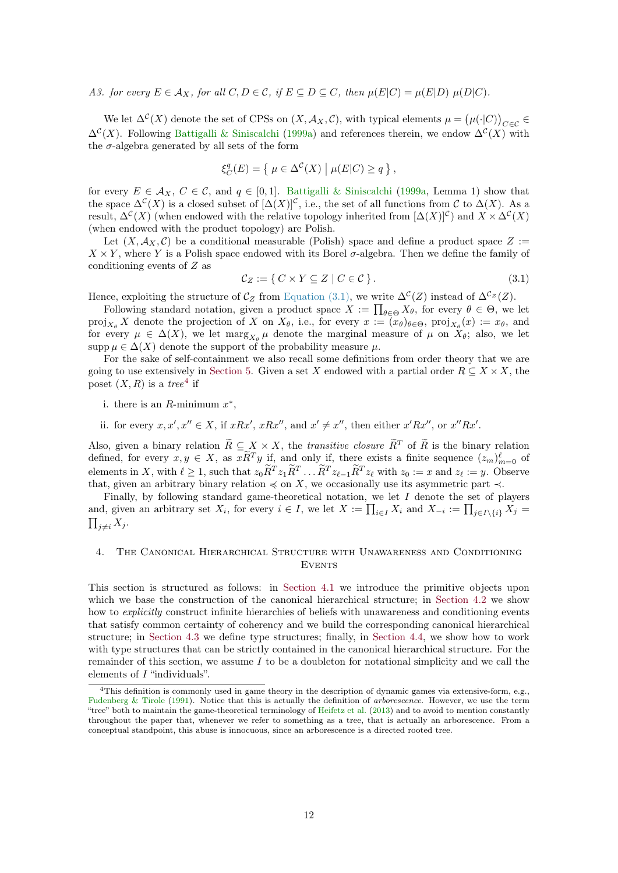<span id="page-11-3"></span>A3. for every  $E \in \mathcal{A}_X$ , for all  $C, D \in \mathcal{C}$ , if  $E \subseteq D \subseteq C$ , then  $\mu(E|C) = \mu(E|D) \mu(D|C)$ .

We let  $\Delta^{\mathcal{C}}(X)$  denote the set of CPSs on  $(X, \mathcal{A}_X, \mathcal{C})$ , with typical elements  $\mu = (\mu(\cdot|C))_{C \in \mathcal{C}} \in$  $\Delta^{\mathcal{C}}(X)$ . Following [Battigalli & Siniscalchi](#page-37-0) [\(1999a\)](#page-37-0) and references therein, we endow  $\Delta^{\mathcal{C}}(X)$  with the  $\sigma$ -algebra generated by all sets of the form

$$
\xi_C^q(E) = \left\{ \mu \in \Delta^{\mathcal{C}}(X) \mid \mu(E|C) \ge q \right\},\
$$

for every  $E \in \mathcal{A}_X$ ,  $C \in \mathcal{C}$ , and  $q \in [0,1]$ . [Battigalli & Siniscalchi](#page-37-0) [\(1999a,](#page-37-0) Lemma 1) show that the space  $\Delta^{\mathcal{C}}(X)$  is a closed subset of  $[\Delta(X)]^{\mathcal{C}}$ , i.e., the set of all functions from  $\mathcal{C}$  to  $\Delta(X)$ . As a result,  $\Delta^{\mathcal{C}}(X)$  (when endowed with the relative topology inherited from  $[\Delta(X)]^{\mathcal{C}}$ ) and  $X \times \Delta^{\mathcal{C}}(X)$ (when endowed with the product topology) are Polish.

Let  $(X, \mathcal{A}_X, \mathcal{C})$  be a conditional measurable (Polish) space and define a product space  $Z :=$  $X \times Y$ , where Y is a Polish space endowed with its Borel  $\sigma$ -algebra. Then we define the family of conditioning events of Z as

<span id="page-11-1"></span>
$$
\mathcal{C}_Z := \{ C \times Y \subseteq Z \mid C \in \mathcal{C} \}. \tag{3.1}
$$

Hence, exploiting the structure of  $\mathcal{C}_Z$  from [Equation \(3.1\),](#page-11-1) we write  $\Delta^{\mathcal{C}}(Z)$  instead of  $\Delta^{\mathcal{C}_Z}(Z)$ .

Following standard notation, given a product space  $X := \prod_{\theta \in \Theta} X_{\theta}$ , for every  $\theta \in \Theta$ , we let  $proj_{X_{\theta}} X$  denote the projection of X on  $X_{\theta}$ , i.e., for every  $x := (x_{\theta})_{\theta \in \Theta}$ ,  $proj_{X_{\theta}}(x) := x_{\theta}$ , and for every  $\mu \in \Delta(X)$ , we let  $\max_{X_{\theta}} \mu$  denote the marginal measure of  $\mu$  on  $X_{\theta}$ ; also, we let supp  $\mu \in \Delta(X)$  denote the support of the probability measure  $\mu$ .

For the sake of self-containment we also recall some definitions from order theory that we are going to use extensively in [Section 5.](#page-21-0) Given a set X endowed with a partial order  $R \subseteq X \times X$ , the poset  $(X, R)$  is a tree<sup>[4](#page-11-2)</sup> if

- i. there is an  $R$ -minimum  $x^*$ ,
- ii. for every  $x, x', x'' \in X$ , if  $xRx', xRx'',$  and  $x' \neq x''$ , then either  $x'Rx'',$  or  $x''Rx'$ .

Also, given a binary relation  $\widetilde{R} \subseteq X \times X$ , the *transitive closure*  $\widetilde{R}^T$  of  $\widetilde{R}$  is the binary relation defined, for every  $x, y \in X$ , as  $xR^Ty$  if, and only if, there exists a finite sequence  $(z_m)_{m=0}^{\ell}$  of elements in X, with  $\ell \geq 1$ , such that  $z_0 \tilde{R}^T z_1 \tilde{R}^T \ldots \tilde{R}^T z_{\ell-1} \tilde{R}^T z_{\ell}$  with  $z_0 := x$  and  $z_{\ell} := y$ . Observe that, given an arbitrary binary relation  $\preccurlyeq$  on X, we occasionally use its asymmetric part  $\prec$ .

Finally, by following standard game-theoretical notation, we let I denote the set of players and, given an arbitrary set  $X_i$ , for every  $i \in I$ , we let  $X := \prod_{i \in I} X_i$  and  $X_{-i} := \prod_{j \in I \setminus \{i\}} X_j =$  $\prod_{j\neq i} X_j$ .

# <span id="page-11-0"></span>4. The Canonical Hierarchical Structure with Unawareness and Conditioning **EVENTS**

This section is structured as follows: in [Section 4.1](#page-12-0) we introduce the primitive objects upon which we base the construction of the canonical hierarchical structure; in [Section 4.2](#page-13-0) we show how to *explicitly* construct infinite hierarchies of beliefs with unawareness and conditioning events that satisfy common certainty of coherency and we build the corresponding canonical hierarchical structure; in [Section 4.3](#page-19-0) we define type structures; finally, in [Section 4.4,](#page-20-0) we show how to work with type structures that can be strictly contained in the canonical hierarchical structure. For the remainder of this section, we assume  $I$  to be a doubleton for notational simplicity and we call the elements of I "individuals".

<span id="page-11-2"></span><sup>4</sup>This definition is commonly used in game theory in the description of dynamic games via extensive-form, e.g., [Fudenberg & Tirole](#page-38-11) [\(1991\)](#page-38-11). Notice that this is actually the definition of *arborescence*. However, we use the term "tree" both to maintain the game-theoretical terminology of [Heifetz et al.](#page-38-0) [\(2013\)](#page-38-0) and to avoid to mention constantly throughout the paper that, whenever we refer to something as a tree, that is actually an arborescence. From a conceptual standpoint, this abuse is innocuous, since an arborescence is a directed rooted tree.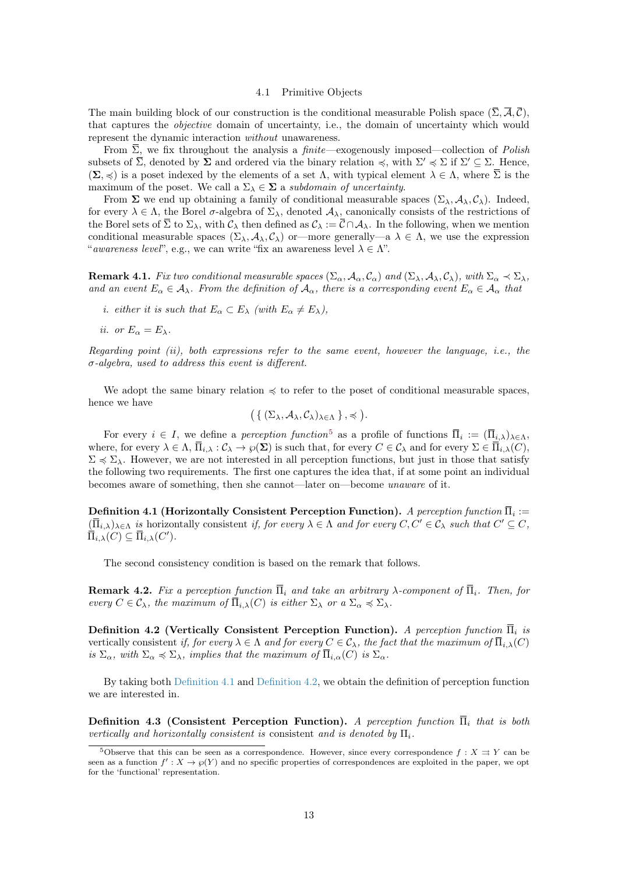4.1 Primitive Objects

<span id="page-12-0"></span>The main building block of our construction is the conditional measurable Polish space  $(\overline{\Sigma}, \overline{\mathcal{A}}, \overline{\mathcal{C}})$ , that captures the *objective* domain of uncertainty, i.e., the domain of uncertainty which would represent the dynamic interaction without unawareness.

From  $\overline{\Sigma}$ , we fix throughout the analysis a *finite*—exogenously imposed—collection of *Polish* subsets of  $\overline{\Sigma}$ , denoted by  $\Sigma$  and ordered via the binary relation  $\preccurlyeq$ , with  $\Sigma' \preccurlyeq \Sigma$  if  $\Sigma' \subseteq \Sigma$ . Hence,  $(\Sigma, \preccurlyeq)$  is a poset indexed by the elements of a set  $\Lambda$ , with typical element  $\lambda \in \Lambda$ , where  $\overline{\Sigma}$  is the maximum of the poset. We call a  $\Sigma_{\lambda} \in \Sigma$  a subdomain of uncertainty.

From  $\Sigma$  we end up obtaining a family of conditional measurable spaces  $(\Sigma_{\lambda}, \mathcal{A}_{\lambda}, \mathcal{C}_{\lambda})$ . Indeed, for every  $\lambda \in \Lambda$ , the Borel  $\sigma$ -algebra of  $\Sigma_{\lambda}$ , denoted  $\mathcal{A}_{\lambda}$ , canonically consists of the restrictions of the Borel sets of  $\overline{\Sigma}$  to  $\Sigma_{\lambda}$ , with  $\mathcal{C}_{\lambda}$  then defined as  $\mathcal{C}_{\lambda} := \overline{\mathcal{C}} \cap \mathcal{A}_{\lambda}$ . In the following, when we mention conditional measurable spaces  $(\Sigma_{\lambda}, \mathcal{A}_{\lambda}, \mathcal{C}_{\lambda})$  or—more generally—a  $\lambda \in \Lambda$ , we use the expression "awareness level", e.g., we can write "fix an awareness level  $\lambda \in \Lambda$ ".

<span id="page-12-5"></span>**Remark 4.1.** Fix two conditional measurable spaces  $(\Sigma_{\alpha}, A_{\alpha}, C_{\alpha})$  and  $(\Sigma_{\lambda}, A_{\lambda}, C_{\lambda})$ , with  $\Sigma_{\alpha} \prec \Sigma_{\lambda}$ , and an event  $E_{\alpha} \in A_{\lambda}$ . From the definition of  $A_{\alpha}$ , there is a corresponding event  $E_{\alpha} \in A_{\alpha}$  that

*i.* either it is such that  $E_{\alpha} \subset E_{\lambda}$  (with  $E_{\alpha} \neq E_{\lambda}$ ),

ii. or  $E_{\alpha} = E_{\lambda}$ .

Regarding point (ii), both expressions refer to the same event, however the language, i.e., the  $\sigma$ -algebra, used to address this event is different.

We adopt the same binary relation  $\preccurlyeq$  to refer to the poset of conditional measurable spaces, hence we have

$$
\big(\,\{\,(\Sigma_\lambda,\mathcal{A}_\lambda,\mathcal{C}_\lambda)_{\lambda\in\Lambda}\,\}\,,\preccurlyeq\,\big).
$$

For every  $i \in I$ , we define a *perception function*<sup>[5](#page-12-2)</sup> as a profile of functions  $\overline{\Pi}_i := (\overline{\Pi}_{i,\lambda})_{\lambda \in \Lambda}$ , where, for every  $\lambda \in \Lambda$ ,  $\overline{\Pi}_{i,\lambda} : \mathcal{C}_{\lambda} \to \wp(\Sigma)$  is such that, for every  $C \in \mathcal{C}_{\lambda}$  and for every  $\Sigma \in \overline{\Pi}_{i,\lambda}(C)$ ,  $\Sigma \preccurlyeq \Sigma_{\lambda}$ . However, we are not interested in all perception functions, but just in those that satisfy the following two requirements. The first one captures the idea that, if at some point an individual becomes aware of something, then she cannot—later on—become unaware of it.

<span id="page-12-3"></span> ${\bf Definition \ 4.1}$  (Horizontally Consistent Perception Function).  $A$   $\it perception\ function$   $\Pi_i$  :=  $(\overline{\Pi}_{i,\lambda})_{\lambda \in \Lambda}$  is horizontally consistent if, for every  $\lambda \in \Lambda$  and for every  $C, C' \in \mathcal{C}_{\lambda}$  such that  $C' \subseteq C$ ,  $\overline{\Pi}_{i,\lambda}(C) \subseteq \overline{\Pi}_{i,\lambda}(C').$ 

The second consistency condition is based on the remark that follows.

**Remark 4.2.** Fix a perception function  $\overline{\Pi}_i$  and take an arbitrary  $\lambda$ -component of  $\overline{\Pi}_i$ . Then, for every  $C \in \mathcal{C}_{\lambda}$ , the maximum of  $\overline{\Pi}_{i,\lambda}(C)$  is either  $\Sigma_{\lambda}$  or a  $\Sigma_{\alpha} \preccurlyeq \Sigma_{\lambda}$ .

<span id="page-12-4"></span>Definition 4.2 (Vertically Consistent Perception Function). A perception function  $\overline{\Pi}_i$  is vertically consistent if, for every  $\lambda \in \Lambda$  and for every  $C \in \mathcal{C}_{\lambda}$ , the fact that the maximum of  $\overline{\Pi}_{i,\lambda}(C)$ is  $\Sigma_{\alpha}$ , with  $\Sigma_{\alpha} \preccurlyeq \Sigma_{\lambda}$ , implies that the maximum of  $\overline{\Pi}_{i,\alpha}(C)$  is  $\Sigma_{\alpha}$ .

By taking both [Definition 4.1](#page-12-3) and [Definition 4.2,](#page-12-4) we obtain the definition of perception function we are interested in.

<span id="page-12-1"></span>**Definition 4.3 (Consistent Perception Function).** A perception function  $\overline{\Pi}$ , that is both vertically and horizontally consistent is consistent and is denoted by  $\Pi_i$ .

<span id="page-12-2"></span><sup>&</sup>lt;sup>5</sup>Observe that this can be seen as a correspondence. However, since every correspondence  $f : X \rightrightarrows Y$  can be seen as a function  $f': X \to \wp(Y)$  and no specific properties of correspondences are exploited in the paper, we opt for the 'functional' representation.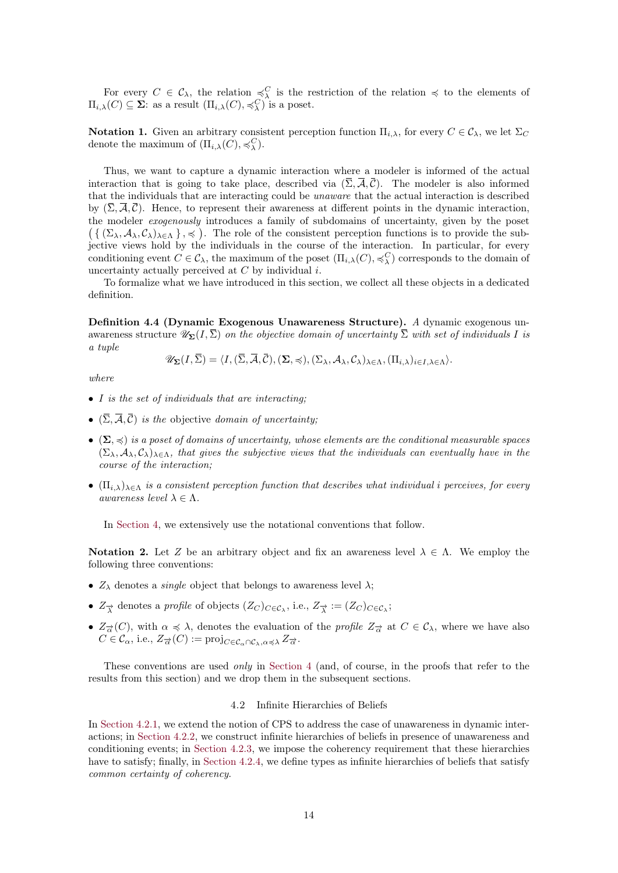For every  $C \in \mathcal{C}_{\lambda}$ , the relation  $\preceq^C_{\lambda}$  is the restriction of the relation  $\preceq$  to the elements of  $\Pi_{i,\lambda}(C) \subseteq \Sigma$ : as a result  $(\Pi_{i,\lambda}(C), \preccurlyeq^C_{\lambda})$  is a poset.

**Notation 1.** Given an arbitrary consistent perception function  $\Pi_{i,\lambda}$ , for every  $C \in \mathcal{C}_{\lambda}$ , we let  $\Sigma_C$ denote the maximum of  $(\Pi_{i,\lambda}(C), \preccurlyeq^C_{\lambda}).$ 

Thus, we want to capture a dynamic interaction where a modeler is informed of the actual interaction that is going to take place, described via  $(\overline{\Sigma}, \overline{\mathcal{A}}, \overline{\mathcal{C}})$ . The modeler is also informed that the individuals that are interacting could be unaware that the actual interaction is described by  $(\overline{\Sigma}, \overline{\mathcal{A}}, \overline{\mathcal{C}})$ . Hence, to represent their awareness at different points in the dynamic interaction, the modeler exogenously introduces a family of subdomains of uncertainty, given by the poset  $({\{\Sigma_\lambda, \mathcal{A}_\lambda, \mathcal{C}_\lambda\}_{\lambda \in \Lambda}\}\)$ . The role of the consistent perception functions is to provide the subjective views hold by the individuals in the course of the interaction. In particular, for every conditioning event  $C \in \mathcal{C}_{\lambda}$ , the maximum of the poset  $(\Pi_{i,\lambda}(C), \preccurlyeq^C_{\lambda})$  corresponds to the domain of uncertainty actually perceived at  $C$  by individual  $i$ .

To formalize what we have introduced in this section, we collect all these objects in a dedicated definition.

<span id="page-13-1"></span>Definition 4.4 (Dynamic Exogenous Unawareness Structure). A dynamic exogenous unawareness structure  $\mathscr{U}_{\Sigma}(I,\overline{\Sigma})$  on the objective domain of uncertainty  $\overline{\Sigma}$  with set of individuals I is a tuple

 $\mathscr{U}_{\Sigma}(I,\overline{\Sigma}) = \langle I,(\overline{\Sigma},\overline{\mathcal{A}},\overline{\mathcal{C}}),(\Sigma,\preccurlyeq),(\Sigma_{\lambda},\mathcal{A}_{\lambda},\mathcal{C}_{\lambda})_{\lambda\in\Lambda},(\Pi_{i,\lambda})_{i\in I,\lambda\in\Lambda}\rangle.$ 

where

- $\bullet$  I is the set of individuals that are interacting;
- $(\overline{\Sigma}, \overline{\mathcal{A}}, \overline{\mathcal{C}})$  is the objective domain of uncertainty;
- $(\Sigma, \preccurlyeq)$  is a poset of domains of uncertainty, whose elements are the conditional measurable spaces  $(\Sigma_{\lambda}, \mathcal{A}_{\lambda}, C_{\lambda})_{\lambda \in \Lambda}$ , that gives the subjective views that the individuals can eventually have in the course of the interaction;
- $(\Pi_{i,\lambda})_{\lambda\in\Lambda}$  is a consistent perception function that describes what individual i perceives, for every awareness level  $\lambda \in \Lambda$ .

In [Section 4,](#page-11-0) we extensively use the notational conventions that follow.

Notation 2. Let Z be an arbitrary object and fix an awareness level  $\lambda \in \Lambda$ . We employ the following three conventions:

- $Z_{\lambda}$  denotes a *single* object that belongs to awareness level  $\lambda$ ;
- $Z_{\vec{\lambda}}$  denotes a *profile* of objects  $(Z_C)_{C \in \mathcal{C}_\lambda}$ , i.e.,  $Z_{\vec{\lambda}} := (Z_C)_{C \in \mathcal{C}_\lambda}$ ;
- $Z_{\overrightarrow{\alpha}}(C)$ , with  $\alpha \preccurlyeq \lambda$ , denotes the evaluation of the *profile*  $Z_{\overrightarrow{\alpha}}$  at  $C \in \mathcal{C}_{\lambda}$ , where we have also  $C \in \mathcal{C}_{\alpha}$ , i.e.,  $Z_{\overrightarrow{\alpha}}(C) := \text{proj}_{C \in \mathcal{C}_{\alpha} \cap \mathcal{C}_{\lambda}, \alpha \preccurlyeq \lambda} Z_{\overrightarrow{\alpha}}$ .

These conventions are used *only* in [Section 4](#page-11-0) (and, of course, in the proofs that refer to the results from this section) and we drop them in the subsequent sections.

## 4.2 Infinite Hierarchies of Beliefs

<span id="page-13-0"></span>In [Section 4.2.1,](#page-14-0) we extend the notion of CPS to address the case of unawareness in dynamic interactions; in [Section 4.2.2,](#page-14-1) we construct infinite hierarchies of beliefs in presence of unawareness and conditioning events; in [Section 4.2.3,](#page-16-0) we impose the coherency requirement that these hierarchies have to satisfy; finally, in [Section 4.2.4,](#page-17-0) we define types as infinite hierarchies of beliefs that satisfy common certainty of coherency.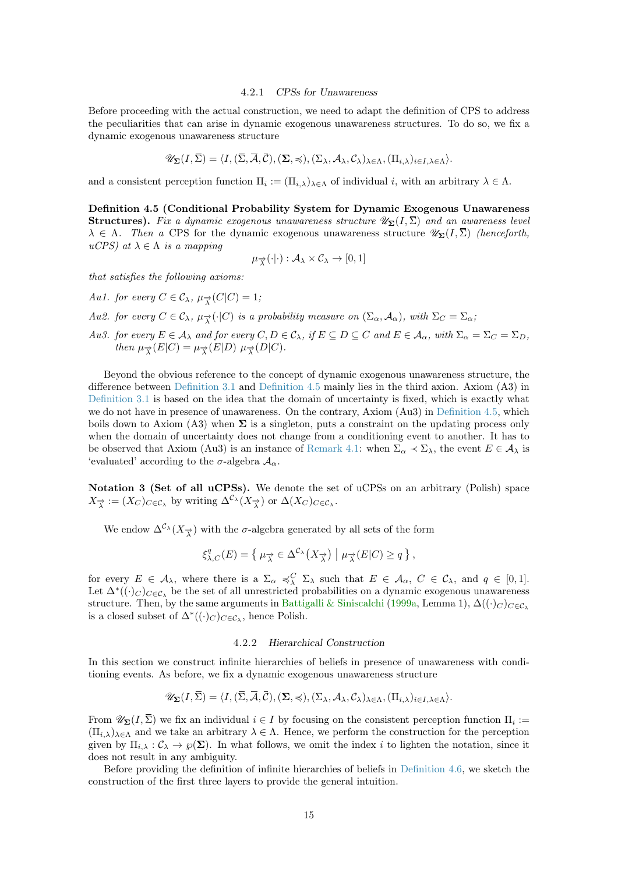#### 4.2.1 CPSs for Unawareness

<span id="page-14-3"></span><span id="page-14-0"></span>Before proceeding with the actual construction, we need to adapt the definition of CPS to address the peculiarities that can arise in dynamic exogenous unawareness structures. To do so, we fix a dynamic exogenous unawareness structure

$$
\mathscr{U}_{\Sigma}(I,\overline{\Sigma})=\langle I, (\overline{\Sigma},\overline{\mathcal{A}},\overline{\mathcal{C}}),(\Sigma,\preccurlyeq),(\Sigma_{\lambda},\mathcal{A}_{\lambda},\mathcal{C}_{\lambda})_{\lambda\in\Lambda},(\Pi_{i,\lambda})_{i\in I,\lambda\in\Lambda}\rangle.
$$

and a consistent perception function  $\Pi_i := (\Pi_{i,\lambda})_{\lambda \in \Lambda}$  of individual i, with an arbitrary  $\lambda \in \Lambda$ .

<span id="page-14-2"></span>Definition 4.5 (Conditional Probability System for Dynamic Exogenous Unawareness **Structures).** Fix a dynamic exogenous unawareness structure  $\mathscr{U}_{\Sigma}(I,\overline{\Sigma})$  and an awareness level  $\lambda \in \Lambda$ . Then a CPS for the dynamic exogenous unawareness structure  $\mathscr{U}_{\Sigma}(I,\overline{\Sigma})$  (henceforth, uCPS) at  $\lambda \in \Lambda$  is a mapping

$$
\mu_{\overrightarrow{\lambda}}(\cdot|\cdot): \mathcal{A}_{\lambda} \times \mathcal{C}_{\lambda} \to [0,1]
$$

that satisfies the following axioms:

Au1. for every  $C \in \mathcal{C}_{\lambda}, \mu_{\overrightarrow{\lambda}}(C|C) = 1$ ;

- Au2. for every  $C \in \mathcal{C}_\lambda$ ,  $\mu_\lambda^{\rightarrow}(\cdot|C)$  is a probability measure on  $(\Sigma_\alpha, \mathcal{A}_\alpha)$ , with  $\Sigma_C = \Sigma_\alpha$ ;
- Au3. for every  $E \in A_\lambda$  and for every  $C, D \in C_\lambda$ , if  $E \subseteq D \subseteq C$  and  $E \in A_\alpha$ , with  $\Sigma_\alpha = \Sigma_C = \Sigma_D$ , then  $\mu_{\overrightarrow{\lambda}}(E|C) = \mu_{\overrightarrow{\lambda}}(E|D) \mu_{\overrightarrow{\lambda}}(D|C)$ .

Beyond the obvious reference to the concept of dynamic exogenous unawareness structure, the difference between [Definition 3.1](#page-10-2) and [Definition 4.5](#page-14-2) mainly lies in the third axion. Axiom (A3) in [Definition 3.1](#page-10-2) is based on the idea that the domain of uncertainty is fixed, which is exactly what we do not have in presence of unawareness. On the contrary, Axiom (Au3) in [Definition 4.5,](#page-14-2) which boils down to Axiom (A3) when  $\Sigma$  is a singleton, puts a constraint on the updating process only when the domain of uncertainty does not change from a conditioning event to another. It has to be observed that Axiom (Au3) is an instance of [Remark 4.1:](#page-12-5) when  $\Sigma_{\alpha} \prec \Sigma_{\lambda}$ , the event  $E \in A_{\lambda}$  is 'evaluated' according to the  $\sigma$ -algebra  $\mathcal{A}_{\alpha}$ .

Notation 3 (Set of all uCPSs). We denote the set of uCPSs on an arbitrary (Polish) space  $X_{\overrightarrow{\lambda}} := (X_C)_{C \in \mathcal{C}_{\lambda}}$  by writing  $\Delta^{\mathcal{C}_{\lambda}}(X_{\overrightarrow{\lambda}})$  or  $\Delta(X_C)_{C \in \mathcal{C}_{\lambda}}$ .

We endow  $\Delta^{\mathcal{C}_{\lambda}}(X_{\overrightarrow{\lambda}})$  with the  $\sigma$ -algebra generated by all sets of the form

$$
\xi_{\lambda,C}^q(E) = \left\{ \mu_{\overrightarrow{\lambda}} \in \Delta^{\mathcal{C}_\lambda}(X_{\overrightarrow{\lambda}}) \mid \mu_{\overrightarrow{\lambda}}(E|C) \geq q \right\},\,
$$

for every  $E \in \mathcal{A}_{\lambda}$ , where there is a  $\Sigma_{\alpha} \preccurlyeq_{\lambda}^C \Sigma_{\lambda}$  such that  $E \in \mathcal{A}_{\alpha}, C \in \mathcal{C}_{\lambda}$ , and  $q \in [0,1]$ . Let  $\Delta^*(\cdot)_C$ <sub>C∈C<sub>λ</sub> be the set of all unrestricted probabilities on a dynamic exogenous unawareness</sub> structure. Then, by the same arguments in [Battigalli & Siniscalchi](#page-37-0) [\(1999a,](#page-37-0) Lemma 1),  $\Delta((\cdot)_C)_{C \in \mathcal{C}_\lambda}$ is a closed subset of  $\Delta^*( (·)_{C})_{C \in \mathcal{C}_{\lambda}}$ , hence Polish.

# 4.2.2 Hierarchical Construction

<span id="page-14-1"></span>In this section we construct infinite hierarchies of beliefs in presence of unawareness with conditioning events. As before, we fix a dynamic exogenous unawareness structure

$$
\mathscr{U}_{\Sigma}(I,\overline{\Sigma})=\langle I, (\overline{\Sigma},\overline{\mathcal{A}},\overline{\mathcal{C}}),(\Sigma,\preccurlyeq),(\Sigma_{\lambda},\mathcal{A}_{\lambda},\mathcal{C}_{\lambda})_{\lambda\in\Lambda},(\Pi_{i,\lambda})_{i\in I,\lambda\in\Lambda}\rangle.
$$

From  $\mathscr{U}_{\Sigma}(I,\Sigma)$  we fix an individual  $i \in I$  by focusing on the consistent perception function  $\Pi_i :=$  $(\Pi_{i,\lambda})_{\lambda\in\Lambda}$  and we take an arbitrary  $\lambda\in\Lambda$ . Hence, we perform the construction for the perception given by  $\Pi_{i,\lambda} : C_{\lambda} \to \wp(\Sigma)$ . In what follows, we omit the index i to lighten the notation, since it does not result in any ambiguity.

Before providing the definition of infinite hierarchies of beliefs in [Definition 4.6,](#page-16-1) we sketch the construction of the first three layers to provide the general intuition.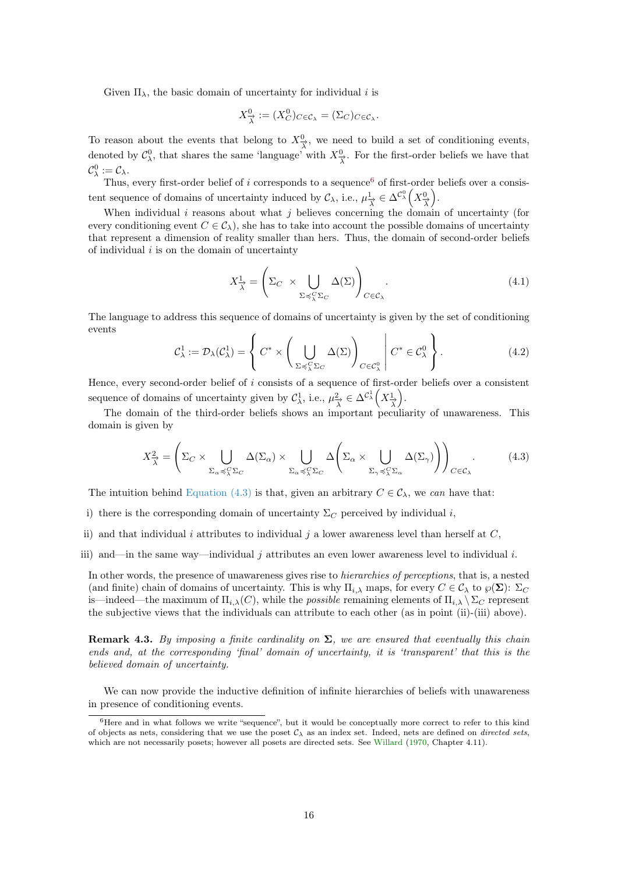<span id="page-15-3"></span>Given  $\Pi_{\lambda}$ , the basic domain of uncertainty for individual i is

$$
X^0_{\overrightarrow{\lambda}} := (X^0_C)_{C \in \mathcal{C}_{\lambda}} = (\Sigma_C)_{C \in \mathcal{C}_{\lambda}}.
$$

To reason about the events that belong to  $X^0_{\overline{\lambda}}$ , we need to build a set of conditioning events, denoted by  $\mathcal{C}^0_\lambda$ , that shares the same 'language' with  $X^0_{\overrightarrow{\lambda}}$ . For the first-order beliefs we have that  $\mathcal{C}^0_\lambda := \mathcal{C}_\lambda.$ 

Thus, every first-order belief of  $i$  corresponds to a sequence<sup>[6](#page-15-0)</sup> of first-order beliefs over a consistent sequence of domains of uncertainty induced by  $\mathcal{C}_{\lambda}$ , i.e.,  $\mu_{\overrightarrow{\lambda}}^1 \in \Delta^{\mathcal{C}_{\lambda}}\left(X_{\overrightarrow{\lambda}}^0\right)$ .

When individual  $i$  reasons about what  $j$  believes concerning the domain of uncertainty (for every conditioning event  $C \in \mathcal{C}_{\lambda}$ , she has to take into account the possible domains of uncertainty that represent a dimension of reality smaller than hers. Thus, the domain of second-order beliefs of individual  $i$  is on the domain of uncertainty

$$
X_{\overrightarrow{\lambda}}^1 = \left(\Sigma_C \times \bigcup_{\Sigma \preccurlyeq \zeta_{\lambda}^C \Sigma_C} \Delta(\Sigma)\right)_{C \in \mathcal{C}_{\lambda}}.\tag{4.1}
$$

The language to address this sequence of domains of uncertainty is given by the set of conditioning events

$$
C_{\lambda}^{1} := \mathcal{D}_{\lambda}(C_{\lambda}^{1}) = \left\{ C^{*} \times \left( \bigcup_{\Sigma \preccurlyeq_{\lambda}^{C} \Sigma_{C}} \Delta(\Sigma) \right)_{C \in C_{\lambda}^{0}} \middle| C^{*} \in C_{\lambda}^{0} \right\}.
$$
\n(4.2)

Hence, every second-order belief of i consists of a sequence of first-order beliefs over a consistent sequence of domains of uncertainty given by  $\mathcal{C}_{\lambda}^1$ , i.e.,  $\mu_{\overrightarrow{\lambda}}^2 \in \Delta^{\mathcal{C}_{\lambda}^1} \left( X_{\overrightarrow{\lambda}}^1 \right)$ .

The domain of the third-order beliefs shows an important peculiarity of unawareness. This domain is given by

<span id="page-15-1"></span>
$$
X_{\overrightarrow{\lambda}}^2 = \left(\Sigma_C \times \bigcup_{\Sigma_\alpha \preccurlyeq_\lambda^C \Sigma_C} \Delta(\Sigma_\alpha) \times \bigcup_{\Sigma_\alpha \preccurlyeq_\lambda^C \Sigma_C} \Delta\left(\Sigma_\alpha \times \bigcup_{\Sigma_\gamma \preccurlyeq_\lambda^C \Sigma_\alpha} \Delta(\Sigma_\gamma)\right)\right)_{C \in \mathcal{C}_\lambda}.\tag{4.3}
$$

The intuition behind [Equation \(4.3\)](#page-15-1) is that, given an arbitrary  $C \in \mathcal{C}_{\lambda}$ , we can have that:

- i) there is the corresponding domain of uncertainty  $\Sigma_C$  perceived by individual i,
- ii) and that individual i attributes to individual j a lower awareness level than herself at  $C$ ,
- iii) and—in the same way—individual j attributes an even lower awareness level to individual i.

In other words, the presence of unawareness gives rise to hierarchies of perceptions, that is, a nested (and finite) chain of domains of uncertainty. This is why  $\Pi_{i,\lambda}$  maps, for every  $C \in \mathcal{C}_{\lambda}$  to  $\wp(\Sigma)$ :  $\Sigma_C$ is—indeed—the maximum of  $\Pi_{i,\lambda}(C)$ , while the *possible* remaining elements of  $\Pi_{i,\lambda} \setminus \Sigma_C$  represent the subjective views that the individuals can attribute to each other (as in point (ii)-(iii) above).

<span id="page-15-2"></span>**Remark 4.3.** By imposing a finite cardinality on  $\Sigma$ , we are ensured that eventually this chain ends and, at the corresponding 'final' domain of uncertainty, it is 'transparent' that this is the believed domain of uncertainty.

We can now provide the inductive definition of infinite hierarchies of beliefs with unawareness in presence of conditioning events.

<span id="page-15-0"></span><sup>6</sup>Here and in what follows we write "sequence", but it would be conceptually more correct to refer to this kind of objects as nets, considering that we use the poset  $C_{\lambda}$  as an index set. Indeed, nets are defined on *directed sets*, which are not necessarily posets; however all posets are directed sets. See [Willard](#page-39-12) [\(1970,](#page-39-12) Chapter 4.11).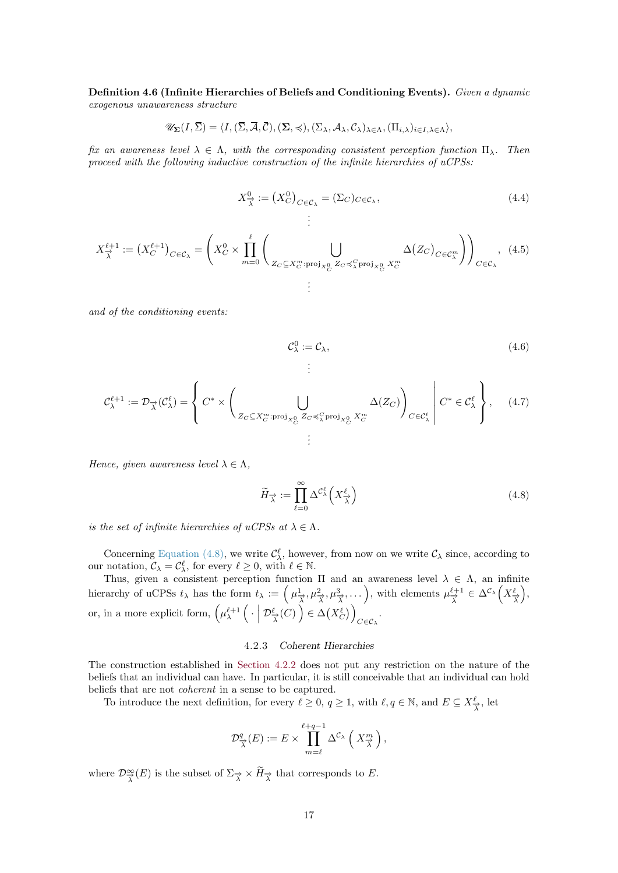<span id="page-16-1"></span>Definition 4.6 (Infinite Hierarchies of Beliefs and Conditioning Events). Given a dynamic exogenous unawareness structure

$$
\mathscr{U}_{\Sigma}(I,\overline{\Sigma})=\langle I,(\overline{\Sigma},\overline{\mathcal{A}},\overline{\mathcal{C}}),(\Sigma,\preccurlyeq),(\Sigma_{\lambda},\mathcal{A}_{\lambda},\mathcal{C}_{\lambda})_{\lambda\in\Lambda},(\Pi_{i,\lambda})_{i\in I,\lambda\in\Lambda}\rangle,
$$

fix an awareness level  $\lambda \in \Lambda$ , with the corresponding consistent perception function  $\Pi_{\lambda}$ . Then proceed with the following inductive construction of the infinite hierarchies of uCPSs:

$$
X^0_{\overrightarrow{\lambda}} := (X^0_C)_{C \in \mathcal{C}_{\lambda}} = (\Sigma_C)_{C \in \mathcal{C}_{\lambda}},
$$
\n
$$
\vdots
$$
\n(4.4)

$$
X_{\overrightarrow{\lambda}}^{\ell+1} := \left(X_C^{\ell+1}\right)_{C \in \mathcal{C}_{\lambda}} = \left(X_C^0 \times \prod_{m=0}^{\ell} \left(\bigcup_{Z_C \subseteq X_C^m : \text{proj}_{X_C^0} Z_C \preccurlyeq_X^C \text{proj}_{X_C^0} X_C^m} \Delta(Z_C)_{C \in \mathcal{C}_{\lambda}^m}\right)\right)_{C \in \mathcal{C}_{\lambda}}, \tag{4.5}
$$

and of the conditioning events:

$$
\mathcal{C}_{\lambda}^{0} := \mathcal{C}_{\lambda},\tag{4.6}
$$

$$
\mathcal{C}_{\lambda}^{\ell+1} := \mathcal{D}_{\overrightarrow{\lambda}}(\mathcal{C}_{\lambda}^{\ell}) = \left\{ C^* \times \left( \bigcup_{Z_C \subseteq X_C^m : \text{proj}_{X_C^0} Z_C \preceq \zeta \text{proj}_{X_C^0} X_C^m} \Delta(Z_C) \right)_{C \in \mathcal{C}_{\lambda}^{\ell}} \middle| C^* \in \mathcal{C}_{\lambda}^{\ell} \right\}, \quad (4.7)
$$

Hence, given awareness level  $\lambda \in \Lambda$ ,

<span id="page-16-2"></span>
$$
\widetilde{H}_{\overrightarrow{\lambda}} := \prod_{\ell=0}^{\infty} \Delta^{\mathcal{C}_{\lambda}^{\ell}} \left( X_{\overrightarrow{\lambda}}^{\ell} \right)
$$
\n(4.8)

is the set of infinite hierarchies of uCPSs at  $\lambda \in \Lambda$ .

Concerning [Equation \(4.8\),](#page-16-2) we write  $\mathcal{C}_{\lambda}^{\ell}$ , however, from now on we write  $\mathcal{C}_{\lambda}$  since, according to our notation,  $\mathcal{C}_{\lambda} = \mathcal{C}_{\lambda}^{\ell}$ , for every  $\ell \geq 0$ , with  $\ell \in \mathbb{N}$ .

Thus, given a consistent perception function  $\Pi$  and an awareness level  $\lambda \in \Lambda$ , an infinite hierarchy of uCPSs  $t_\lambda$  has the form  $t_\lambda := \left(\mu_{\overrightarrow{\lambda}}^1, \mu_{\overrightarrow{\lambda}}^2, \mu_{\overrightarrow{\lambda}}^3, \dots\right)$ , with elements  $\mu_{\overrightarrow{\lambda}}^{\ell+1} \in \Delta^{\mathcal{C}_\lambda}\left(X_{\overrightarrow{\lambda}}^{\ell}\right)$ , or, in a more explicit form,  $\left(\mu_{\lambda}^{\ell+1}\left(\cdot \mid \mathcal{D}_{\overrightarrow{\lambda}}^{\ell}(C)\right) \in \Delta(X_C^{\ell})\right)$  $C \in \mathcal{C}_{\lambda}$ .

## 4.2.3 Coherent Hierarchies

<span id="page-16-0"></span>The construction established in [Section 4.2.2](#page-14-1) does not put any restriction on the nature of the beliefs that an individual can have. In particular, it is still conceivable that an individual can hold beliefs that are not coherent in a sense to be captured.

To introduce the next definition, for every  $\ell \geq 0, q \geq 1$ , with  $\ell, q \in \mathbb{N}$ , and  $E \subseteq X^{\ell}_{\overrightarrow{\lambda}}$ , let

$$
\mathcal{D}^q_{\overrightarrow{\lambda}}(E) := E \times \prod_{m=\ell}^{\ell+q-1} \Delta^{\mathcal{C}_{\lambda}} \left( X^m_{\overrightarrow{\lambda}} \right),
$$

where  $\mathcal{D}^{\infty}_{\overline{\lambda}}(E)$  is the subset of  $\Sigma_{\overrightarrow{\lambda}} \times \widetilde{H}_{\overrightarrow{\lambda}}$  that corresponds to E.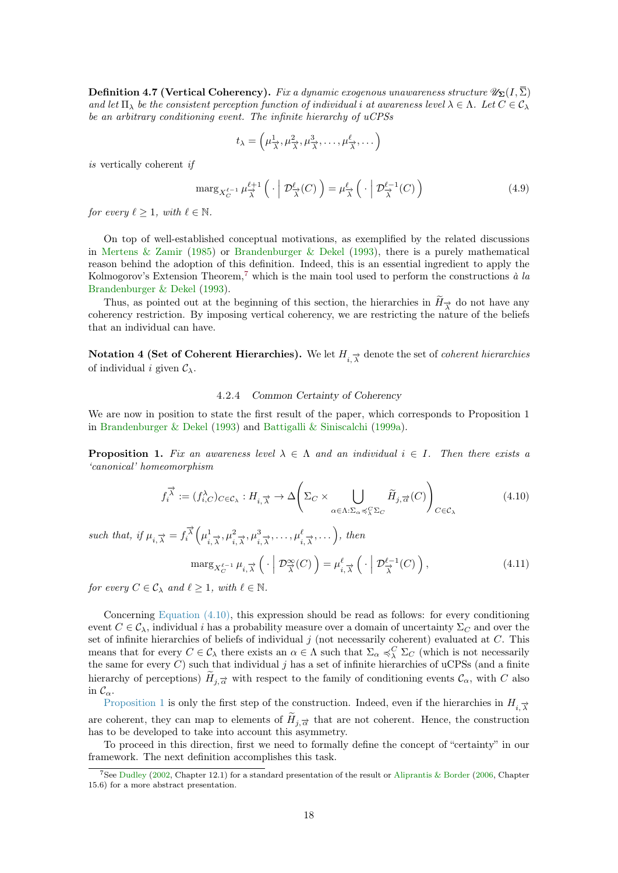<span id="page-17-6"></span><span id="page-17-4"></span>**Definition 4.7 (Vertical Coherency).** Fix a dynamic exogenous unawareness structure  $\mathscr{U}_{\Sigma}(I,\overline{\Sigma})$ and let  $\Pi_{\lambda}$  be the consistent perception function of individual i at awareness level  $\lambda \in \Lambda$ . Let  $C \in \mathcal{C}_{\lambda}$ be an arbitrary conditioning event. The infinite hierarchy of uCPSs

$$
t_{\lambda} = \left(\mu_{\overrightarrow{\lambda}}^1, \mu_{\overrightarrow{\lambda}}^2, \mu_{\overrightarrow{\lambda}}^3, \dots, \mu_{\overrightarrow{\lambda}}^{\ell}, \dots\right)
$$

is vertically coherent if

$$
\operatorname{marg}_{X_C^{\ell-1}} \mu_{\overrightarrow{\lambda}}^{\ell+1} \left( \cdot \mid \mathcal{D}_{\overrightarrow{\lambda}}^{\ell}(C) \right) = \mu_{\overrightarrow{\lambda}}^{\ell} \left( \cdot \mid \mathcal{D}_{\overrightarrow{\lambda}}^{\ell-1}(C) \right)
$$
(4.9)

for every  $\ell > 1$ , with  $\ell \in \mathbb{N}$ .

On top of well-established conceptual motivations, as exemplified by the related discussions in [Mertens & Zamir](#page-39-4) [\(1985\)](#page-39-4) or [Brandenburger & Dekel](#page-38-12) [\(1993\)](#page-38-12), there is a purely mathematical reason behind the adoption of this definition. Indeed, this is an essential ingredient to apply the Kolmogorov's Extension Theorem,<sup>[7](#page-17-1)</sup> which is the main tool used to perform the constructions à la [Brandenburger & Dekel](#page-38-12) [\(1993\)](#page-38-12).

Thus, as pointed out at the beginning of this section, the hierarchies in  $H_{\overrightarrow{\lambda}}$  do not have any coherency restriction. By imposing vertical coherency, we are restricting the nature of the beliefs that an individual can have.

Notation 4 (Set of Coherent Hierarchies). We let  $H_{i,\overrightarrow{\lambda}}$  denote the set of *coherent hierarchies* of individual i given  $\mathcal{C}_{\lambda}$ .

## 4.2.4 Common Certainty of Coherency

<span id="page-17-0"></span>We are now in position to state the first result of the paper, which corresponds to Proposition 1 in [Brandenburger & Dekel](#page-38-12) [\(1993\)](#page-38-12) and [Battigalli & Siniscalchi](#page-37-0) [\(1999a\)](#page-37-0).

<span id="page-17-3"></span>**Proposition 1.** Fix an awareness level  $\lambda \in \Lambda$  and an individual  $i \in I$ . Then there exists a 'canonical' homeomorphism

<span id="page-17-2"></span>
$$
f_i^{\vec{\lambda}} := (f_{i,C}^{\lambda})_{C \in \mathcal{C}_{\lambda}} : H_{i,\vec{\lambda}} \to \Delta \left( \Sigma_C \times \bigcup_{\alpha \in \Lambda : \Sigma_{\alpha} \preccurlyeq^C_{\lambda} \Sigma_C} \widetilde{H}_{j,\vec{\alpha}}(C) \right)_{C \in \mathcal{C}_{\lambda}}
$$
(4.10)

such that, if  $\mu_{i,\overrightarrow{\lambda}} = f_i^{\overrightarrow{\lambda}} \left( \mu_i^1 \right)$  $\left(\frac{1}{i}, \frac{1}{\lambda}, \mu^2, \frac{1}{\lambda}, \mu^3, \frac{1}{\lambda}, \ldots, \mu^{\ell}, \frac{1}{\lambda}, \ldots\right)$ , then

<span id="page-17-5"></span>
$$
\operatorname{marg}_{X_C^{\ell-1}} \mu_{i,\overrightarrow{\lambda}} \left( \cdot \middle| \mathcal{D}_{\overrightarrow{\lambda}}^{\infty}(C) \right) = \mu_{i,\overrightarrow{\lambda}}^{\ell} \left( \cdot \middle| \mathcal{D}_{\overrightarrow{\lambda}}^{\ell-1}(C) \right), \tag{4.11}
$$

for every  $C \in \mathcal{C}_{\lambda}$  and  $\ell \geq 1$ , with  $\ell \in \mathbb{N}$ .

Concerning [Equation \(4.10\),](#page-17-2) this expression should be read as follows: for every conditioning event  $C \in \mathcal{C}_{\lambda}$ , individual i has a probability measure over a domain of uncertainty  $\Sigma_C$  and over the set of infinite hierarchies of beliefs of individual  $j$  (not necessarily coherent) evaluated at  $C$ . This means that for every  $C \in \mathcal{C}_{\lambda}$  there exists an  $\alpha \in \Lambda$  such that  $\Sigma_{\alpha} \preccurlyeq_{\lambda}^C \Sigma_C$  (which is not necessarily the same for every  $C$ ) such that individual j has a set of infinite hierarchies of uCPSs (and a finite hierarchy of perceptions)  $H_{j,\overrightarrow{\alpha}}$  with respect to the family of conditioning events  $\mathcal{C}_{\alpha}$ , with C also in  $\mathcal{C}_{\alpha}$ .

[Proposition 1](#page-17-3) is only the first step of the construction. Indeed, even if the hierarchies in  $H_{i, \overrightarrow{\lambda}}$ are coherent, they can map to elements of  $H_{j,\vec{\alpha}}$  that are not coherent. Hence, the construction has to be developed to take into account this asymmetry.

To proceed in this direction, first we need to formally define the concept of "certainty" in our framework. The next definition accomplishes this task.

<span id="page-17-1"></span><sup>7</sup>See [Dudley](#page-38-13) [\(2002,](#page-38-13) Chapter 12.1) for a standard presentation of the result or [Aliprantis & Border](#page-37-10) [\(2006,](#page-37-10) Chapter 15.6) for a more abstract presentation.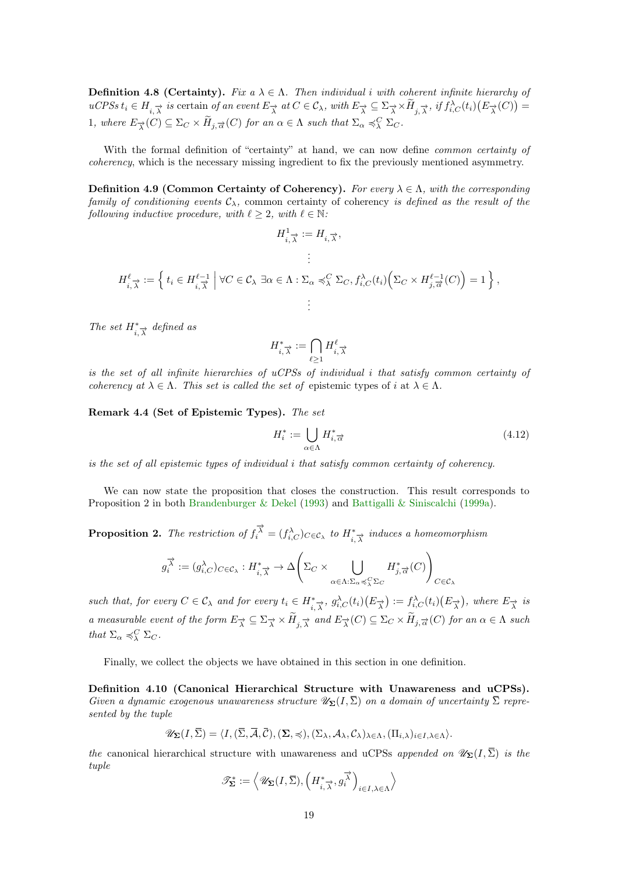<span id="page-18-3"></span>**Definition 4.8 (Certainty).** Fix  $a \lambda \in \Lambda$ . Then individual i with coherent infinite hierarchy of  $uCPSS t_i \in H_{i,\overrightarrow{\lambda}}$  is certain of an event  $E_{\overrightarrow{\lambda}}$  at  $C \in \mathcal{C}_{\lambda}$ , with  $E_{\overrightarrow{\lambda}} \subseteq \Sigma_{\overrightarrow{\lambda}} \times \overrightarrow{H}_{j,\overrightarrow{\lambda}}$ , if  $f_{i,C}^{\lambda}(t_i)(E_{\overrightarrow{\lambda}}(C)) =$ 1, where  $E_{\overrightarrow{\lambda}}(C) \subseteq \Sigma_C \times \widetilde{H}_{j, \overrightarrow{\alpha}}(C)$  for an  $\alpha \in \Lambda$  such that  $\Sigma_{\alpha} \preccurlyeq_{\lambda}^C \Sigma_C$ .

With the formal definition of "certainty" at hand, we can now define *common certainty of* coherency, which is the necessary missing ingredient to fix the previously mentioned asymmetry.

Definition 4.9 (Common Certainty of Coherency). For every  $\lambda \in \Lambda$ , with the corresponding family of conditioning events  $C_{\lambda}$ , common certainty of coherency is defined as the result of the following inductive procedure, with  $\ell \geq 2$ , with  $\ell \in \mathbb{N}$ :

$$
H_{i,\overrightarrow{\lambda}}^{1} := H_{i,\overrightarrow{\lambda}},
$$
  

$$
\vdots
$$
  

$$
H_{i,\overrightarrow{\lambda}}^{\ell} := \left\{ t_{i} \in H_{i,\overrightarrow{\lambda}}^{\ell-1} \middle| \forall C \in \mathcal{C}_{\lambda} \exists \alpha \in \Lambda : \Sigma_{\alpha} \preccurlyeq_{\lambda}^{C} \Sigma_{C}, f_{i,C}^{\lambda}(t_{i}) \Big( \Sigma_{C} \times H_{j,\overrightarrow{\alpha}}^{\ell-1}(C) \Big) = 1 \right\},
$$
  

$$
\vdots
$$

The set  $H^*_{i,\overrightarrow{\lambda}}$  defined as

$$
H^*_{i,\overrightarrow{\lambda}}:=\bigcap_{\ell\geq 1}H_{i,\overrightarrow{\lambda}}^{\ell}
$$

is the set of all infinite hierarchies of uCPSs of individual i that satisfy common certainty of coherency at  $\lambda \in \Lambda$ . This set is called the set of epistemic types of i at  $\lambda \in \Lambda$ .

<span id="page-18-2"></span>Remark 4.4 (Set of Epistemic Types). The set

$$
H_i^* := \bigcup_{\alpha \in \Lambda} H_{i, \overrightarrow{\alpha}}^* \tag{4.12}
$$

is the set of all epistemic types of individual i that satisfy common certainty of coherency.

We can now state the proposition that closes the construction. This result corresponds to Proposition 2 in both [Brandenburger & Dekel](#page-38-12) [\(1993\)](#page-38-12) and [Battigalli & Siniscalchi](#page-37-0) [\(1999a\)](#page-37-0).

<span id="page-18-0"></span>**Proposition 2.** The restriction of  $f_i^{\vec{\lambda}} = (f_{i,C}^{\lambda})_{C \in \mathcal{C}_{\lambda}}$  to  $H_{i,\vec{\lambda}}^*$  induces a homeomorphism

$$
g_i^{\overrightarrow{\lambda}} := (g_{i,C}^{\lambda})_{C \in \mathcal{C}_{\lambda}} : H_{i,\overrightarrow{\lambda}}^* \to \Delta \Biggl(\Sigma_C \times \bigcup_{\alpha \in \Lambda : \Sigma_{\alpha} \preccurlyeq_{\lambda}^C \Sigma_C} H_{j,\overrightarrow{\alpha}}^*(C)\Biggr)_{C \in \mathcal{C}_{\lambda}}
$$

such that, for every  $C \in \mathcal{C}_{\lambda}$  and for every  $t_i \in H^*_{i, \overline{\lambda}}$ ,  $g_{i,C}^{\lambda}(t_i)(E_{\overrightarrow{\lambda}}) := f_{i,C}^{\lambda}(t_i)(E_{\overrightarrow{\lambda}})$ , where  $E_{\overrightarrow{\lambda}}$  is a measurable event of the form  $E_{\overrightarrow{\lambda}} \subseteq \Sigma_{\overrightarrow{\lambda}} \times H_{j, \overrightarrow{\lambda}}$  and  $E_{\overrightarrow{\lambda}}(C) \subseteq \Sigma_C \times H_{j, \overrightarrow{\alpha}}(C)$  for an  $\alpha \in \Lambda$  such that  $\Sigma_{\alpha} \preccurlyeq_{\lambda}^C \Sigma_C$ .

Finally, we collect the objects we have obtained in this section in one definition.

<span id="page-18-1"></span>Definition 4.10 (Canonical Hierarchical Structure with Unawareness and uCPSs). Given a dynamic exogenous unawareness structure  $\mathscr{U}_{\Sigma}(I,\overline{\Sigma})$  on a domain of uncertainty  $\overline{\Sigma}$  represented by the tuple

$$
\mathscr{U}_{\Sigma}(I,\overline{\Sigma})=\langle I, (\overline{\Sigma},\overline{\mathcal{A}},\overline{\mathcal{C}}),(\Sigma,\preccurlyeq),(\Sigma_{\lambda},\mathcal{A}_{\lambda},\mathcal{C}_{\lambda})_{\lambda\in\Lambda},(\Pi_{i,\lambda})_{i\in I,\lambda\in\Lambda}\rangle.
$$

the canonical hierarchical structure with unawareness and uCPSs appended on  $\mathscr{U}_{\Sigma}(I,\overline{\Sigma})$  is the tuple

$$
\mathscr{T}_{\boldsymbol{\Sigma}}^*:=\Big\langle\mathscr{U}_{\boldsymbol{\Sigma}}(I,\overline{\Sigma}),\Big(H^*_{i,\overrightarrow{\lambda}},g_i^{\overrightarrow{\lambda}}\Big)_{i\in I,\lambda\in\Lambda}\Big\rangle
$$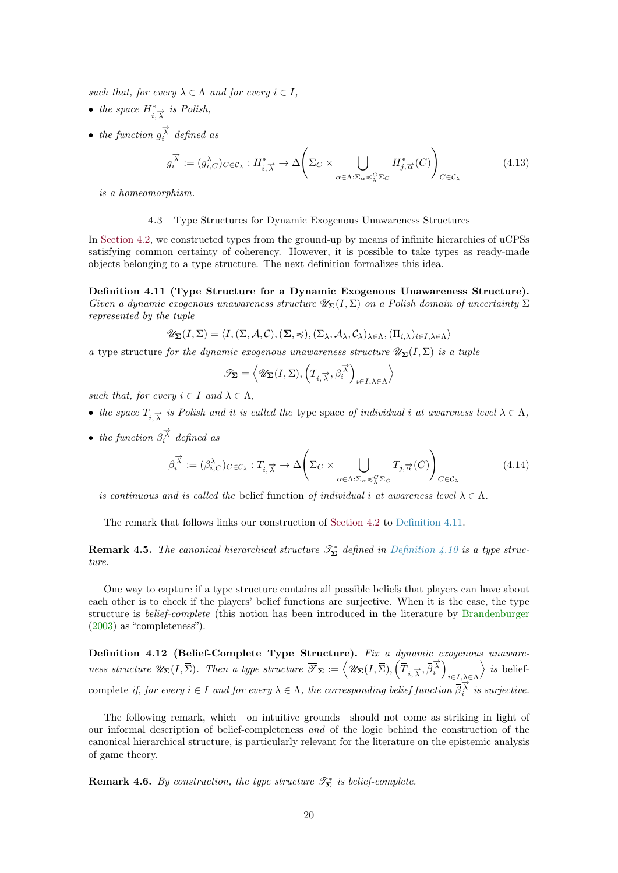<span id="page-19-5"></span>such that, for every  $\lambda \in \Lambda$  and for every  $i \in I$ ,

- the space  $H^*_{i,\overrightarrow{\lambda}}$  is Polish,
- the function  $g_i^{\overrightarrow{\lambda}}$  defined as

$$
g_i^{\vec{\lambda}} := (g_{i,C}^{\lambda})_{C \in \mathcal{C}_{\lambda}} : H_{i,\vec{\lambda}}^* \to \Delta \left( \Sigma_C \times \bigcup_{\alpha \in \Lambda : \Sigma_{\alpha} \preccurlyeq_{\lambda}^C \Sigma_C} H_{j,\vec{\alpha}}^*(C) \right)_{C \in \mathcal{C}_{\lambda}}
$$
(4.13)

is a homeomorphism.

## 4.3 Type Structures for Dynamic Exogenous Unawareness Structures

<span id="page-19-0"></span>In [Section 4.2,](#page-13-0) we constructed types from the ground-up by means of infinite hierarchies of uCPSs satisfying common certainty of coherency. However, it is possible to take types as ready-made objects belonging to a type structure. The next definition formalizes this idea.

<span id="page-19-1"></span>Definition 4.11 (Type Structure for a Dynamic Exogenous Unawareness Structure). Given a dynamic exogenous unawareness structure  $\mathscr{U}_{\Sigma}(I,\overline{\Sigma})$  on a Polish domain of uncertainty  $\overline{\Sigma}$ represented by the tuple

$$
\mathscr{U}_{\mathbf{\Sigma}}(I,\bar{\Sigma}) = \langle I, (\bar{\Sigma}, \bar{\mathcal{A}}, \bar{\mathcal{C}}), (\Sigma, \preccurlyeq), (\Sigma_{\lambda}, \mathcal{A}_{\lambda}, \mathcal{C}_{\lambda})_{\lambda \in \Lambda}, (\Pi_{i,\lambda})_{i \in I, \lambda \in \Lambda} \rangle
$$

a type structure for the dynamic exogenous unawareness structure  $\mathscr{U}_{\Sigma}(I,\overline{\Sigma})$  is a tuple

$$
\mathscr{T}_{\pmb{\Sigma}} = \left< \mathscr{U}_{\pmb{\Sigma}}(I,\overline{\Sigma}), \left(T_{i,\overrightarrow{\lambda}},\beta_i^{\overrightarrow{\lambda}}\right)_{i\in I, \lambda \in \Lambda} \right>
$$

such that, for every  $i \in I$  and  $\lambda \in \Lambda$ ,

- the space  $T_{i,\overrightarrow{\lambda}}$  is Polish and it is called the type space of individual i at awareness level  $\lambda \in \Lambda$ ,
- the function  $\beta_i^{\overrightarrow{\lambda}}$  defined as

$$
\beta_i^{\vec{\lambda}} := (\beta_{i,C}^{\lambda})_{C \in \mathcal{C}_{\lambda}} : T_{i,\vec{\lambda}} \to \Delta \left( \Sigma_C \times \bigcup_{\alpha \in \Lambda : \Sigma_{\alpha} \preccurlyeq_{\lambda}^C \Sigma_C} T_{j,\vec{\alpha}}(C) \right)_{C \in \mathcal{C}_{\lambda}}
$$
(4.14)

is continuous and is called the belief function of individual i at awareness level  $\lambda \in \Lambda$ .

The remark that follows links our construction of [Section 4.2](#page-13-0) to [Definition 4.11.](#page-19-1)

<span id="page-19-2"></span>**Remark 4.5.** The canonical hierarchical structure  $\mathscr{T}_{\Sigma}^{*}$  defined in [Definition 4.10](#page-18-1) is a type structure.

One way to capture if a type structure contains all possible beliefs that players can have about each other is to check if the players' belief functions are surjective. When it is the case, the type structure is belief-complete (this notion has been introduced in the literature by [Brandenburger](#page-37-11) [\(2003\)](#page-37-11) as "completeness").

<span id="page-19-4"></span>Definition 4.12 (Belief-Complete Type Structure). Fix a dynamic exogenous unawareness structure  $\mathscr{U}_{\mathbf{\Sigma}}(I,\overline{\Sigma})$ . Then a type structure  $\overline{\mathscr{T}}_{\mathbf{\Sigma}} := \left\langle \mathscr{U}_{\mathbf{\Sigma}}(I,\overline{\Sigma}), \left(\overline{\overline{T}}_{i,\overline{\lambda}}, \overline{\beta}_i^{\overline{\lambda}}\right) \right\rangle$  $i \in I, \lambda \in \Lambda$  $\rangle$  is beliefcomplete if, for every  $i \in I$  and for every  $\lambda \in \Lambda$ , the corresponding belief function  $\overline{\beta_i^{\lambda}}$  is surjective.

The following remark, which—on intuitive grounds—should not come as striking in light of our informal description of belief-completeness and of the logic behind the construction of the canonical hierarchical structure, is particularly relevant for the literature on the epistemic analysis of game theory.

<span id="page-19-3"></span>**Remark 4.6.** By construction, the type structure  $\mathscr{T}_{\Sigma}^{*}$  is belief-complete.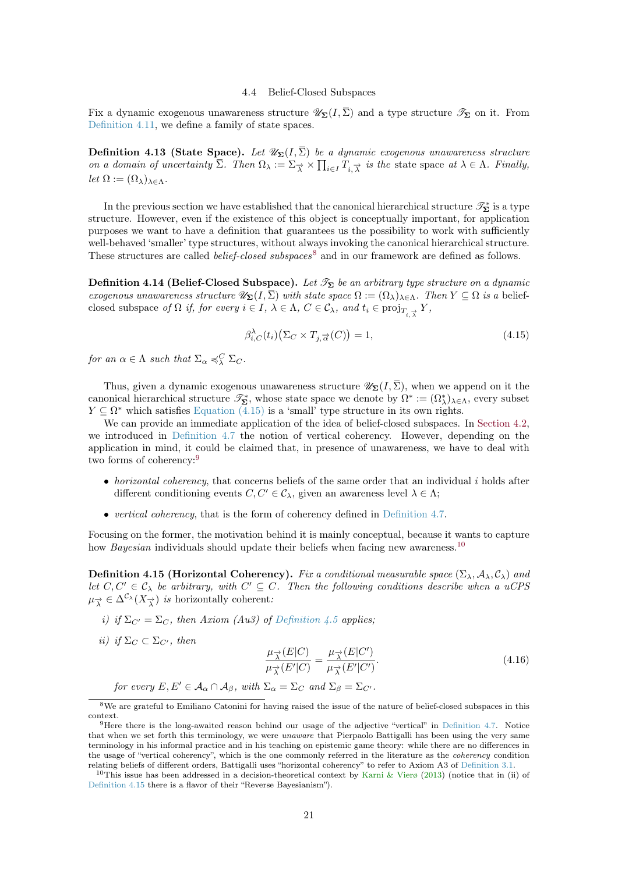#### 4.4 Belief-Closed Subspaces

<span id="page-20-8"></span><span id="page-20-0"></span>Fix a dynamic exogenous unawareness structure  $\mathscr{U}_{\Sigma}(I,\overline{\Sigma})$  and a type structure  $\mathscr{T}_{\Sigma}$  on it. From [Definition 4.11,](#page-19-1) we define a family of state spaces.

<span id="page-20-1"></span>**Definition 4.13 (State Space).** Let  $\mathscr{U}_{\Sigma}(I,\overline{\Sigma})$  be a dynamic exogenous unawareness structure on a domain of uncertainty  $\overline{\Sigma}$ . Then  $\Omega_{\lambda} := \Sigma_{\overrightarrow{\lambda}} \times \prod_{i \in I} T_{i,\overrightarrow{\lambda}}$  is the state space at  $\lambda \in \Lambda$ . Finally, let  $\Omega := (\Omega_{\lambda})_{\lambda \in \Lambda}$ .

In the previous section we have established that the canonical hierarchical structure  $\mathscr{T}_{\Sigma}^{*}$  is a type structure. However, even if the existence of this object is conceptually important, for application purposes we want to have a definition that guarantees us the possibility to work with sufficiently well-behaved 'smaller' type structures, without always invoking the canonical hierarchical structure. These structures are called *belief-closed subspaces*<sup>[8](#page-20-2)</sup> and in our framework are defined as follows.

Definition 4.14 (Belief-Closed Subspace). Let  $\mathcal{T}_{\Sigma}$  be an arbitrary type structure on a dynamic exogenous unawareness structure  $\mathscr{U}_{\Sigma}(I,\overline{\Sigma})$  with state space  $\Omega := (\Omega_{\lambda})_{\lambda \in \Lambda}$ . Then  $Y \subseteq \Omega$  is a beliefclosed subspace of  $\Omega$  if, for every  $i \in I$ ,  $\lambda \in \Lambda$ ,  $C \in \mathcal{C}_{\lambda}$ , and  $t_i \in \text{proj}_{T_{i, \overrightarrow{\lambda}}} Y$ ,

<span id="page-20-3"></span>
$$
\beta_{i,C}^{\lambda}(t_i)\big(\Sigma_C \times T_{j,\overrightarrow{\alpha}}(C)\big) = 1,\tag{4.15}
$$

for an  $\alpha \in \Lambda$  such that  $\Sigma_{\alpha} \preccurlyeq_{\lambda}^C \Sigma_C$ .

Thus, given a dynamic exogenous unawareness structure  $\mathscr{U}_{\Sigma}(I,\overline{\Sigma})$ , when we append on it the canonical hierarchical structure  $\mathscr{T}_{\Sigma}^*$ , whose state space we denote by  $\Omega^* := (\Omega^*_{\lambda})_{\lambda \in \Lambda}$ , every subset  $Y \subseteq \Omega^*$  which satisfies [Equation \(4.15\)](#page-20-3) is a 'small' type structure in its own rights.

We can provide an immediate application of the idea of belief-closed subspaces. In [Section 4.2,](#page-13-0) we introduced in [Definition 4.7](#page-17-4) the notion of vertical coherency. However, depending on the application in mind, it could be claimed that, in presence of unawareness, we have to deal with two forms of coherency:[9](#page-20-4)

- $\bullet$  *horizontal coherency*, that concerns beliefs of the same order that an individual i holds after different conditioning events  $C, C' \in \mathcal{C}_{\lambda}$ , given an awareness level  $\lambda \in \Lambda$ ;
- vertical coherency, that is the form of coherency defined in [Definition 4.7.](#page-17-4)

Focusing on the former, the motivation behind it is mainly conceptual, because it wants to capture how *Bayesian* individuals should update their beliefs when facing new awareness.<sup>[10](#page-20-5)</sup>

<span id="page-20-6"></span>**Definition 4.15 (Horizontal Coherency).** Fix a conditional measurable space  $(\Sigma_{\lambda}, \mathcal{A}_{\lambda}, \mathcal{C}_{\lambda})$  and let  $C, C' \in \mathcal{C}_{\lambda}$  be arbitrary, with  $C' \subseteq C$ . Then the following conditions describe when a uCPS  $\mu_{\overrightarrow{\lambda}} \in \Delta^{\mathcal{C}_{\lambda}}(X_{\overrightarrow{\lambda}})$  is horizontally coherent:

- i) if  $\Sigma_{C'} = \Sigma_C$ , then Axiom (Au3) of [Definition 4.5](#page-14-2) applies;
- ii) if  $\Sigma_C \subset \Sigma_{C'}$ , then

<span id="page-20-7"></span>
$$
\frac{\mu_{\overrightarrow{\lambda}}(E|C)}{\mu_{\overrightarrow{\lambda}}(E'|C)} = \frac{\mu_{\overrightarrow{\lambda}}(E|C')}{\mu_{\overrightarrow{\lambda}}(E'|C')}.
$$
\n(4.16)

for every 
$$
E, E' \in A_\alpha \cap A_\beta
$$
, with  $\Sigma_\alpha = \Sigma_C$  and  $\Sigma_\beta = \Sigma_{C'}$ .

<span id="page-20-2"></span><sup>8</sup>We are grateful to Emiliano Catonini for having raised the issue of the nature of belief-closed subspaces in this context.

<span id="page-20-4"></span><sup>9</sup>Here there is the long-awaited reason behind our usage of the adjective "vertical" in [Definition 4.7.](#page-17-4) Notice that when we set forth this terminology, we were *unaware* that Pierpaolo Battigalli has been using the very same terminology in his informal practice and in his teaching on epistemic game theory: while there are no differences in the usage of "vertical coherency", which is the one commonly referred in the literature as the coherency condition relating beliefs of different orders, Battigalli uses "horizontal coherency" to refer to Axiom A3 of [Definition 3.1.](#page-10-2)

<span id="page-20-5"></span><sup>&</sup>lt;sup>10</sup>This issue has been addressed in a decision-theoretical context by [Karni & Vierø](#page-38-14) [\(2013\)](#page-38-14) (notice that in (ii) of [Definition 4.15](#page-20-6) there is a flavor of their "Reverse Bayesianism").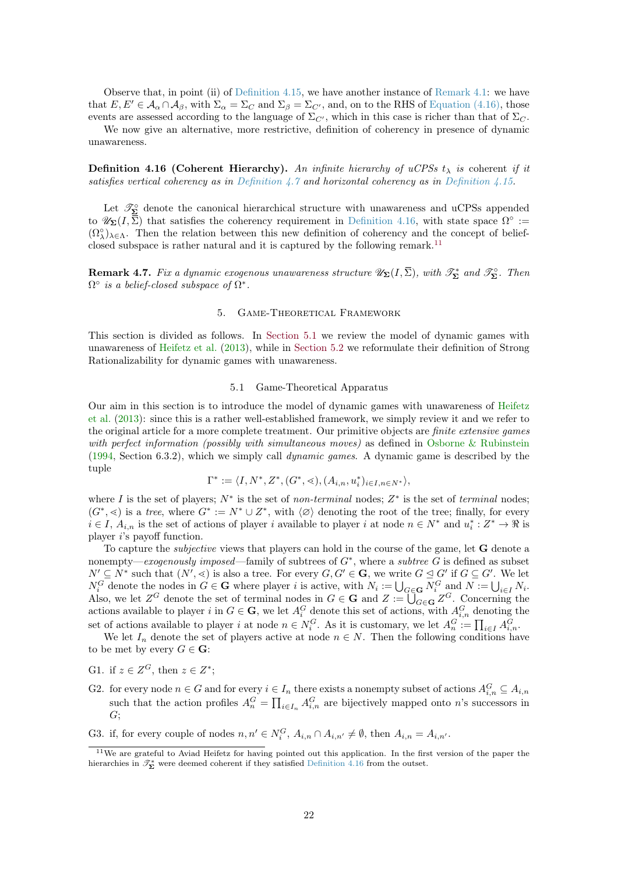<span id="page-21-4"></span>Observe that, in point (ii) of [Definition 4.15,](#page-20-6) we have another instance of [Remark 4.1:](#page-12-5) we have that  $E, E' \in A_\alpha \cap A_\beta$ , with  $\Sigma_\alpha = \Sigma_C$  and  $\Sigma_\beta = \Sigma_{C'}$ , and, on to the RHS of [Equation \(4.16\),](#page-20-7) those events are assessed according to the language of  $\Sigma_{C'}$ , which in this case is richer than that of  $\Sigma_{C}$ .

We now give an alternative, more restrictive, definition of coherency in presence of dynamic unawareness.

<span id="page-21-2"></span>**Definition 4.16 (Coherent Hierarchy).** An infinite hierarchy of uCPSs  $t_{\lambda}$  is coherent if it satisfies vertical coherency as in [Definition 4.7](#page-17-4) and horizontal coherency as in [Definition 4.15.](#page-20-6)

Let  $\mathcal{T}_{\Sigma}^{\circ}$  denote the canonical hierarchical structure with unawareness and uCPSs appended to  $\mathscr{U}_{\Sigma}(I,\overline{\Sigma})$  that satisfies the coherency requirement in [Definition 4.16,](#page-21-2) with state space  $\Omega^{\circ}$  :=  $(\Omega_\lambda^{\circ})_{\lambda \in \Lambda}$ . Then the relation between this new definition of coherency and the concept of belief-closed subspace is rather natural and it is captured by the following remark.<sup>[11](#page-21-3)</sup>

**Remark 4.7.** Fix a dynamic exogenous unawareness structure  $\mathscr{U}_{\mathbf{\Sigma}}(I,\overline{\Sigma})$ , with  $\mathscr{T}_{\mathbf{\Sigma}}^*$  and  $\mathscr{T}_{\mathbf{\Sigma}}^{\circ}$ . Then  $\Omega^{\circ}$  is a belief-closed subspace of  $\Omega^*$ .

### 5. Game-Theoretical Framework

<span id="page-21-0"></span>This section is divided as follows. In [Section 5.1](#page-21-1) we review the model of dynamic games with unawareness of [Heifetz et al.](#page-38-0) [\(2013\)](#page-38-0), while in [Section 5.2](#page-24-0) we reformulate their definition of Strong Rationalizability for dynamic games with unawareness.

## 5.1 Game-Theoretical Apparatus

<span id="page-21-1"></span>Our aim in this section is to introduce the model of dynamic games with unawareness of [Heifetz](#page-38-0) [et al.](#page-38-0) [\(2013\)](#page-38-0): since this is a rather well-established framework, we simply review it and we refer to the original article for a more complete treatment. Our primitive objects are *finite extensive games* with perfect information (possibly with simultaneous moves) as defined in [Osborne & Rubinstein](#page-39-13)  $(1994, Section 6.3.2),$  $(1994, Section 6.3.2),$  which we simply call *dynamic games*. A dynamic game is described by the tuple

$$
\Gamma^* := \langle I, N^*, Z^*, (G^*,<), (A_{i,n}, u_i^*)_{i \in I, n \in N^*} \rangle,
$$

where I is the set of players;  $N^*$  is the set of non-terminal nodes;  $Z^*$  is the set of terminal nodes;  $(G^*,\leq)$  is a tree, where  $G^* := N^* \cup Z^*$ , with  $\langle \varnothing \rangle$  denoting the root of the tree; finally, for every  $i \in I$ ,  $A_{i,n}$  is the set of actions of player i available to player i at node  $n \in N^*$  and  $u_i^*: Z^* \to \Re$  is player i's payoff function.

To capture the *subjective* views that players can hold in the course of the game, let **G** denote a nonempty—exogenously imposed—family of subtrees of  $G^*$ , where a subtree G is defined as subset  $N' \subseteq N^*$  such that  $(N', \leq)$  is also a tree. For every  $G, G' \in \mathbf{G}$ , we write  $G \leq G'$  if  $G \subseteq G'$ . We let  $N_i^G$  denote the nodes in  $G \in \mathbf{G}$  where player i is active, with  $N_i := \bigcup_{G \in \mathbf{G}} N_i^G$  and  $N := \bigcup_{i \in I} N_i$ . Also, we let  $Z^G$  denote the set of terminal nodes in  $G \in \mathbf{G}$  and  $Z := \overline{\bigcup_{G \in \mathbf{G}}} Z^G$ . Concerning the actions available to player i in  $G \in \mathbf{G}$ , we let  $A_i^G$  denote this set of actions, with  $A_{i,n}^G$  denoting the set of actions available to player i at node  $n \in N_i^G$ . As it is customary, we let  $A_n^G := \prod_{i \in I} A_{i,n}^G$ .

We let  $I_n$  denote the set of players active at node  $n \in N$ . Then the following conditions have to be met by every  $G \in \mathbf{G}$ :

- G1. if  $z \in Z^G$ , then  $z \in Z^*$ ;
- G2. for every node  $n \in G$  and for every  $i \in I_n$  there exists a nonempty subset of actions  $A_{i,n}^G \subseteq A_{i,n}$ such that the action profiles  $A_n^G = \prod_{i \in I_n} A_{i,n}^G$  are bijectively mapped onto n's successors in  $G;$

G3. if, for every couple of nodes  $n, n' \in N_i^G$ ,  $A_{i,n} \cap A_{i,n'} \neq \emptyset$ , then  $A_{i,n} = A_{i,n'}$ .

<span id="page-21-3"></span><sup>11</sup>We are grateful to Aviad Heifetz for having pointed out this application. In the first version of the paper the hierarchies in  $\mathcal{T}_{\Sigma}^{*}$  were deemed coherent if they satisfied [Definition 4.16](#page-21-2) from the outset.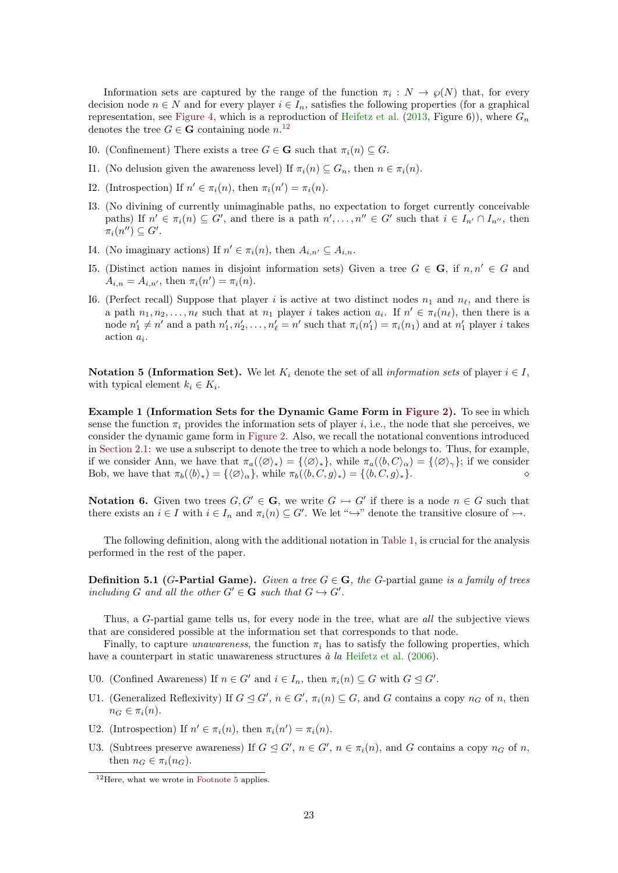<span id="page-22-2"></span>Information sets are captured by the range of the function  $\pi_i : N \to \varphi(N)$  that, for every decision node  $n \in N$  and for every player  $i \in I_n$ , satisfies the following properties (for a graphical representation, see [Figure 4,](#page-23-0) which is a reproduction of [Heifetz et al.](#page-38-0) [\(2013,](#page-38-0) Figure 6)), where  $G_n$ denotes the tree  $G \in \mathbf{G}$  containing node  $n^{12}$  $n^{12}$  $n^{12}$ 

- I0. (Confinement) There exists a tree  $G \in \mathbf{G}$  such that  $\pi_i(n) \subset G$ .
- I1. (No delusion given the awareness level) If  $\pi_i(n) \subseteq G_n$ , then  $n \in \pi_i(n)$ .
- I2. (Introspection) If  $n' \in \pi_i(n)$ , then  $\pi_i(n') = \pi_i(n)$ .
- I3. (No divining of currently unimaginable paths, no expectation to forget currently conceivable paths) If  $n' \in \pi_i(n) \subseteq G'$ , and there is a path  $n', \ldots, n'' \in G'$  such that  $i \in I_{n'} \cap I_{n''}$ , then  $\pi_i(n'') \subseteq G'.$
- I4. (No imaginary actions) If  $n' \in \pi_i(n)$ , then  $A_{i,n'} \subseteq A_{i,n}$ .
- I5. (Distinct action names in disjoint information sets) Given a tree  $G \in \mathbf{G}$ , if  $n, n' \in G$  and  $A_{i,n} = A_{i,n'}$ , then  $\pi_i(n') = \pi_i(n)$ .
- I6. (Perfect recall) Suppose that player i is active at two distinct nodes  $n_1$  and  $n_\ell$ , and there is a path  $n_1, n_2, \ldots, n_\ell$  such that at  $n_1$  player i takes action  $a_i$ . If  $n' \in \pi_i(n_\ell)$ , then there is a node  $n'_1 \neq n'$  and a path  $n'_1, n'_2, \ldots, n'_\ell = n'$  such that  $\pi_i(n'_1) = \pi_i(n_1)$  and at  $n'_1$  player *i* takes  $\arcsin a_i$ .

Notation 5 (Information Set). We let K<sub>i</sub> denote the set of all *information sets* of player  $i \in I$ . with typical element  $k_i \in K_i$ .

Example 1 (Information Sets for the Dynamic Game Form in [Figure 2\)](#page-7-0). To see in which sense the function  $\pi_i$  provides the information sets of player i, i.e., the node that she perceives, we consider the dynamic game form in [Figure 2.](#page-7-0) Also, we recall the notational conventions introduced in [Section 2.1:](#page-4-2) we use a subscript to denote the tree to which a node belongs to. Thus, for example, if we consider Ann, we have that  $\pi_a(\langle\emptyset\rangle_*) = {\langle\emptyset\rangle_*}$ , while  $\pi_a(\langle b, C\rangle_\alpha) = {\langle\emptyset\rangle_*}$ ; if we consider Bob, we have that  $\pi_b(\langle b \rangle_*) = {\langle \langle \emptyset \rangle_\alpha},$  while  $\pi_b(\langle b, C, g \rangle_*) = {\langle \langle b, C, g \rangle_*}.$ 

**Notation 6.** Given two trees  $G, G' \in \mathbf{G}$ , we write  $G \rightarrowtail G'$  if there is a node  $n \in G$  such that there exists an  $i \in I$  with  $i \in I_n$  and  $\pi_i(n) \subseteq G'$ . We let " $\hookrightarrow$ " denote the transitive closure of  $\hookrightarrow$ .

The following definition, along with the additional notation in [Table 1,](#page-24-1) is crucial for the analysis performed in the rest of the paper.

<span id="page-22-1"></span>**Definition 5.1 (G-Partial Game).** Given a tree  $G \in \mathbf{G}$ , the G-partial game is a family of trees including G and all the other  $G' \in \mathbf{G}$  such that  $G \hookrightarrow G'$ .

Thus, a G-partial game tells us, for every node in the tree, what are all the subjective views that are considered possible at the information set that corresponds to that node.

Finally, to capture *unawareness*, the function  $\pi_i$  has to satisfy the following properties, which have a counterpart in static unawareness structures  $\dot{a}$  la [Heifetz et al.](#page-38-15) [\(2006\)](#page-38-15).

- U0. (Confined Awareness) If  $n \in G'$  and  $i \in I_n$ , then  $\pi_i(n) \subseteq G$  with  $G \trianglelefteq G'$ .
- U1. (Generalized Reflexivity) If  $G \trianglelefteq G'$ ,  $n \in G'$ ,  $\pi_i(n) \subseteq G$ , and G contains a copy  $n_G$  of n, then  $n_G \in \pi_i(n)$ .
- U2. (Introspection) If  $n' \in \pi_i(n)$ , then  $\pi_i(n') = \pi_i(n)$ .
- U3. (Subtrees preserve awareness) If  $G \trianglelefteq G', n \in G', n \in \pi_i(n)$ , and G contains a copy  $n_G$  of n, then  $n_G \in \pi_i(n_G)$ .

<span id="page-22-0"></span><sup>&</sup>lt;sup>12</sup>Here, what we wrote in [Footnote 5](#page-12-2) applies.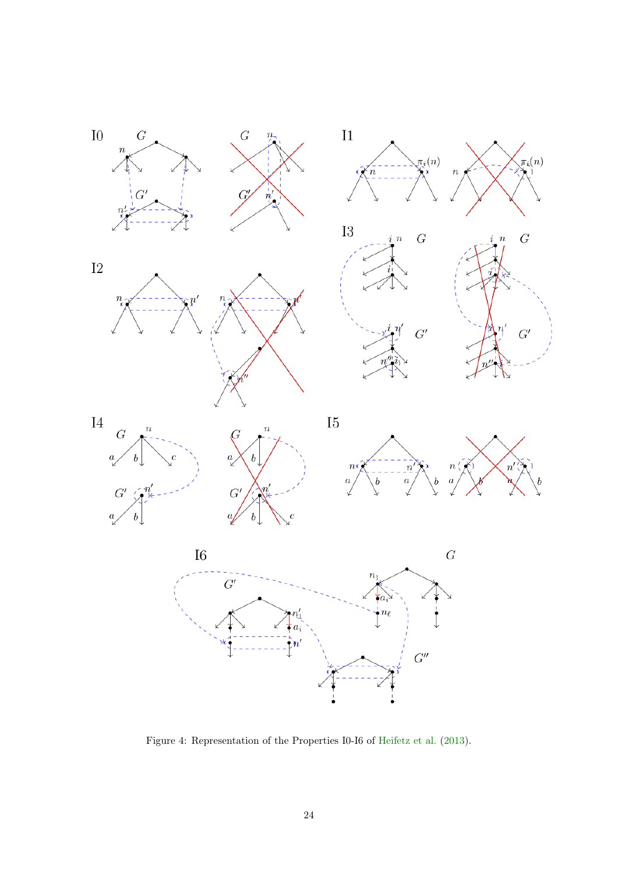<span id="page-23-1"></span>

<span id="page-23-0"></span>Figure 4: Representation of the Properties I0-I6 of [Heifetz et al.](#page-38-0) [\(2013\)](#page-38-0).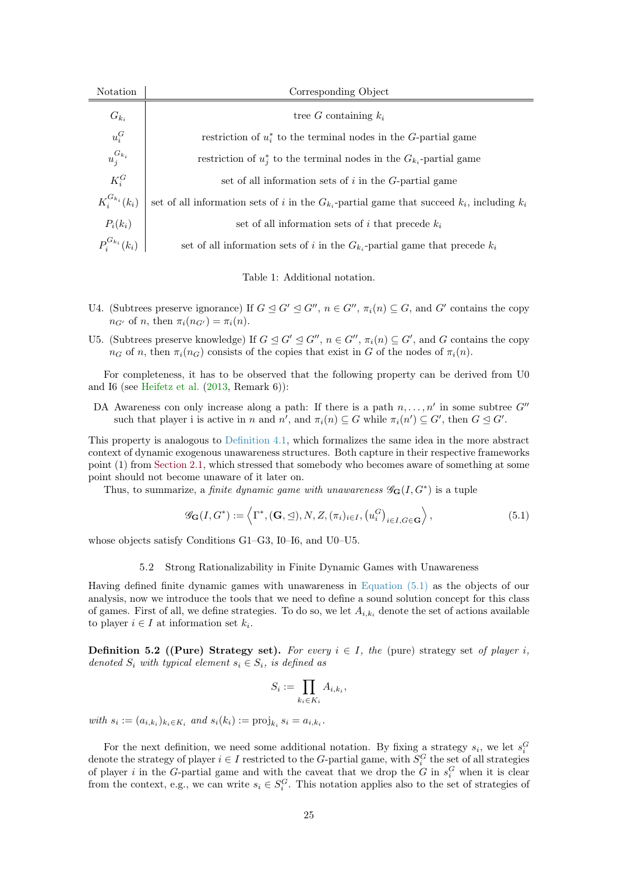<span id="page-24-3"></span>

| Notation             | Corresponding Object                                                                                 |  |
|----------------------|------------------------------------------------------------------------------------------------------|--|
| $G_{k_i}$            | tree G containing $k_i$                                                                              |  |
| $u_i^G$              | restriction of $u^*$ to the terminal nodes in the G-partial game                                     |  |
| $u_j^{G_{k_i}}$      | restriction of $u_i^*$ to the terminal nodes in the $G_{k_i}$ -partial game                          |  |
| $K_i^G$              | set of all information sets of $i$ in the $G$ -partial game                                          |  |
| $K_i^{G_{k_i}}(k_i)$ | set of all information sets of i in the $G_{k_i}$ -partial game that succeed $k_i$ , including $k_i$ |  |
| $P_i(k_i)$           | set of all information sets of i that precede $k_i$                                                  |  |
| $P_i^{G_{k_i}}(k_i)$ | set of all information sets of i in the $G_{k_i}$ -partial game that precede $k_i$                   |  |

<span id="page-24-1"></span>Table 1: Additional notation.

- U4. (Subtrees preserve ignorance) If  $G \trianglelefteq G' \trianglelefteq G''$ ,  $n \in G''$ ,  $\pi_i(n) \subseteq G$ , and  $G'$  contains the copy  $n_{G'}$  of n, then  $\pi_i(n_{G'}) = \pi_i(n)$ .
- U5. (Subtrees preserve knowledge) If  $G \trianglelefteq G' \trianglelefteq G''$ ,  $n \in G''$ ,  $\pi_i(n) \subseteq G'$ , and G contains the copy  $n_G$  of n, then  $\pi_i(n_G)$  consists of the copies that exist in G of the nodes of  $\pi_i(n)$ .

For completeness, it has to be observed that the following property can be derived from U0 and I6 (see [Heifetz et al.](#page-38-0) [\(2013,](#page-38-0) Remark 6)):

DA Awareness con only increase along a path: If there is a path  $n, \ldots, n'$  in some subtree  $G''$ such that player i is active in n and  $n'$ , and  $\pi_i(n) \subseteq G$  while  $\pi_i(n') \subseteq G'$ , then  $G \trianglelefteq G'$ .

This property is analogous to [Definition 4.1,](#page-12-3) which formalizes the same idea in the more abstract context of dynamic exogenous unawareness structures. Both capture in their respective frameworks point (1) from [Section 2.1,](#page-4-2) which stressed that somebody who becomes aware of something at some point should not become unaware of it later on.

Thus, to summarize, a *finite dynamic game with unawareness*  $\mathscr{G}_{\mathbf{G}}(I, G^*)$  is a tuple

<span id="page-24-2"></span>
$$
\mathscr{G}_{\mathbf{G}}(I, G^*) := \left\langle \Gamma^*, (\mathbf{G}, \leq), N, Z, (\pi_i)_{i \in I}, (u_i^G)_{i \in I, G \in \mathbf{G}} \right\rangle,\tag{5.1}
$$

whose objects satisfy Conditions G1–G3, I0–I6, and U0–U5.

## 5.2 Strong Rationalizability in Finite Dynamic Games with Unawareness

<span id="page-24-0"></span>Having defined finite dynamic games with unawareness in [Equation \(5.1\)](#page-24-2) as the objects of our analysis, now we introduce the tools that we need to define a sound solution concept for this class of games. First of all, we define strategies. To do so, we let  $A_{i,k_i}$  denote the set of actions available to player  $i \in I$  at information set  $k_i$ .

**Definition 5.2 ((Pure) Strategy set).** For every  $i \in I$ , the (pure) strategy set of player i, denoted  $S_i$  with typical element  $s_i \in S_i$ , is defined as

$$
S_i := \prod_{k_i \in K_i} A_{i,k_i},
$$

with  $s_i := (a_{i,k_i})_{k_i \in K_i}$  and  $s_i(k_i) := \text{proj}_{k_i} s_i = a_{i,k_i}$ .

For the next definition, we need some additional notation. By fixing a strategy  $s_i$ , we let  $s_i^G$ denote the strategy of player  $i \in I$  restricted to the G-partial game, with  $S_i^G$  the set of all strategies of player *i* in the G-partial game and with the caveat that we drop the G in  $s_i^G$  when it is clear from the context, e.g., we can write  $s_i \in S_i^G$ . This notation applies also to the set of strategies of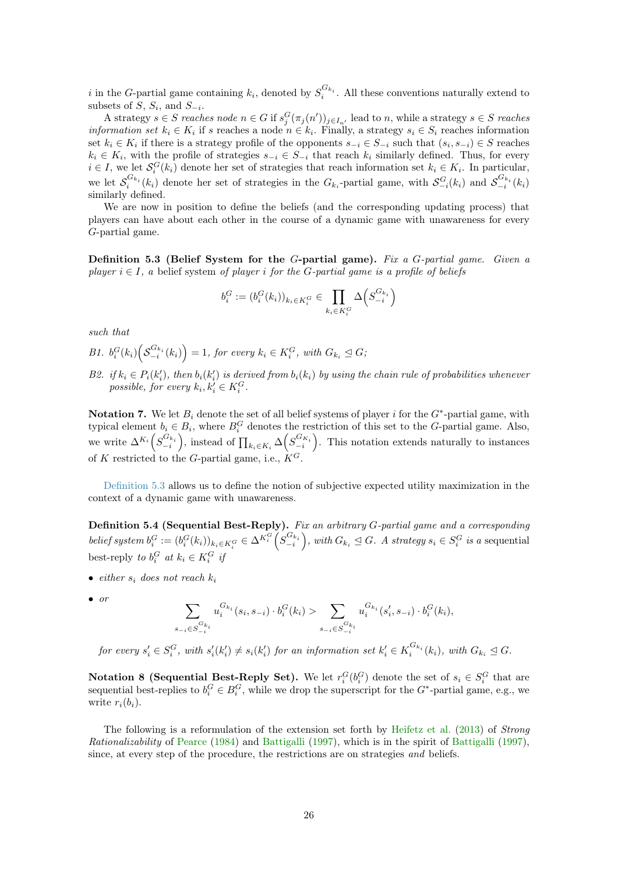<span id="page-25-1"></span>i in the G-partial game containing  $k_i$ , denoted by  $S_i^{G_{k_i}}$ . All these conventions naturally extend to subsets of  $S$ ,  $S_i$ , and  $S_{-i}$ .

A strategy  $s \in S$  reaches node  $n \in G$  if  $s_j^G(\pi_j(n'))_{j \in I_{n'}}$  lead to n, while a strategy  $s \in S$  reaches *information set*  $k_i \in K_i$  if s reaches a node  $n \in k_i$ . Finally, a strategy  $s_i \in S_i$  reaches information set  $k_i \in K_i$  if there is a strategy profile of the opponents  $s_{-i} \in S_{-i}$  such that  $(s_i, s_{-i}) \in S$  reaches  $k_i \in K_i$ , with the profile of strategies  $s_{-i} \in S_{-i}$  that reach  $k_i$  similarly defined. Thus, for every  $i \in I$ , we let  $\mathcal{S}_i^G(k_i)$  denote her set of strategies that reach information set  $k_i \in K_i$ . In particular, we let  $S_i^{G_{k_i}}(k_i)$  denote her set of strategies in the  $G_{k_i}$ -partial game, with  $S_{-i}^G(k_i)$  and  $S_{-i}^{G_{k_i}}(k_i)$ similarly defined.

We are now in position to define the beliefs (and the corresponding updating process) that players can have about each other in the course of a dynamic game with unawareness for every G-partial game.

<span id="page-25-0"></span>Definition 5.3 (Belief System for the G-partial game). Fix a G-partial game. Given a player  $i \in I$ , a belief system of player i for the G-partial game is a profile of beliefs

$$
b_i^G := (b_i^G(k_i))_{k_i \in K_i^G} \in \prod_{k_i \in K_i^G} \Delta\left(S_{-i}^{G_{k_i}}\right)
$$

such that

B1.  $b_i^G(k_i) \left( \mathcal{S}_{-i}^{G_{k_i}}(k_i) \right) = 1$ , for every  $k_i \in K_i^G$ , with  $G_{k_i} \leq G$ ;

B2. if  $k_i \in P_i(k'_i)$ , then  $b_i(k'_i)$  is derived from  $b_i(k_i)$  by using the chain rule of probabilities whenever possible, for every  $k_i, k'_i \in K_i^G$ .

Notation 7. We let  $B_i$  denote the set of all belief systems of player i for the  $G^*$ -partial game, with typical element  $b_i \in B_i$ , where  $B_i^G$  denotes the restriction of this set to the G-partial game. Also, we write  $\Delta^{K_i} \left( S_{-i}^{G_{k_i}} \right)$ , instead of  $\prod_{k_i \in K_i} \Delta \left( S_{-i}^{G_{K_i}} \right)$ . This notation extends naturally to instances of K restricted to the G-partial game, i.e.,  $\hat{K}^G$ .

[Definition 5.3](#page-25-0) allows us to define the notion of subjective expected utility maximization in the context of a dynamic game with unawareness.

Definition 5.4 (Sequential Best-Reply). Fix an arbitrary G-partial game and a corresponding belief system  $b_i^G := (b_i^G(k_i))_{k_i \in K_i^G} \in \Delta^{K_i^G} \left( S_{-i}^{G_{k_i}} \right)$ , with  $G_{k_i} \trianglelefteq G$ . A strategy  $s_i \in S_i^G$  is a sequential best-reply to  $b_i^G$  at  $k_i \in K_i^G$  if

- either  $s_i$  does not reach  $k_i$
- 

• or  
\n
$$
\sum_{s_{-i} \in S_{-i}^{G_{k_i}}} u_i^{G_{k_i}}(s_i, s_{-i}) \cdot b_i^G(k_i) > \sum_{s_{-i} \in S_{-i}^{G_{k_i}}} u_i^{G_{k_i}}(s'_i, s_{-i}) \cdot b_i^G(k_i),
$$

for every  $s_i' \in S_i^G$ , with  $s_i'(k_i') \neq s_i(k_i')$  for an information set  $k_i' \in K_i^{G_{k_i}}(k_i)$ , with  $G_{k_i} \trianglelefteq G$ .

**Notation 8 (Sequential Best-Reply Set).** We let  $r_i^G(b_i^G)$  denote the set of  $s_i \in S_i^G$  that are sequential best-replies to  $b_i^G \in B_i^G$ , while we drop the superscript for the  $G^*$ -partial game, e.g., we write  $r_i(b_i)$ .

The following is a reformulation of the extension set forth by [Heifetz et al.](#page-38-0) [\(2013\)](#page-38-0) of Strong Rationalizability of [Pearce](#page-39-0) [\(1984\)](#page-39-0) and [Battigalli](#page-37-3) [\(1997\)](#page-37-3), which is in the spirit of [Battigalli](#page-37-3) [\(1997\)](#page-37-3), since, at every step of the procedure, the restrictions are on strategies and beliefs.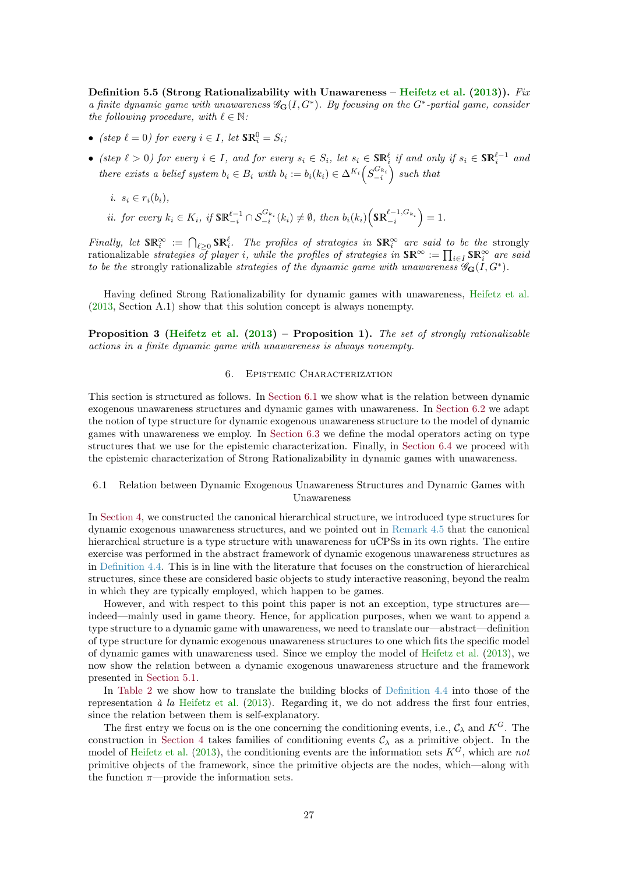<span id="page-26-3"></span><span id="page-26-2"></span>Definition 5.5 (Strong Rationalizability with Unawareness – [Heifetz et al.](#page-38-0)  $(2013)$ ). Fix a finite dynamic game with unawareness  $\mathscr{G}_{\mathbf{G}}(I, G^*)$ . By focusing on the  $G^*$ -partial game, consider the following procedure, with  $\ell \in \mathbb{N}$ :

- (step  $\ell = 0$ ) for every  $i \in I$ , let  $\mathbb{S} \mathbb{R}^0_i = S_i$ ;
- (step  $\ell > 0$ ) for every  $i \in I$ , and for every  $s_i \in S_i$ , let  $s_i \in \mathbb{SR}_i^{\ell}$  if and only if  $s_i \in \mathbb{SR}_i^{\ell-1}$  and there exists a belief system  $b_i \in B_i$  with  $b_i := b_i(k_i) \in \Delta^{K_i} \left( S_{-i}^{G_{k_i}} \right)$  such that
	- i.  $s_i \in r_i(b_i)$ ,
	- *ii.* for every  $k_i \in K_i$ , if  $\text{SR}_{-i}^{\ell-1} \cap S_{-i}^{G_{k_i}}(k_i) \neq \emptyset$ , then  $b_i(k_i) \left(\text{SR}_{-i}^{\ell-1, G_{k_i}}\right) = 1$ .

Finally, let  $\texttt{SR}^\infty_i := \bigcap_{\ell \geq 0} \texttt{SR}^\ell_i$ . The profiles of strategies in  $\texttt{SR}^\infty_i$  are said to be the strongly rationalizable strategies of player i, while the profiles of strategies in  $\text{SR}^{\infty} := \prod_{i \in I} \text{SR}^{\infty}_i$  are said to be the strongly rationalizable strategies of the dynamic game with unawareness  $\mathscr{G}_{\mathbf{G}}(I, G^*)$ .

Having defined Strong Rationalizability for dynamic games with unawareness, [Heifetz et al.](#page-38-0) [\(2013,](#page-38-0) Section A.1) show that this solution concept is always nonempty.

Proposition 3 [\(Heifetz et al.](#page-38-0) [\(2013\)](#page-38-0) – Proposition 1). The set of strongly rationalizable actions in a finite dynamic game with unawareness is always nonempty.

# 6. Epistemic Characterization

<span id="page-26-0"></span>This section is structured as follows. In [Section 6.1](#page-26-1) we show what is the relation between dynamic exogenous unawareness structures and dynamic games with unawareness. In [Section 6.2](#page-27-0) we adapt the notion of type structure for dynamic exogenous unawareness structure to the model of dynamic games with unawareness we employ. In [Section 6.3](#page-29-0) we define the modal operators acting on type structures that we use for the epistemic characterization. Finally, in [Section 6.4](#page-30-0) we proceed with the epistemic characterization of Strong Rationalizability in dynamic games with unawareness.

# <span id="page-26-1"></span>6.1 Relation between Dynamic Exogenous Unawareness Structures and Dynamic Games with Unawareness

In [Section 4,](#page-11-0) we constructed the canonical hierarchical structure, we introduced type structures for dynamic exogenous unawareness structures, and we pointed out in [Remark 4.5](#page-19-2) that the canonical hierarchical structure is a type structure with unawareness for uCPSs in its own rights. The entire exercise was performed in the abstract framework of dynamic exogenous unawareness structures as in [Definition 4.4.](#page-13-1) This is in line with the literature that focuses on the construction of hierarchical structures, since these are considered basic objects to study interactive reasoning, beyond the realm in which they are typically employed, which happen to be games.

However, and with respect to this point this paper is not an exception, type structures are indeed—mainly used in game theory. Hence, for application purposes, when we want to append a type structure to a dynamic game with unawareness, we need to translate our—abstract—definition of type structure for dynamic exogenous unawareness structures to one which fits the specific model of dynamic games with unawareness used. Since we employ the model of [Heifetz et al.](#page-38-0) [\(2013\)](#page-38-0), we now show the relation between a dynamic exogenous unawareness structure and the framework presented in [Section 5.1.](#page-21-1)

In [Table 2](#page-27-1) we show how to translate the building blocks of [Definition 4.4](#page-13-1) into those of the representation  $\dot{a}$  la [Heifetz et al.](#page-38-0) [\(2013\)](#page-38-0). Regarding it, we do not address the first four entries, since the relation between them is self-explanatory.

The first entry we focus on is the one concerning the conditioning events, i.e.,  $\mathcal{C}_{\lambda}$  and  $K^{G}$ . The construction in [Section 4](#page-11-0) takes families of conditioning events  $\mathcal{C}_{\lambda}$  as a primitive object. In the model of [Heifetz et al.](#page-38-0) [\(2013\)](#page-38-0), the conditioning events are the information sets  $K^G$ , which are not primitive objects of the framework, since the primitive objects are the nodes, which—along with the function  $\pi$ —provide the information sets.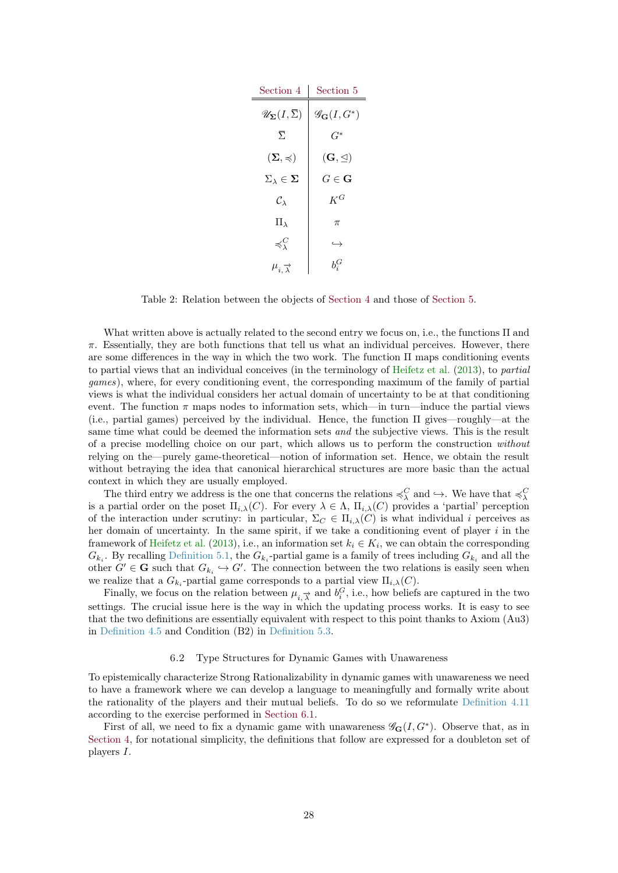<span id="page-27-2"></span>

| Section 4                                            | Section 5                         |
|------------------------------------------------------|-----------------------------------|
| $\mathscr{U}_{\mathbf{\Sigma}}(I,\overline{\Sigma})$ | $\mathscr{G}_{\mathbf{G}}(I,G^*)$ |
| $\overline{\Sigma}$                                  | $G^*$                             |
| $(\mathbf{\Sigma},\preccurlyeq)$                     | $(\mathbf{G}, \trianglelefteq)$   |
| $\Sigma_{\lambda} \in \Sigma$                        | $G \in \mathbf{G}$                |
| $\mathcal{C}_{\lambda}$                              | $K^G$                             |
| $\Pi_{\lambda}$                                      | $\pi$                             |
| $\preccurlyeq^C_\lambda$                             | $\hookrightarrow$                 |
| $\mu_{i,\overrightarrow{\lambda}}$                   | $b^G_z$                           |

<span id="page-27-1"></span>Table 2: Relation between the objects of [Section 4](#page-11-0) and those of [Section 5.](#page-21-0)

What written above is actually related to the second entry we focus on, i.e., the functions Π and  $\pi$ . Essentially, they are both functions that tell us what an individual perceives. However, there are some differences in the way in which the two work. The function Π maps conditioning events to partial views that an individual conceives (in the terminology of [Heifetz et al.](#page-38-0) [\(2013\)](#page-38-0), to partial games), where, for every conditioning event, the corresponding maximum of the family of partial views is what the individual considers her actual domain of uncertainty to be at that conditioning event. The function  $\pi$  maps nodes to information sets, which—in turn—induce the partial views (i.e., partial games) perceived by the individual. Hence, the function Π gives—roughly—at the same time what could be deemed the information sets and the subjective views. This is the result of a precise modelling choice on our part, which allows us to perform the construction without relying on the—purely game-theoretical—notion of information set. Hence, we obtain the result without betraying the idea that canonical hierarchical structures are more basic than the actual context in which they are usually employed.

The third entry we address is the one that concerns the relations  $\preccurlyeq_{\lambda}^C$  and  $\hookrightarrow$ . We have that  $\preccurlyeq_{\lambda}^C$ is a partial order on the poset  $\Pi_{i\lambda}(C)$ . For every  $\lambda \in \Lambda$ ,  $\Pi_{i\lambda}(C)$  provides a 'partial' perception of the interaction under scrutiny: in particular,  $\Sigma_C \in \Pi_{i,\lambda}(C)$  is what individual i perceives as her domain of uncertainty. In the same spirit, if we take a conditioning event of player  $i$  in the framework of [Heifetz et al.](#page-38-0) [\(2013\)](#page-38-0), i.e., an information set  $k_i \in K_i$ , we can obtain the corresponding  $G_{k_i}$ . By recalling [Definition 5.1,](#page-22-1) the  $G_{k_i}$ -partial game is a family of trees including  $G_{k_i}$  and all the other  $G' \in \mathbf{G}$  such that  $G_{k_i} \hookrightarrow G'$ . The connection between the two relations is easily seen when we realize that a  $G_{k_i}$ -partial game corresponds to a partial view  $\Pi_{i,\lambda}(C)$ .

Finally, we focus on the relation between  $\mu_{i, \vec{\lambda}}$  and  $b_i^G$ , i.e., how beliefs are captured in the two settings. The crucial issue here is the way in which the updating process works. It is easy to see that the two definitions are essentially equivalent with respect to this point thanks to Axiom (Au3) in [Definition 4.5](#page-14-2) and Condition (B2) in [Definition 5.3.](#page-25-0)

## 6.2 Type Structures for Dynamic Games with Unawareness

<span id="page-27-0"></span>To epistemically characterize Strong Rationalizability in dynamic games with unawareness we need to have a framework where we can develop a language to meaningfully and formally write about the rationality of the players and their mutual beliefs. To do so we reformulate [Definition 4.11](#page-19-1) according to the exercise performed in [Section 6.1.](#page-26-1)

First of all, we need to fix a dynamic game with unawareness  $\mathscr{G}_{\mathbf{G}}(I, G^*)$ . Observe that, as in [Section 4,](#page-11-0) for notational simplicity, the definitions that follow are expressed for a doubleton set of players I.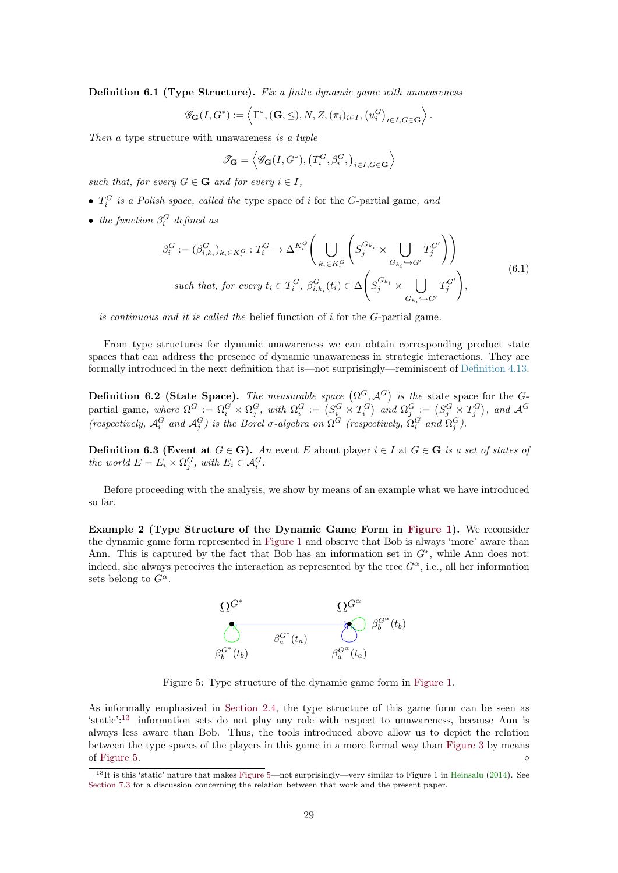<span id="page-28-4"></span><span id="page-28-0"></span>Definition 6.1 (Type Structure). Fix a finite dynamic game with unawareness

$$
\mathscr{G}_{\mathbf{G}}(I, G^*) := \left\langle \Gamma^*, (\mathbf{G}, \trianglelefteq), N, Z, (\pi_i)_{i \in I}, (u_i^G)_{i \in I, G \in \mathbf{G}} \right\rangle.
$$

Then a type structure with unawareness is a tuple

$$
\mathscr{T}_{\mathbf{G}} = \left\langle \mathscr{G}_{\mathbf{G}}(I, G^*), \left(T_i^G, \beta_i^G, \right)_{i \in I, G \in \mathbf{G}} \right\rangle
$$

such that, for every  $G \in \mathbf{G}$  and for every  $i \in I$ ,

- $T_i^G$  is a Polish space, called the type space of i for the G-partial game, and
- the function  $\beta_i^G$  defined as

$$
\beta_i^G := (\beta_{i,k_i}^G)_{k_i \in K_i^G} : T_i^G \to \Delta^{K_i^G} \Biggl( \bigcup_{k_i \in K_i^G} \left( S_j^{G_{k_i}} \times \bigcup_{G_{k_i} \hookrightarrow G'} T_j^{G'} \right) \Biggr)
$$
  
such that, for every  $t_i \in T_i^G$ ,  $\beta_{i,k_i}^G(t_i) \in \Delta \left( S_j^{G_{k_i}} \times \bigcup_{G_{k_i} \hookrightarrow G'} T_j^{G'} \right)$ , (6.1)

is continuous and it is called the belief function of i for the G-partial game.

From type structures for dynamic unawareness we can obtain corresponding product state spaces that can address the presence of dynamic unawareness in strategic interactions. They are formally introduced in the next definition that is—not surprisingly—reminiscent of [Definition 4.13.](#page-20-1)

<span id="page-28-1"></span>**Definition 6.2 (State Space).** The measurable space  $(\Omega^G, \mathcal{A}^G)$  is the state space for the Gpartial game, where  $\Omega^G := \Omega_i^G \times \Omega_j^G$ , with  $\Omega_i^G := (S_i^G \times T_i^G)$  and  $\Omega_j^G := (S_j^G \times T_j^G)$ , and  $\mathcal{A}^G$ (respectively,  $\mathcal{A}_i^G$  and  $\mathcal{A}_j^G$ ) is the Borel  $\sigma$ -algebra on  $\Omega^G$  (respectively,  $\Omega_i^G$  and  $\Omega_j^G$ ).

**Definition 6.3 (Event at**  $G \in \mathbf{G}$ ). An event E about player  $i \in I$  at  $G \in \mathbf{G}$  is a set of states of the world  $E = E_i \times \Omega_j^G$ , with  $E_i \in \mathcal{A}_i^G$ .

Before proceeding with the analysis, we show by means of an example what we have introduced so far.

Example 2 (Type Structure of the Dynamic Game Form in [Figure 1\)](#page-5-0). We reconsider the dynamic game form represented in [Figure 1](#page-5-0) and observe that Bob is always 'more' aware than Ann. This is captured by the fact that Bob has an information set in  $G^*$ , while Ann does not: indeed, she always perceives the interaction as represented by the tree  $G^{\alpha}$ , i.e., all her information sets belong to  $G^{\alpha}$ .

![](_page_28_Figure_14.jpeg)

<span id="page-28-3"></span>Figure 5: Type structure of the dynamic game form in [Figure 1.](#page-5-0)

As informally emphasized in [Section 2.4,](#page-8-1) the type structure of this game form can be seen as 'static':[13](#page-28-2) information sets do not play any role with respect to unawareness, because Ann is always less aware than Bob. Thus, the tools introduced above allow us to depict the relation between the type spaces of the players in this game in a more formal way than [Figure 3](#page-9-1) by means of [Figure 5.](#page-28-3)  $\Diamond$ 

<span id="page-28-2"></span> $13$ It is this 'static' nature that makes [Figure 5—](#page-28-3)not surprisingly—very similar to Figure 1 in [Heinsalu](#page-38-8) [\(2014\)](#page-38-8). See [Section 7.3](#page-32-0) for a discussion concerning the relation between that work and the present paper.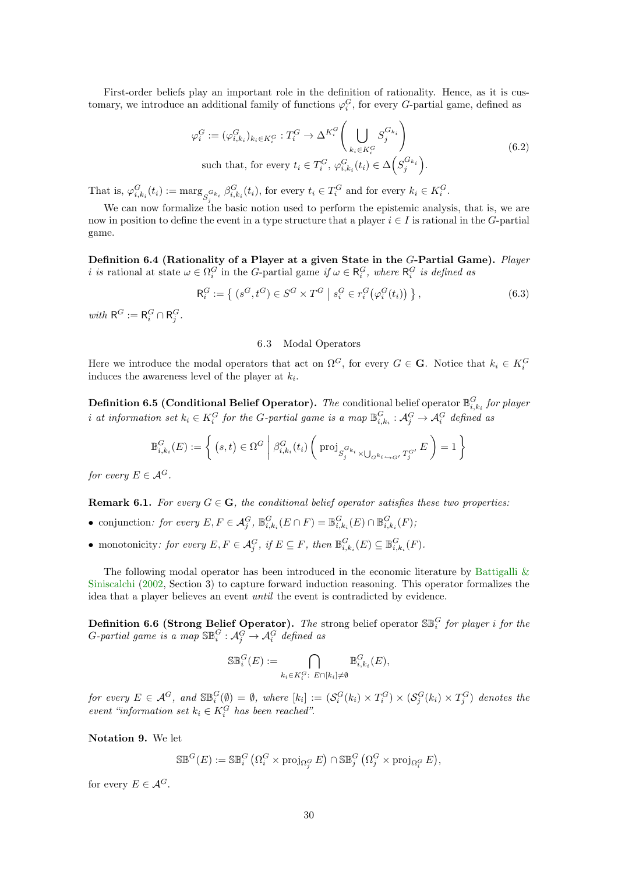<span id="page-29-2"></span>First-order beliefs play an important role in the definition of rationality. Hence, as it is customary, we introduce an additional family of functions  $\varphi_i^G$ , for every G-partial game, defined as

$$
\varphi_i^G := (\varphi_{i,k_i}^G)_{k_i \in K_i^G} : T_i^G \to \Delta^{K_i^G} \left( \bigcup_{k_i \in K_i^G} S_j^{G_{k_i}} \right)
$$
  
such that, for every  $t_i \in T_i^G$ ,  $\varphi_{i,k_i}^G(t_i) \in \Delta \left( S_j^{G_{k_i}} \right)$ . (6.2)

That is,  $\varphi_{i,k_i}^G(t_i) := \max_{S_j^{G_{k_i}}} \beta_{i,k_i}^G(t_i)$ , for every  $t_i \in T_i^G$  and for every  $k_i \in K_i^G$ .

We can now formalize the basic notion used to perform the epistemic analysis, that is, we are now in position to define the event in a type structure that a player  $i \in I$  is rational in the G-partial game.

Definition 6.4 (Rationality of a Player at a given State in the G-Partial Game). Player *i* is rational at state  $\omega \in \Omega_i^G$  in the G-partial game if  $\omega \in \mathsf{R}_i^G$ , where  $\mathsf{R}_i^G$  is defined as

$$
\mathsf{R}_i^G := \left\{ \left( s^G, t^G \right) \in S^G \times T^G \mid s_i^G \in r_i^G \left( \varphi_i^G(t_i) \right) \right\},\tag{6.3}
$$

with  $R^G := R_i^G \cap R_j^G$ .

## 6.3 Modal Operators

<span id="page-29-0"></span>Here we introduce the modal operators that act on  $\Omega^G$ , for every  $G \in \mathbf{G}$ . Notice that  $k_i \in K_i^G$ induces the awareness level of the player at  $k_i$ .

**Definition 6.5 (Conditional Belief Operator).** The conditional belief operator  $\mathbb{B}_{i,k_i}^G$  for player i at information set  $k_i \in K_i^G$  for the G-partial game is a map  $\mathbb{B}_{i,k_i}^G: \mathcal{A}_j^G \to \mathcal{A}_i^G$  defined as

$$
\mathbb{B}_{i,k_i}^G(E) := \left\{ (s,t) \in \Omega^G \middle| \beta_{i,k_i}^G(t_i) \left( \text{proj}_{S_j^{G_{k_i}} \times \bigcup_{G^{k_i} \hookrightarrow G'} T_j^{G'}} E \right) = 1 \right\}
$$

for every  $E \in \mathcal{A}^G$ .

**Remark 6.1.** For every  $G \in \mathbf{G}$ , the conditional belief operator satisfies these two properties:

- conjunction: for every  $E, F \in \mathcal{A}_{j}^{G}, \mathbb{B}_{i,k_i}^{G}(E \cap F) = \mathbb{B}_{i,k_i}^{G}(E) \cap \mathbb{B}_{i,k_i}^{G}(F)$ ;
- monotonicity: for every  $E, F \in \mathcal{A}_{j}^{G}, \text{ if } E \subseteq F, \text{ then } \mathbb{B}_{i,k_i}^{G}(E) \subseteq \mathbb{B}_{i,k_i}^{G}(F)$ .

The following modal operator has been introduced in the economic literature by [Battigalli &](#page-37-1) [Siniscalchi](#page-37-1) [\(2002,](#page-37-1) Section 3) to capture forward induction reasoning. This operator formalizes the idea that a player believes an event until the event is contradicted by evidence.

<span id="page-29-1"></span>**Definition 6.6 (Strong Belief Operator).** The strong belief operator  $\mathbb{S}_{i}^G$  for player i for the G-partial game is a map  $\mathbb{SB}_i^G: \mathcal{A}_j^G \to \mathcal{A}_i^G$  defined as

$$
\mathbb{SB}_i^G(E) := \bigcap_{k_i \in K_i^G: E \cap [k_i] \neq \emptyset} \mathbb{B}_{i,k_i}^G(E),
$$

for every  $E \in \mathcal{A}^G$ , and  $\mathbb{SB}_i^G(\emptyset) = \emptyset$ , where  $[k_i] := (\mathcal{S}_i^G(k_i) \times T_i^G) \times (\mathcal{S}_j^G(k_i) \times T_j^G)$  denotes the event "information set  $k_i \in K_i^G$  has been reached".

Notation 9. We let

 $\mathbb{S}\mathbb{B}^G(E) := \mathbb{S}\mathbb{B}^G_i \left( \Omega^G_i \times \operatorname{proj}_{\Omega^G_j} E \right) \cap \mathbb{S}\mathbb{B}^G_j \left( \Omega^G_j \times \operatorname{proj}_{\Omega^G_i} E \right),$ 

for every  $E \in \mathcal{A}^G$ .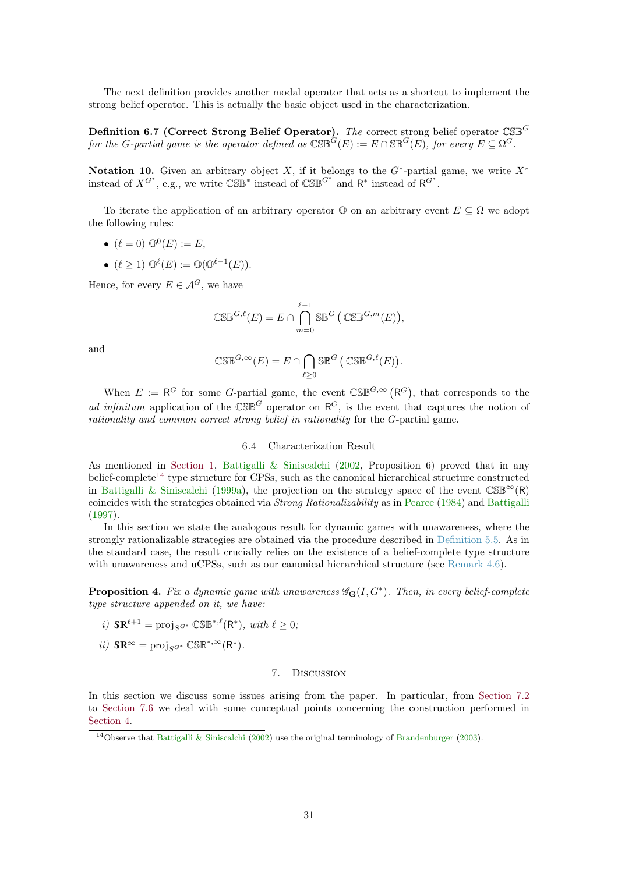<span id="page-30-4"></span>The next definition provides another modal operator that acts as a shortcut to implement the strong belief operator. This is actually the basic object used in the characterization.

Definition 6.7 (Correct Strong Belief Operator). The correct strong belief operator  $\mathbb{CSB}^G$ for the G-partial game is the operator defined as  $\mathbb{CSB}^G(E) := E \cap \mathbb{SB}^G(E)$ , for every  $E \subseteq \Omega^G$ .

Notation 10. Given an arbitrary object X, if it belongs to the  $G^*$ -partial game, we write  $X^*$ instead of  $X^{G^*}$ , e.g., we write  $\mathbb{CSB}^*$  instead of  $\mathbb{CSB}^{G^*}$  and  $\mathbb{R}^*$  instead of  $\mathbb{R}^{G^*}$ .

To iterate the application of an arbitrary operator  $\mathbb{O}$  on an arbitrary event  $E \subseteq \Omega$  we adopt the following rules:

$$
\bullet \ (\ell = 0) \ \mathbb{O}^0(E) := E,
$$

•  $(\ell \geq 1) \mathbb{O}^{\ell}(E) := \mathbb{O}(\mathbb{O}^{\ell-1}(E)).$ 

Hence, for every  $E \in \mathcal{A}^G$ , we have

$$
\mathbb{CSE}^{G,\ell}(E) = E \cap \bigcap_{m=0}^{\ell-1} \mathbb{SE}^G (\mathbb{CSE}^{G,m}(E)),
$$

and

$$
\mathbb{CSB}^{G,\infty}(E) = E \cap \bigcap_{\ell \geq 0} \mathbb{SB}^G \left( \mathbb{CSB}^{G,\ell}(E) \right).
$$

When  $E := \mathsf{R}^G$  for some G-partial game, the event  $\mathbb{CSE}^{G,\infty}(\mathsf{R}^G)$ , that corresponds to the ad infinitum application of the  $\mathbb{CSE}^G$  operator on  $\mathbb{R}^G$ , is the event that captures the notion of rationality and common correct strong belief in rationality for the G-partial game.

### 6.4 Characterization Result

<span id="page-30-0"></span>As mentioned in [Section 1,](#page-2-0) [Battigalli & Siniscalchi](#page-37-1) [\(2002,](#page-37-1) Proposition 6) proved that in any belief-complete<sup>[14](#page-30-3)</sup> type structure for CPSs, such as the canonical hierarchical structure constructed in [Battigalli & Siniscalchi](#page-37-0) [\(1999a\)](#page-37-0), the projection on the strategy space of the event  $\mathbb{CSE}^{\infty}(\mathbb{R})$ coincides with the strategies obtained via Strong Rationalizability as in [Pearce](#page-39-0) [\(1984\)](#page-39-0) and [Battigalli](#page-37-3) [\(1997\)](#page-37-3).

In this section we state the analogous result for dynamic games with unawareness, where the strongly rationalizable strategies are obtained via the procedure described in [Definition 5.5.](#page-26-2) As in the standard case, the result crucially relies on the existence of a belief-complete type structure with unawareness and uCPSs, such as our canonical hierarchical structure (see [Remark 4.6\)](#page-19-3).

<span id="page-30-2"></span>**Proposition 4.** Fix a dynamic game with unawareness  $\mathscr{G}_{\mathbf{G}}(I, G^*)$ . Then, in every belief-complete type structure appended on it, we have:

- i)  $\mathbb{SR}^{\ell+1} = \text{proj}_{S^{G^*}} \mathbb{CSB}^{*,\ell}(\mathsf{R}^*), \text{ with } \ell \geq 0;$
- $ii)$  SR<sup>∞</sup> = proj<sub>S</sub>G<sup>\*</sup> CSB<sup>\*,∞</sup>(R<sup>\*</sup>).

## 7. Discussion

<span id="page-30-1"></span>In this section we discuss some issues arising from the paper. In particular, from [Section 7.2](#page-31-1) to [Section 7.6](#page-34-0) we deal with some conceptual points concerning the construction performed in [Section 4.](#page-11-0)

<span id="page-30-3"></span><sup>&</sup>lt;sup>14</sup>Observe that [Battigalli & Siniscalchi](#page-37-1) [\(2002\)](#page-37-1) use the original terminology of [Brandenburger](#page-37-11) [\(2003\)](#page-37-11).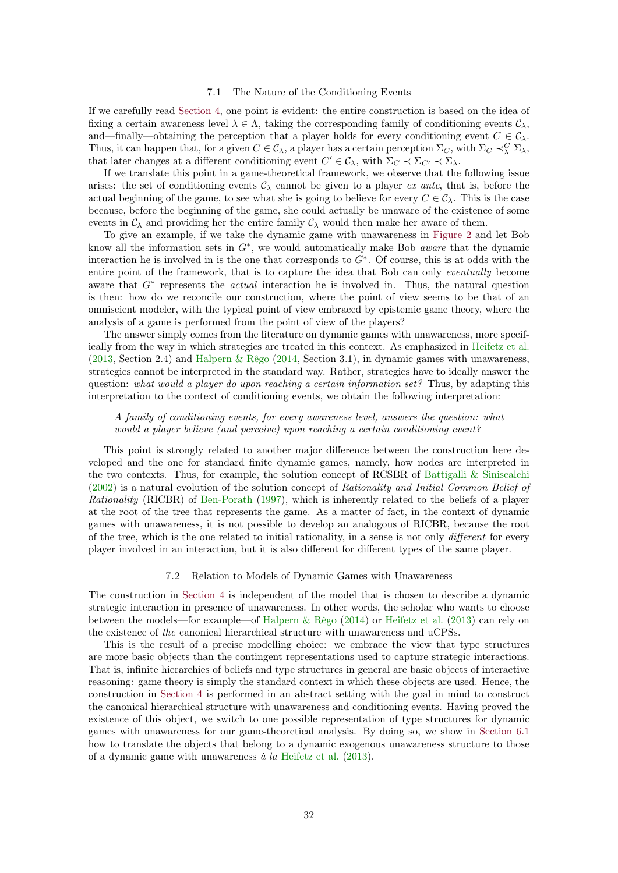#### 7.1 The Nature of the Conditioning Events

<span id="page-31-2"></span><span id="page-31-0"></span>If we carefully read [Section 4,](#page-11-0) one point is evident: the entire construction is based on the idea of fixing a certain awareness level  $\lambda \in \Lambda$ , taking the corresponding family of conditioning events  $C_{\lambda}$ , and—finally—obtaining the perception that a player holds for every conditioning event  $C \in \mathcal{C}_{\lambda}$ . Thus, it can happen that, for a given  $C \in \mathcal{C}_{\lambda}$ , a player has a certain perception  $\Sigma_C$ , with  $\Sigma_C \prec_{\lambda}^C \Sigma_{\lambda}$ , that later changes at a different conditioning event  $C' \in \mathcal{C}_{\lambda}$ , with  $\Sigma_C \prec \Sigma_{C'} \prec \Sigma_{\lambda}$ .

If we translate this point in a game-theoretical framework, we observe that the following issue arises: the set of conditioning events  $\mathcal{C}_{\lambda}$  cannot be given to a player ex ante, that is, before the actual beginning of the game, to see what she is going to believe for every  $C \in \mathcal{C}_{\lambda}$ . This is the case because, before the beginning of the game, she could actually be unaware of the existence of some events in  $C_{\lambda}$  and providing her the entire family  $C_{\lambda}$  would then make her aware of them.

To give an example, if we take the dynamic game with unawareness in [Figure 2](#page-7-0) and let Bob know all the information sets in  $G^*$ , we would automatically make Bob *aware* that the dynamic interaction he is involved in is the one that corresponds to G<sup>∗</sup> . Of course, this is at odds with the entire point of the framework, that is to capture the idea that Bob can only eventually become aware that  $G^*$  represents the *actual* interaction he is involved in. Thus, the natural question is then: how do we reconcile our construction, where the point of view seems to be that of an omniscient modeler, with the typical point of view embraced by epistemic game theory, where the analysis of a game is performed from the point of view of the players?

The answer simply comes from the literature on dynamic games with unawareness, more specifically from the way in which strategies are treated in this context. As emphasized in [Heifetz et al.](#page-38-0)  $(2013, Section 2.4)$  $(2013, Section 2.4)$  and [Halpern & Rêgo](#page-38-7)  $(2014, Section 3.1)$  $(2014, Section 3.1)$ , in dynamic games with unawareness, strategies cannot be interpreted in the standard way. Rather, strategies have to ideally answer the question: what would a player do upon reaching a certain information set? Thus, by adapting this interpretation to the context of conditioning events, we obtain the following interpretation:

# A family of conditioning events, for every awareness level, answers the question: what would a player believe (and perceive) upon reaching a certain conditioning event?

This point is strongly related to another major difference between the construction here developed and the one for standard finite dynamic games, namely, how nodes are interpreted in the two contexts. Thus, for example, the solution concept of RCSBR of [Battigalli & Siniscalchi](#page-37-1) [\(2002\)](#page-37-1) is a natural evolution of the solution concept of Rationality and Initial Common Belief of Rationality (RICBR) of [Ben-Porath](#page-37-8) [\(1997\)](#page-37-8), which is inherently related to the beliefs of a player at the root of the tree that represents the game. As a matter of fact, in the context of dynamic games with unawareness, it is not possible to develop an analogous of RICBR, because the root of the tree, which is the one related to initial rationality, in a sense is not only different for every player involved in an interaction, but it is also different for different types of the same player.

## 7.2 Relation to Models of Dynamic Games with Unawareness

<span id="page-31-1"></span>The construction in [Section 4](#page-11-0) is independent of the model that is chosen to describe a dynamic strategic interaction in presence of unawareness. In other words, the scholar who wants to choose between the models—for example—of [Halpern & Rêgo](#page-38-7) [\(2014\)](#page-38-7) or [Heifetz et al.](#page-38-0) [\(2013\)](#page-38-0) can rely on the existence of the canonical hierarchical structure with unawareness and uCPSs.

This is the result of a precise modelling choice: we embrace the view that type structures are more basic objects than the contingent representations used to capture strategic interactions. That is, infinite hierarchies of beliefs and type structures in general are basic objects of interactive reasoning: game theory is simply the standard context in which these objects are used. Hence, the construction in [Section 4](#page-11-0) is performed in an abstract setting with the goal in mind to construct the canonical hierarchical structure with unawareness and conditioning events. Having proved the existence of this object, we switch to one possible representation of type structures for dynamic games with unawareness for our game-theoretical analysis. By doing so, we show in [Section 6.1](#page-26-1) how to translate the objects that belong to a dynamic exogenous unawareness structure to those of a dynamic game with unawareness  $\dot{a}$  la [Heifetz et al.](#page-38-0) [\(2013\)](#page-38-0).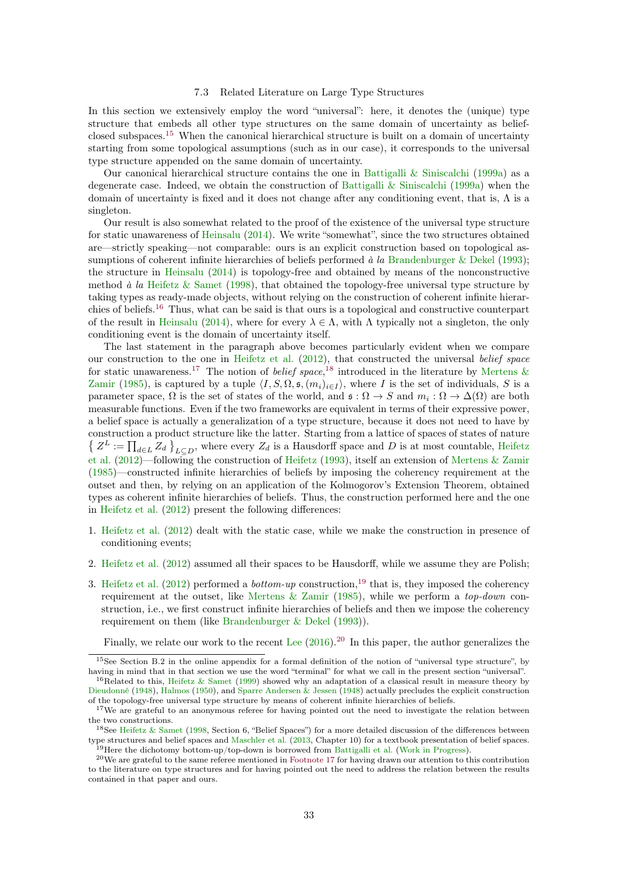#### 7.3 Related Literature on Large Type Structures

<span id="page-32-7"></span><span id="page-32-0"></span>In this section we extensively employ the word "universal": here, it denotes the (unique) type structure that embeds all other type structures on the same domain of uncertainty as beliefclosed subspaces.[15](#page-32-1) When the canonical hierarchical structure is built on a domain of uncertainty starting from some topological assumptions (such as in our case), it corresponds to the universal type structure appended on the same domain of uncertainty.

Our canonical hierarchical structure contains the one in [Battigalli & Siniscalchi](#page-37-0) [\(1999a\)](#page-37-0) as a degenerate case. Indeed, we obtain the construction of Battigalli  $&$  Siniscalchi [\(1999a\)](#page-37-0) when the domain of uncertainty is fixed and it does not change after any conditioning event, that is,  $\Lambda$  is a singleton.

Our result is also somewhat related to the proof of the existence of the universal type structure for static unawareness of [Heinsalu](#page-38-8) [\(2014\)](#page-38-8). We write "somewhat", since the two structures obtained are—strictly speaking—not comparable: ours is an explicit construction based on topological as-sumptions of coherent infinite hierarchies of beliefs performed à la [Brandenburger & Dekel](#page-38-12) [\(1993\)](#page-38-12); the structure in [Heinsalu](#page-38-8) [\(2014\)](#page-38-8) is topology-free and obtained by means of the nonconstructive method  $\hat{a}$  la [Heifetz & Samet](#page-38-16) [\(1998\)](#page-38-16), that obtained the topology-free universal type structure by taking types as ready-made objects, without relying on the construction of coherent infinite hierarchies of beliefs.[16](#page-32-2) Thus, what can be said is that ours is a topological and constructive counterpart of the result in [Heinsalu](#page-38-8) [\(2014\)](#page-38-8), where for every  $\lambda \in \Lambda$ , with  $\Lambda$  typically not a singleton, the only conditioning event is the domain of uncertainty itself.

The last statement in the paragraph above becomes particularly evident when we compare our construction to the one in [Heifetz et al.](#page-38-17)  $(2012)$ , that constructed the universal belief space for static unawareness.<sup>[17](#page-32-3)</sup> The notion of *belief space*,<sup>[18](#page-32-4)</sup> introduced in the literature by [Mertens &](#page-39-4) [Zamir](#page-39-4) [\(1985\)](#page-39-4), is captured by a tuple  $\langle I, S, \Omega, \mathfrak{s}, (m_i)_{i \in I} \rangle$ , where I is the set of individuals, S is a parameter space,  $\Omega$  is the set of states of the world, and  $\mathfrak{s} : \Omega \to S$  and  $m_i : \Omega \to \Delta(\Omega)$  are both measurable functions. Even if the two frameworks are equivalent in terms of their expressive power, a belief space is actually a generalization of a type structure, because it does not need to have by construction a product structure like the latter. Starting from a lattice of spaces of states of nature  $\{Z^L := \prod_{d \in L} Z_d\}_{L\subseteq D}$ , where every  $Z_d$  is a Hausdorff space and D is at most countable, [Heifetz](#page-38-17) [et al.](#page-38-17) [\(2012\)](#page-38-17)—following the construction of [Heifetz](#page-38-18) [\(1993\)](#page-38-18), itself an extension of [Mertens & Zamir](#page-39-4) [\(1985\)](#page-39-4)—constructed infinite hierarchies of beliefs by imposing the coherency requirement at the outset and then, by relying on an application of the Kolmogorov's Extension Theorem, obtained types as coherent infinite hierarchies of beliefs. Thus, the construction performed here and the one in [Heifetz et al.](#page-38-17) [\(2012\)](#page-38-17) present the following differences:

- 1. [Heifetz et al.](#page-38-17) [\(2012\)](#page-38-17) dealt with the static case, while we make the construction in presence of conditioning events;
- 2. [Heifetz et al.](#page-38-17) [\(2012\)](#page-38-17) assumed all their spaces to be Hausdorff, while we assume they are Polish;
- 3. [Heifetz et al.](#page-38-17) [\(2012\)](#page-38-17) performed a *bottom-up* construction,<sup>[19](#page-32-5)</sup> that is, they imposed the coherency requirement at the outset, like [Mertens & Zamir](#page-39-4) [\(1985\)](#page-39-4), while we perform a *top-down* construction, i.e., we first construct infinite hierarchies of beliefs and then we impose the coherency requirement on them (like [Brandenburger & Dekel](#page-38-12) [\(1993\)](#page-38-12)).

Finally, we relate our work to the recent [Lee](#page-39-14)  $(2016)$ .<sup>[20](#page-32-6)</sup> In this paper, the author generalizes the

<span id="page-32-1"></span><sup>&</sup>lt;sup>15</sup>See Section B.2 in the online appendix for a formal definition of the notion of "universal type structure", by having in mind that in that section we use the word "terminal" for what we call in the present section "universal".

<span id="page-32-2"></span><sup>&</sup>lt;sup>16</sup>Related to this, [Heifetz & Samet](#page-38-19) [\(1999\)](#page-38-19) showed why an adaptation of a classical result in measure theory by [Dieudonné](#page-38-20) [\(1948\)](#page-38-20), [Halmos](#page-38-21) [\(1950\)](#page-38-21), and [Sparre Andersen & Jessen](#page-39-15) [\(1948\)](#page-39-15) actually precludes the explicit construction of the topology-free universal type structure by means of coherent infinite hierarchies of beliefs.

<span id="page-32-3"></span><sup>&</sup>lt;sup>17</sup>We are grateful to an anonymous referee for having pointed out the need to investigate the relation between the two constructions.

<span id="page-32-4"></span><sup>&</sup>lt;sup>18</sup>See [Heifetz & Samet](#page-38-16) [\(1998,](#page-38-16) Section 6, "Belief Spaces") for a more detailed discussion of the differences between type structures and belief spaces and [Maschler et al.](#page-39-16) [\(2013,](#page-39-16) Chapter 10) for a textbook presentation of belief spaces.  $19$ Here the dichotomy bottom-up/top-down is borrowed from [Battigalli et al.](#page-37-12) [\(Work in Progress\)](#page-37-12).

<span id="page-32-6"></span><span id="page-32-5"></span> $^{20}$ We are grateful to the same referee mentioned in [Footnote 17](#page-32-3) for having drawn our attention to this contribution to the literature on type structures and for having pointed out the need to address the relation between the results contained in that paper and ours.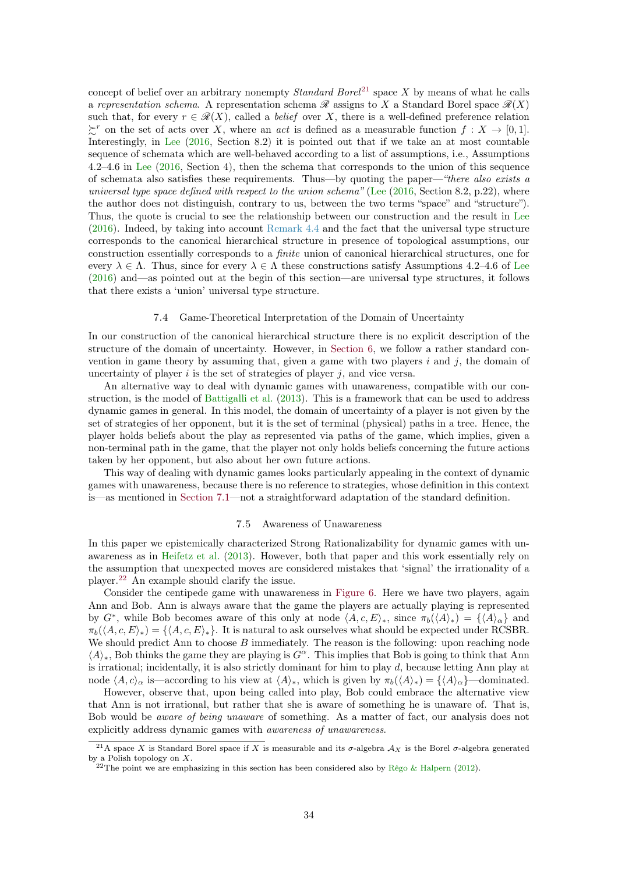<span id="page-33-4"></span>concept of belief over an arbitrary nonempty *Standard Borel*<sup>[21](#page-33-2)</sup> space X by means of what he calls a representation schema. A representation schema  $\mathscr R$  assigns to X a Standard Borel space  $\mathscr R(X)$ such that, for every  $r \in \mathcal{R}(X)$ , called a *belief* over X, there is a well-defined preference relation  $\succeq^r$  on the set of acts over X, where an *act* is defined as a measurable function  $f: X \to [0,1].$ Interestingly, in [Lee](#page-39-14) [\(2016,](#page-39-14) Section 8.2) it is pointed out that if we take an at most countable sequence of schemata which are well-behaved according to a list of assumptions, i.e., Assumptions 4.2–4.6 in [Lee](#page-39-14) [\(2016,](#page-39-14) Section 4), then the schema that corresponds to the union of this sequence of schemata also satisfies these requirements. Thus—by quoting the paper—"there also exists a universal type space defined with respect to the union schema" [\(Lee](#page-39-14)  $(2016, \text{Section } 8.2, \text{p.}22)$  $(2016, \text{Section } 8.2, \text{p.}22)$ , where the author does not distinguish, contrary to us, between the two terms "space" and "structure"). Thus, the quote is crucial to see the relationship between our construction and the result in [Lee](#page-39-14) [\(2016\)](#page-39-14). Indeed, by taking into account [Remark 4.4](#page-18-2) and the fact that the universal type structure corresponds to the canonical hierarchical structure in presence of topological assumptions, our construction essentially corresponds to a finite union of canonical hierarchical structures, one for every  $\lambda \in \Lambda$ . Thus, since for every  $\lambda \in \Lambda$  these constructions satisfy Assumptions 4.2–4.6 of [Lee](#page-39-14) [\(2016\)](#page-39-14) and—as pointed out at the begin of this section—are universal type structures, it follows that there exists a 'union' universal type structure.

## 7.4 Game-Theoretical Interpretation of the Domain of Uncertainty

<span id="page-33-0"></span>In our construction of the canonical hierarchical structure there is no explicit description of the structure of the domain of uncertainty. However, in [Section 6,](#page-26-0) we follow a rather standard convention in game theory by assuming that, given a game with two players  $i$  and  $j$ , the domain of uncertainty of player  $i$  is the set of strategies of player  $j$ , and vice versa.

An alternative way to deal with dynamic games with unawareness, compatible with our construction, is the model of [Battigalli et al.](#page-37-13) [\(2013\)](#page-37-13). This is a framework that can be used to address dynamic games in general. In this model, the domain of uncertainty of a player is not given by the set of strategies of her opponent, but it is the set of terminal (physical) paths in a tree. Hence, the player holds beliefs about the play as represented via paths of the game, which implies, given a non-terminal path in the game, that the player not only holds beliefs concerning the future actions taken by her opponent, but also about her own future actions.

This way of dealing with dynamic games looks particularly appealing in the context of dynamic games with unawareness, because there is no reference to strategies, whose definition in this context is—as mentioned in [Section 7.1—](#page-31-0)not a straightforward adaptation of the standard definition.

### 7.5 Awareness of Unawareness

<span id="page-33-1"></span>In this paper we epistemically characterized Strong Rationalizability for dynamic games with unawareness as in [Heifetz et al.](#page-38-0) [\(2013\)](#page-38-0). However, both that paper and this work essentially rely on the assumption that unexpected moves are considered mistakes that 'signal' the irrationality of a player.[22](#page-33-3) An example should clarify the issue.

Consider the centipede game with unawareness in [Figure 6.](#page-34-1) Here we have two players, again Ann and Bob. Ann is always aware that the game the players are actually playing is represented by  $G^*$ , while Bob becomes aware of this only at node  $\langle A, c, E \rangle_*,$  since  $\pi_b(\langle A \rangle_*) = {\langle A \rangle_\alpha}$  and  $\pi_b(\langle A, c, E \rangle_*) = {\langle A, c, E \rangle_*}.$  It is natural to ask ourselves what should be expected under RCSBR. We should predict Ann to choose  $B$  immediately. The reason is the following: upon reaching node  $\langle A \rangle_{*}$ , Bob thinks the game they are playing is  $G^{\alpha}$ . This implies that Bob is going to think that Ann is irrational; incidentally, it is also strictly dominant for him to play  $d$ , because letting Ann play at node  $\langle A, c \rangle_{\alpha}$  is—according to his view at  $\langle A \rangle_{*}$ , which is given by  $\pi_b(\langle A \rangle_{*}) = {\langle A \rangle_{\alpha}}$  —dominated.

However, observe that, upon being called into play, Bob could embrace the alternative view that Ann is not irrational, but rather that she is aware of something he is unaware of. That is, Bob would be aware of being unaware of something. As a matter of fact, our analysis does not explicitly address dynamic games with awareness of unawareness.

<span id="page-33-2"></span><sup>&</sup>lt;sup>21</sup>A space X is Standard Borel space if X is measurable and its  $\sigma$ -algebra  $\mathcal{A}_X$  is the Borel  $\sigma$ -algebra generated by a Polish topology on  $X$ .

<span id="page-33-3"></span><sup>&</sup>lt;sup>22</sup>The point we are emphasizing in this section has been considered also by [Rêgo & Halpern](#page-39-7) [\(2012\)](#page-39-7).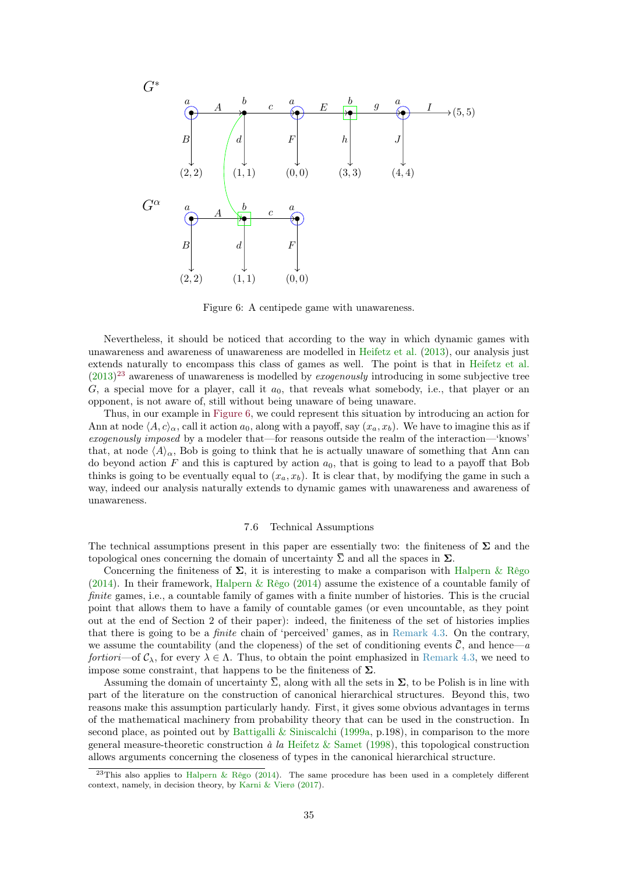<span id="page-34-3"></span>![](_page_34_Figure_0.jpeg)

<span id="page-34-1"></span>Figure 6: A centipede game with unawareness.

Nevertheless, it should be noticed that according to the way in which dynamic games with unawareness and awareness of unawareness are modelled in [Heifetz et al.](#page-38-0) [\(2013\)](#page-38-0), our analysis just extends naturally to encompass this class of games as well. The point is that in [Heifetz et al.](#page-38-0)  $(2013)^{23}$  $(2013)^{23}$  $(2013)^{23}$  $(2013)^{23}$  awareness of unawareness is modelled by *exogenously* introducing in some subjective tree G, a special move for a player, call it  $a_0$ , that reveals what somebody, i.e., that player or an opponent, is not aware of, still without being unaware of being unaware.

Thus, in our example in [Figure 6,](#page-34-1) we could represent this situation by introducing an action for Ann at node  $\langle A, c \rangle_\alpha$ , call it action  $a_0$ , along with a payoff, say  $(x_a, x_b)$ . We have to imagine this as if exogenously imposed by a modeler that—for reasons outside the realm of the interaction—'knows' that, at node  $\langle A \rangle_{\alpha}$ , Bob is going to think that he is actually unaware of something that Ann can do beyond action  $F$  and this is captured by action  $a_0$ , that is going to lead to a payoff that Bob thinks is going to be eventually equal to  $(x_a, x_b)$ . It is clear that, by modifying the game in such a way, indeed our analysis naturally extends to dynamic games with unawareness and awareness of unawareness.

## 7.6 Technical Assumptions

<span id="page-34-0"></span>The technical assumptions present in this paper are essentially two: the finiteness of  $\Sigma$  and the topological ones concerning the domain of uncertainty  $\Sigma$  and all the spaces in  $\Sigma$ .

Concerning the finiteness of  $\Sigma$ , it is interesting to make a comparison with [Halpern & Rêgo](#page-38-7) [\(2014\)](#page-38-7). In their framework, Halpern  $\&$  Rêgo (2014) assume the existence of a countable family of finite games, i.e., a countable family of games with a finite number of histories. This is the crucial point that allows them to have a family of countable games (or even uncountable, as they point out at the end of Section 2 of their paper): indeed, the finiteness of the set of histories implies that there is going to be a finite chain of 'perceived' games, as in [Remark 4.3.](#page-15-2) On the contrary, we assume the countability (and the clopeness) of the set of conditioning events  $\overline{C}$ , and hence—a fortiori—of  $\mathcal{C}_{\lambda}$ , for every  $\lambda \in \Lambda$ . Thus, to obtain the point emphasized in [Remark 4.3,](#page-15-2) we need to impose some constraint, that happens to be the finiteness of  $\Sigma$ .

Assuming the domain of uncertainty  $\overline{\Sigma}$ , along with all the sets in  $\Sigma$ , to be Polish is in line with part of the literature on the construction of canonical hierarchical structures. Beyond this, two reasons make this assumption particularly handy. First, it gives some obvious advantages in terms of the mathematical machinery from probability theory that can be used in the construction. In second place, as pointed out by Battigalli  $&$  Siniscalchi [\(1999a,](#page-37-0) p.198), in comparison to the more general measure-theoretic construction  $\dot{a}$  la [Heifetz & Samet](#page-38-16) [\(1998\)](#page-38-16), this topological construction allows arguments concerning the closeness of types in the canonical hierarchical structure.

<span id="page-34-2"></span><sup>&</sup>lt;sup>23</sup>This also applies to [Halpern & Rêgo](#page-38-7) [\(2014\)](#page-38-7). The same procedure has been used in a completely different context, namely, in decision theory, by [Karni & Vierø](#page-38-22) [\(2017\)](#page-38-22).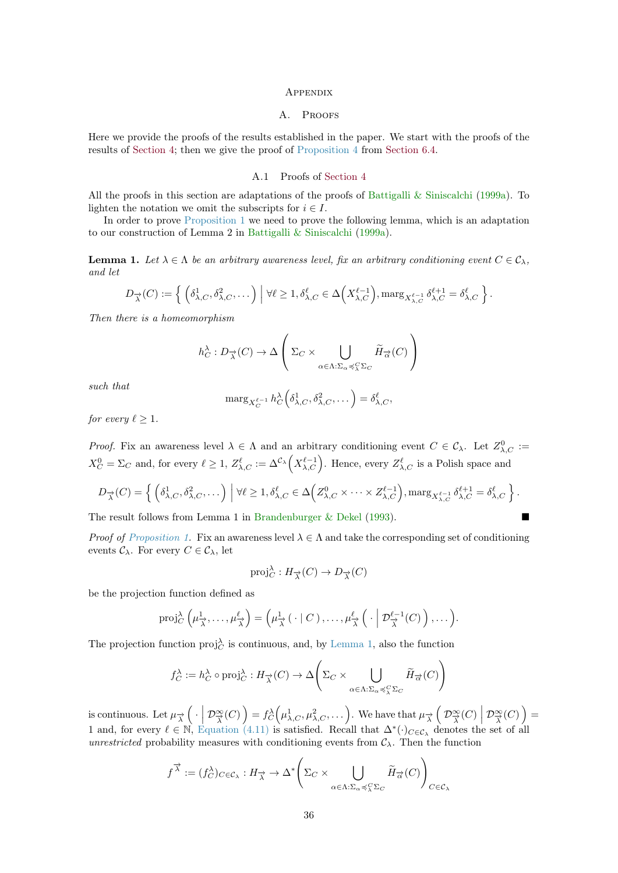#### **APPENDIX**

#### A. PROOFS

<span id="page-35-3"></span><span id="page-35-0"></span>Here we provide the proofs of the results established in the paper. We start with the proofs of the results of [Section 4;](#page-11-0) then we give the proof of [Proposition 4](#page-30-2) from [Section 6.4.](#page-30-0)

## A.1 Proofs of [Section 4](#page-11-0)

<span id="page-35-1"></span>All the proofs in this section are adaptations of the proofs of [Battigalli & Siniscalchi](#page-37-0) [\(1999a\)](#page-37-0). To lighten the notation we omit the subscripts for  $i \in I$ .

In order to prove [Proposition 1](#page-17-3) we need to prove the following lemma, which is an adaptation to our construction of Lemma 2 in [Battigalli & Siniscalchi](#page-37-0) [\(1999a\)](#page-37-0).

<span id="page-35-2"></span>**Lemma 1.** Let  $\lambda \in \Lambda$  be an arbitrary awareness level, fix an arbitrary conditioning event  $C \in \mathcal{C}_{\lambda}$ , and let

$$
D_{\overrightarrow{\lambda}}(C) := \left\{ \left( \delta_{\lambda,C}^1, \delta_{\lambda,C}^2, \dots \right) \middle| \forall \ell \ge 1, \delta_{\lambda,C}^{\ell} \in \Delta \left( X_{\lambda,C}^{\ell-1} \right), \max_{S_{\lambda,C}} \delta_{\lambda,C}^{\ell+1} = \delta_{\lambda,C}^{\ell} \right\}.
$$

Then there is a homeomorphism

$$
h_C^{\lambda}: D_{\overrightarrow{\lambda}}(C) \to \Delta \left( \Sigma_C \times \bigcup_{\alpha \in \Lambda: \Sigma_{\alpha} \preccurlyeq_{\lambda}^C \Sigma_C} \widetilde{H}_{\overrightarrow{\alpha}}(C) \right)
$$

such that

$$
\mathrm{marg}_{X_C^{\ell-1}} h_C^{\lambda} \Big( \delta_{\lambda,C}^1, \delta_{\lambda,C}^2, \dots \Big) = \delta_{\lambda,C}^{\ell},
$$

for every  $\ell > 1$ .

*Proof.* Fix an awareness level  $\lambda \in \Lambda$  and an arbitrary conditioning event  $C \in \mathcal{C}_{\lambda}$ . Let  $Z_{\lambda,C}^0 :=$  $X_C^0 = \Sigma_C$  and, for every  $\ell \geq 1$ ,  $Z_{\lambda,C}^{\ell} := \Delta^{\mathcal{C}_{\lambda}}\left(X_{\lambda,C}^{\ell-1}\right)$ . Hence, every  $Z_{\lambda,C}^{\ell}$  is a Polish space and

$$
D_{\overrightarrow{\lambda}}(C) = \left\{ \left( \delta_{\lambda,C}^1, \delta_{\lambda,C}^2, \dots \right) \middle| \forall \ell \ge 1, \delta_{\lambda,C}^{\ell} \in \Delta \left( Z_{\lambda,C}^0 \times \dots \times Z_{\lambda,C}^{\ell-1} \right), \max_{S_{\lambda,C}} \delta_{\lambda,C}^{\ell+1} = \delta_{\lambda,C}^{\ell} \right\}.
$$

The result follows from Lemma 1 in [Brandenburger & Dekel](#page-38-12) [\(1993\)](#page-38-12).

*Proof of [Proposition 1.](#page-17-3)* Fix an awareness level  $\lambda \in \Lambda$  and take the corresponding set of conditioning events  $\mathcal{C}_{\lambda}$ . For every  $C \in \mathcal{C}_{\lambda}$ , let

$$
\text{proj}_{C}^{\lambda}: H_{\overrightarrow{\lambda}}(C) \to D_{\overrightarrow{\lambda}}(C)
$$

be the projection function defined as

$$
\operatorname{proj}_{C}^{\lambda}\left(\mu_{\overrightarrow{\lambda}}^1,\ldots,\mu_{\overrightarrow{\lambda}}^{\ell}\right)=\left(\mu_{\overrightarrow{\lambda}}^1\left(\cdot\mid C\right),\ldots,\mu_{\overrightarrow{\lambda}}^{\ell}\left(\cdot\mid \mathcal{D}_{\overrightarrow{\lambda}}^{\ell-1}(C)\right),\ldots\right).
$$

The projection function  $proj_C^{\lambda}$  is continuous, and, by [Lemma 1,](#page-35-2) also the function

$$
f_C^{\lambda} := h_C^{\lambda} \circ \text{proj}_C^{\lambda} : H_{\overrightarrow{\lambda}}(C) \to \Delta \left( \Sigma_C \times \bigcup_{\alpha \in \Lambda : \Sigma_{\alpha} \preccurlyeq_{\lambda}^C \Sigma_C} \widetilde{H}_{\overrightarrow{\alpha}}(C) \right)
$$

is continuous. Let  $\mu_{\overrightarrow{\lambda}}\left(\cdot\right|\mathcal{D}_{\overrightarrow{\lambda}}^{\infty}(C)\right) = f_C^{\lambda}\left(\mu_{\lambda,C}^1,\mu_{\lambda,C}^2,\ldots\right)$ . We have that  $\mu_{\overrightarrow{\lambda}}\left(\mathcal{D}_{\overrightarrow{\lambda}}^{\infty}(C)\right|\mathcal{D}_{\overrightarrow{\lambda}}^{\infty}(C)\right) =$ 1 and, for every  $\ell \in \mathbb{N}$ , [Equation \(4.11\)](#page-17-5) is satisfied. Recall that  $\Delta^*(\cdot)_{C \in \mathcal{C}_{\lambda}}$  denotes the set of all unrestricted probability measures with conditioning events from  $\mathcal{C}_{\lambda}$ . Then the function

$$
f^{\overrightarrow{\lambda}} := (f_C^{\lambda})_{C \in \mathcal{C}_{\lambda}} : H_{\overrightarrow{\lambda}} \to \Delta^* \left( \Sigma_C \times \bigcup_{\alpha \in \Lambda : \Sigma_{\alpha} \preccurlyeq^C_{\lambda} \Sigma_C} \widetilde{H}_{\overrightarrow{\alpha}}(C) \right)_{C \in \mathcal{C}_{\lambda}}
$$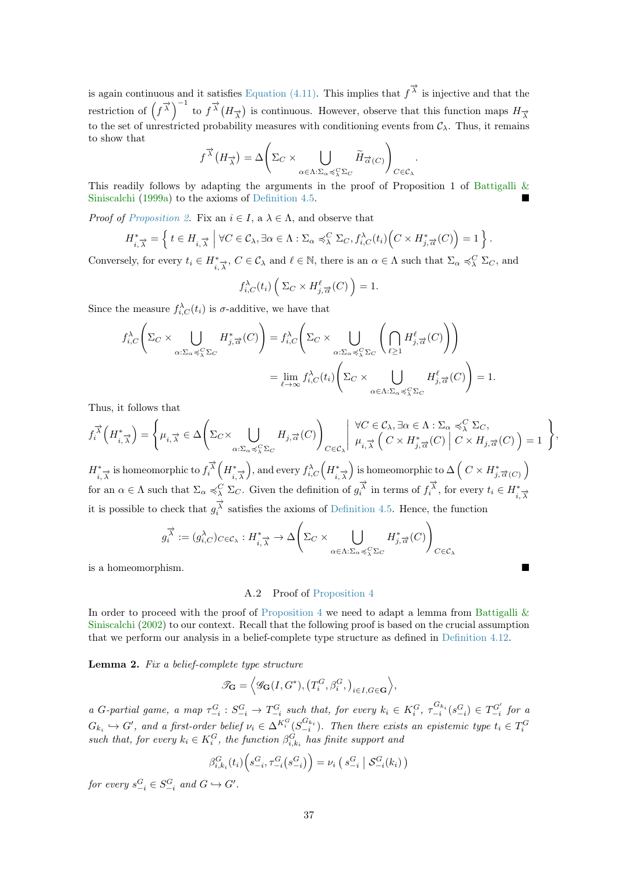<span id="page-36-2"></span>is again continuous and it satisfies [Equation \(4.11\).](#page-17-5) This implies that  $f^{\vec{\lambda}}$  is injective and that the restriction of  $(f^{\vec{\lambda}})^{-1}$  to  $f^{\vec{\lambda}}(H_{\vec{\lambda}})$  is continuous. However, observe that this function maps  $H_{\vec{\lambda}}$ to the set of unrestricted probability measures with conditioning events from  $\mathcal{C}_{\lambda}$ . Thus, it remains to show that

$$
f^{\vec{\lambda}}(H_{\vec{\lambda}}) = \Delta \Bigg(\Sigma_C \times \bigcup_{\alpha \in \Lambda: \Sigma_\alpha \preccurlyeq_\lambda^C \Sigma_C} \widetilde{H}_{\vec{\alpha}(C)} \Bigg)_{C \in \mathcal{C}_\lambda}.
$$

This readily follows by adapting the arguments in the proof of Proposition 1 of Battigalli  $\&$ [Siniscalchi](#page-37-0) [\(1999a\)](#page-37-0) to the axioms of [Definition 4.5.](#page-14-2)

*Proof of [Proposition 2.](#page-18-0)* Fix an  $i \in I$ , a  $\lambda \in \Lambda$ , and observe that

$$
H_{i,\overrightarrow{\lambda}}^* = \left\{ t \in H_{i,\overrightarrow{\lambda}} \mid \forall C \in \mathcal{C}_{\lambda}, \exists \alpha \in \Lambda : \Sigma_{\alpha} \preccurlyeq_{\lambda}^C \Sigma_C, f_{i,C}^{\lambda}(t_i) \Big( C \times H_{j,\overrightarrow{\alpha}}^*(C) \Big) = 1 \right\}.
$$

Conversely, for every  $t_i \in H^*_{i, \overrightarrow{\lambda}}$ ,  $C \in \mathcal{C}_{\lambda}$  and  $\ell \in \mathbb{N}$ , there is an  $\alpha \in \Lambda$  such that  $\Sigma_{\alpha} \preccurlyeq^C_{\lambda} \Sigma_C$ , and

$$
f_{i,C}^{\lambda}(t_i) \left( \Sigma_C \times H_{j,\overrightarrow{\alpha}}^{\ell}(C) \right) = 1.
$$

Since the measure  $f_{i,C}^{\lambda}(t_i)$  is  $\sigma$ -additive, we have that

$$
f_{i,C}^{\lambda}\left(\Sigma_{C}\times\bigcup_{\alpha:\Sigma_{\alpha}\preccurlyeq_{\lambda}^{C}\Sigma_{C}}H_{j,\overrightarrow{\alpha}}^{*}(C)\right) = f_{i,C}^{\lambda}\left(\Sigma_{C}\times\bigcup_{\alpha:\Sigma_{\alpha}\preccurlyeq_{\lambda}^{C}\Sigma_{C}}\left(\bigcap_{\ell\geq 1}H_{j,\overrightarrow{\alpha}}^{\ell}(C)\right)\right)
$$

$$
=\lim_{\ell\to\infty}f_{i,C}^{\lambda}(t_{i})\left(\Sigma_{C}\times\bigcup_{\alpha\in\Lambda:\Sigma_{\alpha}\preccurlyeq_{\lambda}^{C}\Sigma_{C}}H_{j,\overrightarrow{\alpha}}^{\ell}(C)\right) = 1.
$$

Thus, it follows that

$$
f_i^{\vec{\lambda}}(H^*_{i,\vec{\lambda}}) = \left\{ \mu_{i,\vec{\lambda}} \in \Delta \left( \Sigma_C \times \bigcup_{\alpha:\Sigma_\alpha \preccurlyeq_\lambda^C \Sigma_C} H_{j,\vec{\alpha}}(C) \right)_{C \in \mathcal{C}_\lambda} \middle| \begin{array}{l} \forall C \in \mathcal{C}_\lambda, \exists \alpha \in \Lambda : \Sigma_\alpha \preccurlyeq_\lambda^C \Sigma_C, \\ \mu_{i,\vec{\lambda}} \left( C \times H^*_{j,\vec{\alpha}}(C) \middle| C \times H_{j,\vec{\alpha}}(C) \right) = 1 \end{array} \right\},
$$

 $H^*_{i,\overrightarrow{\lambda}}$  is homeomorphic to  $f^{\overrightarrow{\lambda}}_i\left(H^*_{i,\overrightarrow{\lambda}}\right)$ , and every  $f^{\lambda}_{i,C}\left(H^*_{i,\overrightarrow{\lambda}}\right)$  is homeomorphic to  $\Delta\left(C\times H^*_{j,\overrightarrow{\alpha}(C)}\right)$ for an  $\alpha \in \Lambda$  such that  $\Sigma_{\alpha} \preccurlyeq_{\lambda}^C \Sigma_C$ . Given the definition of  $g_i^{\overrightarrow{\lambda}}$  in terms of  $f_i^{\overrightarrow{\lambda}}$ , for every  $t_i \in H^*_{i, \overrightarrow{\lambda}}$ it is possible to check that  $g_i^{\vec{\lambda}}$  satisfies the axioms of [Definition 4.5.](#page-14-2) Hence, the function

$$
g_i^{\overrightarrow{\lambda}} := (g_{i,C}^{\lambda})_{C \in \mathcal{C}_{\lambda}} : H_{i,\overrightarrow{\lambda}}^* \to \Delta \left(\Sigma_C \times \bigcup_{\alpha \in \Lambda : \Sigma_{\alpha} \preccurlyeq_{\lambda}^C \Sigma_C} H_{j,\overrightarrow{\alpha}}^*(C)\right)_{C \in \mathcal{C}_{\lambda}}
$$

is a homeomorphism.

#### A.2 Proof of [Proposition 4](#page-30-2)

<span id="page-36-0"></span>In order to proceed with the proof of [Proposition 4](#page-30-2) we need to adapt a lemma from Battigalli  $\&$ [Siniscalchi](#page-37-1) [\(2002\)](#page-37-1) to our context. Recall that the following proof is based on the crucial assumption that we perform our analysis in a belief-complete type structure as defined in [Definition 4.12.](#page-19-4)

<span id="page-36-1"></span>Lemma 2. Fix a belief-complete type structure

$$
\mathscr{T}_{\mathbf{G}} = \left\langle \mathscr{G}_{\mathbf{G}}(I, G^*), \left(T_i^G, \beta_i^G, \right)_{i \in I, G \in \mathbf{G}} \right\rangle,
$$

a G-partial game, a map  $\tau_{-i}^G : S_{-i}^G \to T_{-i}^G$  such that, for every  $k_i \in K_i^G$ ,  $\tau_{-i}^{G_{k_i}}(s_{-i}^G) \in T_{-i}^{G'}$  for a  $G_{k_i} \hookrightarrow G'$ , and a first-order belief  $\nu_i \in \Delta^{K_i^G}(S_{-i}^{G_{k_i}})$ . Then there exists an epistemic type  $t_i \in T_i^G$ <br>such that, for every  $k_i \in K_i^G$ , the function  $\beta_{i,k_i}^{G}$  has finite support and

$$
\beta_{i,k_i}^G(t_i) \bigg( s_{-i}^G, \tau_{-i}^G(s_{-i}^G) \bigg) = \nu_i \left( s_{-i}^G \, \big| \, \mathcal{S}_{-i}^G(k_i) \right)
$$

for every  $s_{-i}^G \in S_{-i}^G$  and  $G \hookrightarrow G'$ .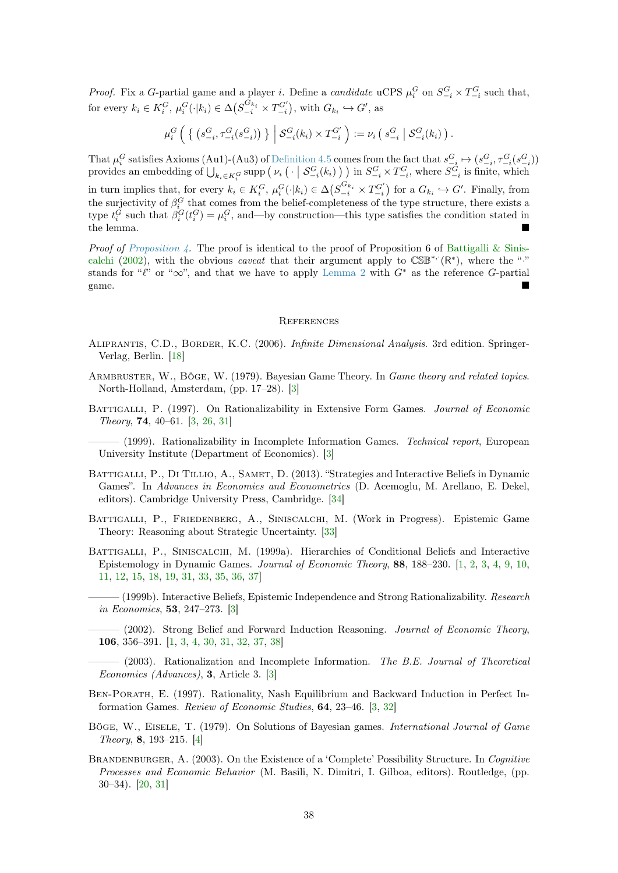<span id="page-37-14"></span>*Proof.* Fix a G-partial game and a player *i*. Define a *candidate* uCPS  $\mu_i^G$  on  $S_{-i}^G \times T_{-i}^G$  such that, for every  $k_i \in K_i^G$ ,  $\mu_i^G(\cdot | k_i) \in \Delta(S_{-i}^{G_{k_i}} \times T_{-i}^{G'})$ , with  $G_{k_i} \hookrightarrow G'$ , as

$$
\mu_i^G \left( \left\{ \left( s_{-i}^G, \tau_{-i}^G(s_{-i}^G) \right) \right\} \middle| S_{-i}^G(k_i) \times T_{-i}^{G'} \right) := \nu_i \left( s_{-i}^G \middle| S_{-i}^G(k_i) \right).
$$

That  $\mu_i^G$  satisfies Axioms (Au1)-(Au3) of [Definition 4.5](#page-14-2) comes from the fact that  $s_{-\underline{i}}^G \mapsto (s_{-i}^G, \tau_{-i}^G(s_{-i}^G))$ provides an embedding of  $\bigcup_{k_i \in K_i^G}$  supp  $\left(v_i\left(\cdot \mid \mathcal{S}_{-i}^G(k_i)\right)\right)$  in  $S_{-i}^G \times T_{-i}^G$ , where  $S_{-i}^G$  is finite, which

in turn implies that, for every  $k_i \in K_i^G$ ,  $\mu_i^G(\cdot | k_i) \in \Delta(S_{-i}^{G_{k_i}} \times T_{-i}^{G'})$  for a  $G_{k_i} \hookrightarrow G'$ . Finally, from the surjectivity of  $\beta_i^G$  that comes from the belief-completeness of the type structure, there exists a type  $t_i^G$  such that  $\beta_i^G(t_i^G) = \mu_i^G$ , and—by construction—this type satisfies the condition stated in the lemma.

*Proof of [Proposition 4.](#page-30-2)* The proof is identical to the proof of Proposition 6 of [Battigalli & Sinis](#page-37-1)[calchi](#page-37-1) [\(2002\)](#page-37-1), with the obvious *caveat* that their argument apply to  $\mathbb{CSE}^*$  ( $\mathbb{R}^*$ ), where the "<sup>\*</sup> stands for " $\ell$ " or " $\infty$ ", and that we have to apply [Lemma 2](#page-36-1) with  $G^*$  as the reference G-partial game.

#### **REFERENCES**

- <span id="page-37-10"></span><span id="page-37-2"></span>ALIPRANTIS, C.D., BORDER, K.C. (2006). *Infinite Dimensional Analysis*. 3rd edition. Springer-Verlag, Berlin. [\[18\]](#page-17-6)
- <span id="page-37-4"></span>ARMBRUSTER, W., BÖGE, W. (1979). Bayesian Game Theory. In Game theory and related topics. North-Holland, Amsterdam, (pp. 17–28). [\[3\]](#page-2-2)
- <span id="page-37-3"></span>BATTIGALLI, P. (1997). On Rationalizability in Extensive Form Games. Journal of Economic Theory, 74, 40–61. [\[3,](#page-2-2) [26,](#page-25-1) [31\]](#page-30-4)

<span id="page-37-5"></span> $-$  (1999). Rationalizability in Incomplete Information Games. Technical report, European University Institute (Department of Economics). [\[3\]](#page-2-2)

- <span id="page-37-13"></span>BATTIGALLI, P., DI TILLIO, A., SAMET, D. (2013). "Strategies and Interactive Beliefs in Dynamic Games". In Advances in Economics and Econometrics (D. Acemoglu, M. Arellano, E. Dekel, editors). Cambridge University Press, Cambridge. [\[34\]](#page-33-4)
- <span id="page-37-12"></span>Battigalli, P., Friedenberg, A., Siniscalchi, M. (Work in Progress). Epistemic Game Theory: Reasoning about Strategic Uncertainty. [\[33\]](#page-32-7)
- <span id="page-37-6"></span><span id="page-37-0"></span>BATTIGALLI, P., SINISCALCHI, M. (1999a). Hierarchies of Conditional Beliefs and Interactive Epistemology in Dynamic Games. Journal of Economic Theory, 88, 188–230. [\[1,](#page-0-0) [2,](#page-1-0) [3,](#page-2-2) [4,](#page-3-1) [9,](#page-8-3) [10,](#page-9-2) [11,](#page-10-3) [12,](#page-11-3) [15,](#page-14-3) [18,](#page-17-6) [19,](#page-18-3) [31,](#page-30-4) [33,](#page-32-7) [35,](#page-34-3) [36,](#page-35-3) [37\]](#page-36-2)
	- $-$  (1999b). Interactive Beliefs, Epistemic Independence and Strong Rationalizability. Research in Economics, 53, 247–273. [\[3\]](#page-2-2)
	- $-$  (2002). Strong Belief and Forward Induction Reasoning. *Journal of Economic Theory*, 106, 356–391. [\[1,](#page-0-0) [3,](#page-2-2) [4,](#page-3-1) [30,](#page-29-2) [31,](#page-30-4) [32,](#page-31-2) [37,](#page-36-2) [38\]](#page-37-14)
- <span id="page-37-7"></span><span id="page-37-1"></span> $-$  (2003). Rationalization and Incomplete Information. The B.E. Journal of Theoretical Economics (Advances), 3, Article 3. [\[3\]](#page-2-2)
- <span id="page-37-8"></span>Ben-Porath, E. (1997). Rationality, Nash Equilibrium and Backward Induction in Perfect Information Games. Review of Economic Studies, 64, 23–46. [\[3,](#page-2-2) [32\]](#page-31-2)
- <span id="page-37-9"></span>Böge, W., Eisele, T. (1979). On Solutions of Bayesian games. International Journal of Game Theory, 8, 193–215. [\[4\]](#page-3-1)
- <span id="page-37-11"></span>BRANDENBURGER, A. (2003). On the Existence of a 'Complete' Possibility Structure. In Cognitive Processes and Economic Behavior (M. Basili, N. Dimitri, I. Gilboa, editors). Routledge, (pp. 30–34). [\[20,](#page-19-5) [31\]](#page-30-4)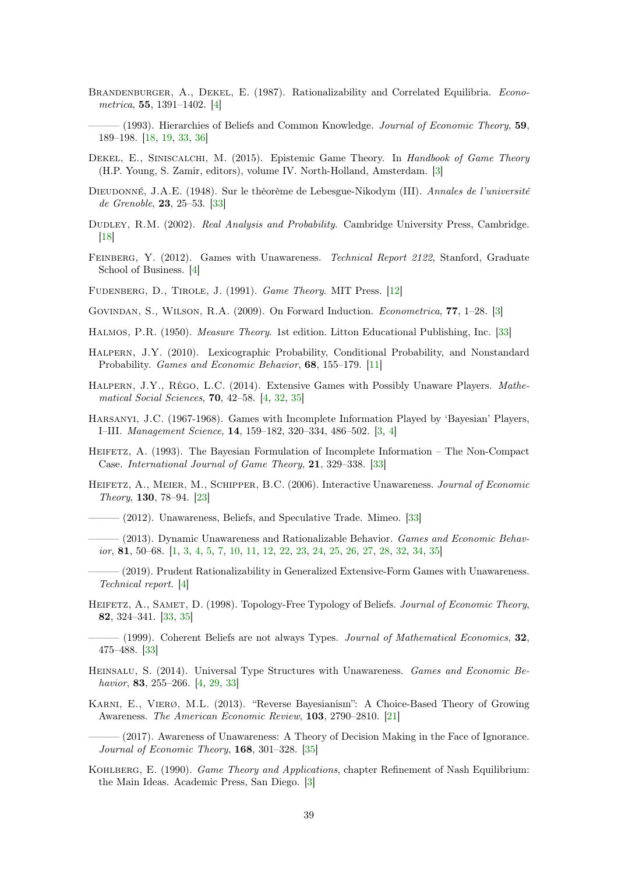- <span id="page-38-9"></span>BRANDENBURGER, A., DEKEL, E. (1987). Rationalizability and Correlated Equilibria. Econometrica, 55, 1391–1402. [\[4\]](#page-3-1)
- <span id="page-38-12"></span> $-$  (1993). Hierarchies of Beliefs and Common Knowledge. *Journal of Economic Theory*, **59**, 189–198. [\[18,](#page-17-6) [19,](#page-18-3) [33,](#page-32-7) [36\]](#page-35-3)
- <span id="page-38-3"></span>DEKEL, E., SINISCALCHI, M. (2015). Epistemic Game Theory. In Handbook of Game Theory (H.P. Young, S. Zamir, editors), volume IV. North-Holland, Amsterdam. [\[3\]](#page-2-2)
- <span id="page-38-20"></span>Dieudonné, J.A.E. (1948). Sur le théorème de Lebesgue-Nikodym (III). Annales de l'université de Grenoble, 23, 25–53. [\[33\]](#page-32-7)
- <span id="page-38-13"></span>DUDLEY, R.M. (2002). Real Analysis and Probability. Cambridge University Press, Cambridge. [\[18\]](#page-17-6)
- <span id="page-38-6"></span>FEINBERG, Y. (2012). Games with Unawareness. Technical Report 2122, Stanford, Graduate School of Business. [\[4\]](#page-3-1)

<span id="page-38-11"></span>FUDENBERG, D., TIROLE, J. (1991). *Game Theory*. MIT Press. [\[12\]](#page-11-3)

- <span id="page-38-2"></span>Govindan, S., Wilson, R.A. (2009). On Forward Induction. Econometrica, 77, 1–28. [\[3\]](#page-2-2)
- <span id="page-38-21"></span>Halmos, P.R. (1950). Measure Theory. 1st edition. Litton Educational Publishing, Inc. [\[33\]](#page-32-7)
- <span id="page-38-10"></span>Halpern, J.Y. (2010). Lexicographic Probability, Conditional Probability, and Nonstandard Probability. Games and Economic Behavior, 68, 155–179. [\[11\]](#page-10-3)
- <span id="page-38-7"></span>HALPERN, J.Y., RÊGO, L.C. (2014). Extensive Games with Possibly Unaware Players. Mathematical Social Sciences, 70, 42–58. [\[4,](#page-3-1) [32,](#page-31-2) [35\]](#page-34-3)
- <span id="page-38-4"></span>Harsanyi, J.C. (1967-1968). Games with Incomplete Information Played by 'Bayesian' Players, I–III. Management Science, 14, 159–182, 320–334, 486–502. [\[3,](#page-2-2) [4\]](#page-3-1)
- <span id="page-38-18"></span>Heifetz, A. (1993). The Bayesian Formulation of Incomplete Information – The Non-Compact Case. International Journal of Game Theory, 21, 329–338. [\[33\]](#page-32-7)
- <span id="page-38-15"></span>HEIFETZ, A., MEIER, M., SCHIPPER, B.C. (2006). Interactive Unawareness. Journal of Economic Theory, 130, 78–94. [\[23\]](#page-22-2)
- <span id="page-38-17"></span>——— (2012). Unawareness, Beliefs, and Speculative Trade. Mimeo. [\[33\]](#page-32-7)
- <span id="page-38-0"></span> $-$  (2013). Dynamic Unawareness and Rationalizable Behavior. Games and Economic Behavior, 81, 50–68. [\[1,](#page-0-0) [3,](#page-2-2) [4,](#page-3-1) [5,](#page-4-3) [7,](#page-6-1) [10,](#page-9-2) [11,](#page-10-3) [12,](#page-11-3) [22,](#page-21-4) [23,](#page-22-2) [24,](#page-23-1) [25,](#page-24-3) [26,](#page-25-1) [27,](#page-26-3) [28,](#page-27-2) [32,](#page-31-2) [34,](#page-33-4) [35\]](#page-34-3)
- <span id="page-38-5"></span>——— (2019). Prudent Rationalizability in Generalized Extensive-Form Games with Unawareness. Technical report. [\[4\]](#page-3-1)
- <span id="page-38-16"></span>HEIFETZ, A., SAMET, D. (1998). Topology-Free Typology of Beliefs. Journal of Economic Theory, 82, 324–341. [\[33,](#page-32-7) [35\]](#page-34-3)
- <span id="page-38-19"></span> $-$  (1999). Coherent Beliefs are not always Types. *Journal of Mathematical Economics*, 32, 475–488. [\[33\]](#page-32-7)
- <span id="page-38-8"></span>HEINSALU, S. (2014). Universal Type Structures with Unawareness. Games and Economic Behavior, 83, 255–266. [\[4,](#page-3-1) [29,](#page-28-4) [33\]](#page-32-7)
- <span id="page-38-14"></span>Karni, E., Vierø, M.L. (2013). "Reverse Bayesianism": A Choice-Based Theory of Growing Awareness. The American Economic Review, 103, 2790–2810. [\[21\]](#page-20-8)
- <span id="page-38-22"></span>(2017). Awareness of Unawareness: A Theory of Decision Making in the Face of Ignorance. Journal of Economic Theory, 168, 301–328. [\[35\]](#page-34-3)
- <span id="page-38-1"></span>KOHLBERG, E. (1990). Game Theory and Applications, chapter Refinement of Nash Equilibrium: the Main Ideas. Academic Press, San Diego. [\[3\]](#page-2-2)